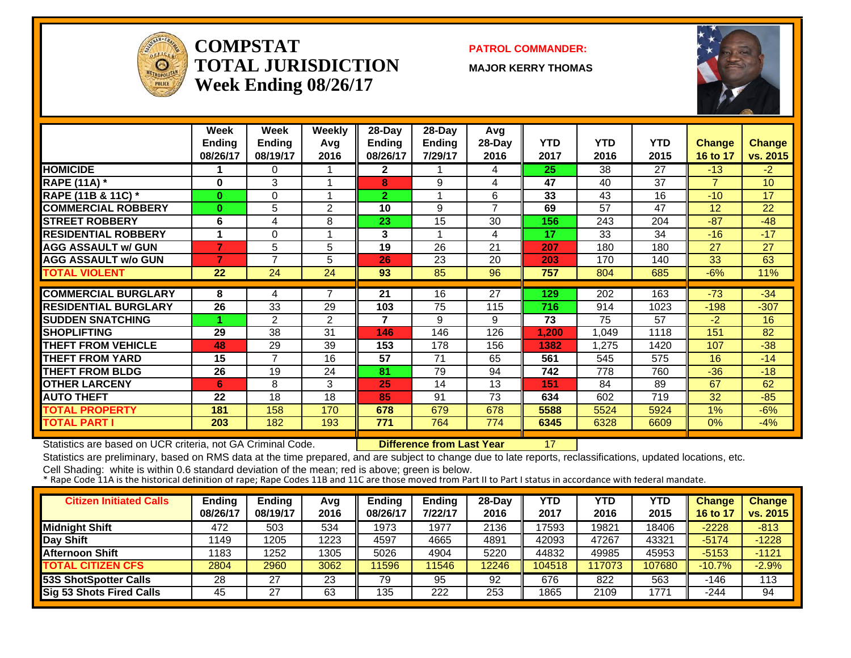

#### **COMPSTATTOTAL JURISDICTIONWeek Ending 08/26/17**



**MAJOR KERRY THOMAS**



|                             | Week          | Week           | <b>Weekly</b>  | 28-Day         | 28-Day        | Avg    |            |            |      |                |          |
|-----------------------------|---------------|----------------|----------------|----------------|---------------|--------|------------|------------|------|----------------|----------|
|                             | <b>Ending</b> | <b>Ending</b>  | Avg            | <b>Ending</b>  | <b>Ending</b> | 28-Day | <b>YTD</b> | <b>YTD</b> | YTD  | <b>Change</b>  | Change   |
|                             | 08/26/17      | 08/19/17       | 2016           | 08/26/17       | 7/29/17       | 2016   | 2017       | 2016       | 2015 | 16 to 17       | vs. 2015 |
| <b>HOMICIDE</b>             |               | 0              |                | $\mathbf{2}$   |               | 4      | 25         | 38         | 27   | $-13$          | $-2$     |
| <b>RAPE (11A)</b> *         | 0             | 3              |                | 8              | 9             | 4      | 47         | 40         | 37   | $\overline{7}$ | 10       |
| RAPE (11B & 11C) *          | $\mathbf{0}$  | 0              |                | $\overline{2}$ |               | 6      | 33         | 43         | 16   | $-10$          | 17       |
| <b>COMMERCIAL ROBBERY</b>   | $\bf{0}$      | 5              | $\overline{2}$ | 10             | 9             | 7      | 69         | 57         | 47   | 12             | 22       |
| <b>STREET ROBBERY</b>       | 6             | 4              | 8              | 23             | 15            | 30     | 156        | 243        | 204  | $-87$          | $-48$    |
| <b>RESIDENTIAL ROBBERY</b>  |               | 0              |                | 3              |               | 4      | 17         | 33         | 34   | $-16$          | $-17$    |
| <b>AGG ASSAULT w/ GUN</b>   |               | 5              | 5              | 19             | 26            | 21     | 207        | 180        | 180  | 27             | 27       |
| <b>AGG ASSAULT w/o GUN</b>  | 7             | $\overline{7}$ | 5              | 26             | 23            | 20     | 203        | 170        | 140  | 33             | 63       |
| <b>TOTAL VIOLENT</b>        | 22            | 24             | 24             | 93             | 85            | 96     | 757        | 804        | 685  | $-6%$          | 11%      |
|                             |               |                |                |                |               |        |            |            |      |                |          |
| <b>COMMERCIAL BURGLARY</b>  | 8             | 4              | $\overline{7}$ | 21             | 16            | 27     | 129        | 202        | 163  | $-73$          | $-34$    |
| <b>RESIDENTIAL BURGLARY</b> | 26            | 33             | 29             | 103            | 75            | 115    | 716        | 914        | 1023 | $-198$         | $-307$   |
| <b>ISUDDEN SNATCHING</b>    |               | $\overline{2}$ | $\overline{2}$ | $\overline{7}$ | 9             | 9      | 73         | 75         | 57   | $-2$           | 16       |
| <b>SHOPLIFTING</b>          | 29            | 38             | 31             | 146            | 146           | 126    | 1.200      | 1,049      | 1118 | 151            | 82       |
| <b>THEFT FROM VEHICLE</b>   | 48            | 29             | 39             | 153            | 178           | 156    | 1382       | 1,275      | 1420 | 107            | $-38$    |
| <b>THEFT FROM YARD</b>      | 15            | $\overline{7}$ | 16             | 57             | 71            | 65     | 561        | 545        | 575  | 16             | $-14$    |
| <b>THEFT FROM BLDG</b>      | 26            | 19             | 24             | 81             | 79            | 94     | 742        | 778        | 760  | $-36$          | $-18$    |
| <b>OTHER LARCENY</b>        | 6             | 8              | 3              | 25             | 14            | 13     | 151        | 84         | 89   | 67             | 62       |
| <b>AUTO THEFT</b>           | 22            | 18             | 18             | 85             | 91            | 73     | 634        | 602        | 719  | 32             | $-85$    |
| <b>TOTAL PROPERTY</b>       | 181           | 158            | 170            | 678            | 679           | 678    | 5588       | 5524       | 5924 | 1%             | $-6%$    |
| <b>TOTAL PART I</b>         | 203           | 182            | 193            | 771            | 764           | 774    | 6345       | 6328       | 6609 | $0\%$          | $-4%$    |

Statistics are based on UCR criteria, not GA Criminal Code. **Difference from Last Year** 17

Statistics are preliminary, based on RMS data at the time prepared, and are subject to change due to late reports, reclassifications, updated locations, etc.

| <b>Citizen Initiated Calls</b> | <b>Ending</b><br>08/26/17 | <b>Ending</b><br>08/19/17 | Avq<br>2016 | <b>Ending</b><br>08/26/17 | <b>Ending</b><br>7/22/17 | 28-Day<br>2016 | <b>YTD</b><br>2017 | YTD<br>2016 | YTD<br>2015 | <b>Change</b><br>16 to 17 | <b>Change</b><br>vs. 2015 |
|--------------------------------|---------------------------|---------------------------|-------------|---------------------------|--------------------------|----------------|--------------------|-------------|-------------|---------------------------|---------------------------|
| <b>Midnight Shift</b>          | 472                       | 503                       | 534         | 1973                      | 1977                     | 2136           | 17593              | 19821       | 18406       | $-2228$                   | $-813$                    |
| Day Shift                      | 1149                      | 1205                      | 1223        | 4597                      | 4665                     | 4891           | 42093              | 47267       | 43321       | $-5174$                   | $-1228$                   |
| <b>Afternoon Shift</b>         | 1183                      | 1252                      | 1305        | 5026                      | 4904                     | 5220           | 44832              | 49985       | 45953       | $-5153$                   | $-1121$                   |
| <b>TOTAL CITIZEN CFS</b>       | 2804                      | 2960                      | 3062        | 1596                      | 11546                    | 12246          | 104518             | 117073      | 107680      | $-10.7%$                  | $-2.9%$                   |
| 53S ShotSpotter Calls          | 28                        | 27                        | 23          | 79                        | 95                       | 92             | 676                | 822         | 563         | -146                      | 113                       |
| Sig 53 Shots Fired Calls       | 45                        | 27                        | 63          | 135                       | 222                      | 253            | 1865               | 2109        | 1771        | -244                      | 94                        |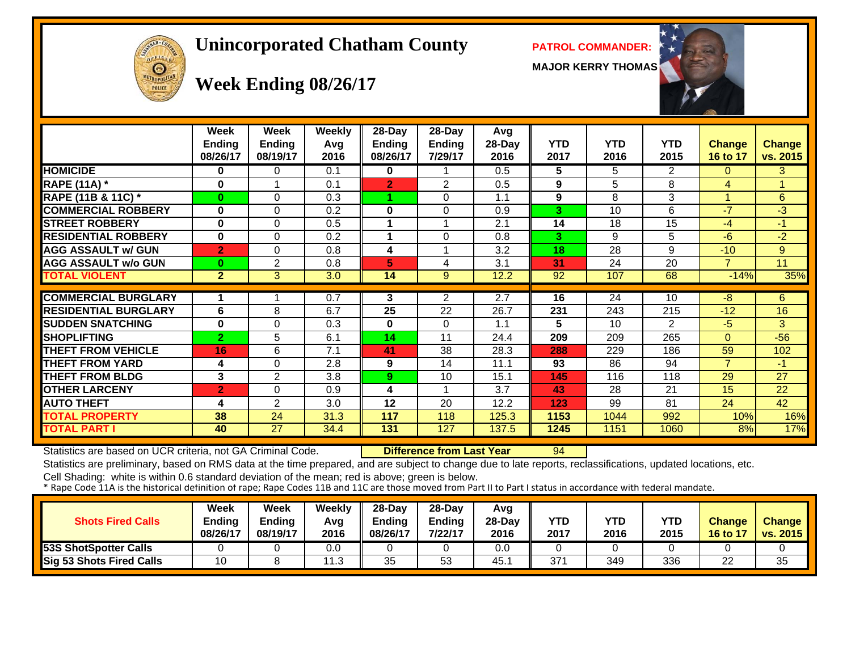# OFFICER  $\Theta$

#### **Unincorporated Chatham County PATROL COMMANDER:**

**MAJOR KERRY THOMAS**



|                             | Week<br>Ending<br>08/26/17 | Week<br><b>Ending</b><br>08/19/17 | <b>Weekly</b><br>Avg<br>2016 | $28$ -Day<br>Ending<br>08/26/17 | 28-Day<br>Ending<br>7/29/17 | Avg<br>28-Day<br>2016 | <b>YTD</b><br>2017 | <b>YTD</b><br>2016 | <b>YTD</b><br>2015 | Change<br>16 to 17 | <b>Change</b><br>vs. 2015 |
|-----------------------------|----------------------------|-----------------------------------|------------------------------|---------------------------------|-----------------------------|-----------------------|--------------------|--------------------|--------------------|--------------------|---------------------------|
| <b>HOMICIDE</b>             | 0                          | 0                                 | 0.1                          | 0                               |                             | 0.5                   | 5                  | 5                  | $\overline{2}$     | $\Omega$           | 3                         |
| <b>RAPE (11A) *</b>         | 0                          |                                   | 0.1                          | $\overline{2}$                  | 2                           | 0.5                   | 9                  | 5                  | 8                  | 4                  | 4                         |
| RAPE (11B & 11C) *          | $\bf{0}$                   | $\Omega$                          | 0.3                          |                                 | $\Omega$                    | 1.1                   | 9                  | 8                  | 3                  |                    | 6                         |
| <b>COMMERCIAL ROBBERY</b>   | 0                          | $\Omega$                          | 0.2                          | 0                               | $\Omega$                    | 0.9                   | 3                  | 10                 | 6                  | $-7$               | $-3$                      |
| <b>STREET ROBBERY</b>       | 0                          | $\Omega$                          | 0.5                          |                                 |                             | 2.1                   | 14                 | 18                 | 15                 | -4                 | $-1$                      |
| <b>RESIDENTIAL ROBBERY</b>  | 0                          | $\Omega$                          | 0.2                          |                                 | $\Omega$                    | 0.8                   | 3                  | 9                  | 5                  | $-6$               | $-2$                      |
| <b>AGG ASSAULT w/ GUN</b>   | $\overline{2}$             | $\Omega$                          | 0.8                          | 4                               |                             | 3.2                   | 18                 | 28                 | 9                  | $-10$              | 9                         |
| <b>AGG ASSAULT w/o GUN</b>  | $\bf{0}$                   | $\overline{2}$                    | 0.8                          | 5.                              | 4                           | 3.1                   | 31                 | 24                 | 20                 | 7.                 | 11                        |
| <b>TOTAL VIOLENT</b>        | $\overline{2}$             | 3                                 | 3.0                          | 14                              | 9                           | 12.2                  | 92                 | 107                | 68                 | $-14%$             | 35%                       |
|                             |                            |                                   |                              |                                 |                             |                       |                    |                    |                    |                    |                           |
| <b>COMMERCIAL BURGLARY</b>  |                            |                                   | 0.7                          | 3                               | 2                           | 2.7                   | 16                 | 24                 | 10                 | -8                 | 6                         |
| <b>RESIDENTIAL BURGLARY</b> | 6                          | 8                                 | 6.7                          | 25                              | 22                          | 26.7                  | 231                | 243                | 215                | $-12$              | 16                        |
| <b>SUDDEN SNATCHING</b>     | 0                          | $\Omega$                          | 0.3                          | 0                               | $\Omega$                    | 1.1                   | 5                  | 10 <sup>1</sup>    | 2                  | $-5$               | 3                         |
| <b>SHOPLIFTING</b>          | $\overline{2}$             | 5                                 | 6.1                          | 14                              | 11                          | 24.4                  | 209                | 209                | 265                | $\Omega$           | $-56$                     |
| <b>THEFT FROM VEHICLE</b>   | 16                         | 6                                 | 7.1                          | 41                              | 38                          | 28.3                  | 288                | 229                | 186                | 59                 | 102                       |
| <b>THEFT FROM YARD</b>      | 4                          | $\Omega$                          | 2.8                          | 9                               | 14                          | 11.1                  | 93                 | 86                 | 94                 | $\overline{7}$     | $-1$                      |
| <b>THEFT FROM BLDG</b>      | 3                          | $\overline{2}$                    | 3.8                          | 9                               | 10                          | 15.1                  | 145                | 116                | 118                | 29                 | 27                        |
| <b>OTHER LARCENY</b>        | $\overline{2}$             | $\Omega$                          | 0.9                          | 4                               |                             | 3.7                   | 43                 | 28                 | 21                 | 15                 | 22                        |
| <b>AUTO THEFT</b>           | 4                          | 2                                 | 3.0                          | 12                              | 20                          | 12.2                  | 123                | 99                 | 81                 | 24                 | 42                        |
| <b>FOTAL PROPERTY</b>       | 38                         | 24                                | 31.3                         | 117                             | 118                         | 125.3                 | 1153               | 1044               | 992                | 10%                | 16%                       |
| TOTAL PART I                | 40                         | 27                                | 34.4                         | 131                             | 127                         | 137.5                 | 1245               | 1151               | 1060               | 8%                 | 17%                       |

Statistics are based on UCR criteria, not GA Criminal Code. **Difference from Last Year** 94

Statistics are preliminary, based on RMS data at the time prepared, and are subject to change due to late reports, reclassifications, updated locations, etc.

| <b>Shots Fired Calls</b>     | Week<br>Ending<br>08/26/17 | <b>Week</b><br><b>Ending</b><br>08/19/17 | Weekly<br>Avg<br>2016 | $28$ -Dav<br>Ending<br>08/26/17 | $28-Day$<br>Ending<br>7/22/17 | Avg<br>$28-Dav$<br>2016 | YTD<br>2017 | <b>YTD</b><br>2016 | <b>YTD</b><br>2015 | <b>Change</b><br><b>16 to 17</b> | <b>Change</b><br>vs. 2015 |
|------------------------------|----------------------------|------------------------------------------|-----------------------|---------------------------------|-------------------------------|-------------------------|-------------|--------------------|--------------------|----------------------------------|---------------------------|
| <b>53S ShotSpotter Calls</b> |                            |                                          | 0.0                   |                                 |                               | 0.0                     |             |                    |                    |                                  |                           |
| Sig 53 Shots Fired Calls     | 10                         |                                          | 1.3                   | 35                              | 53                            | 45.                     | 371         | 349                | 336                | 22                               | 35                        |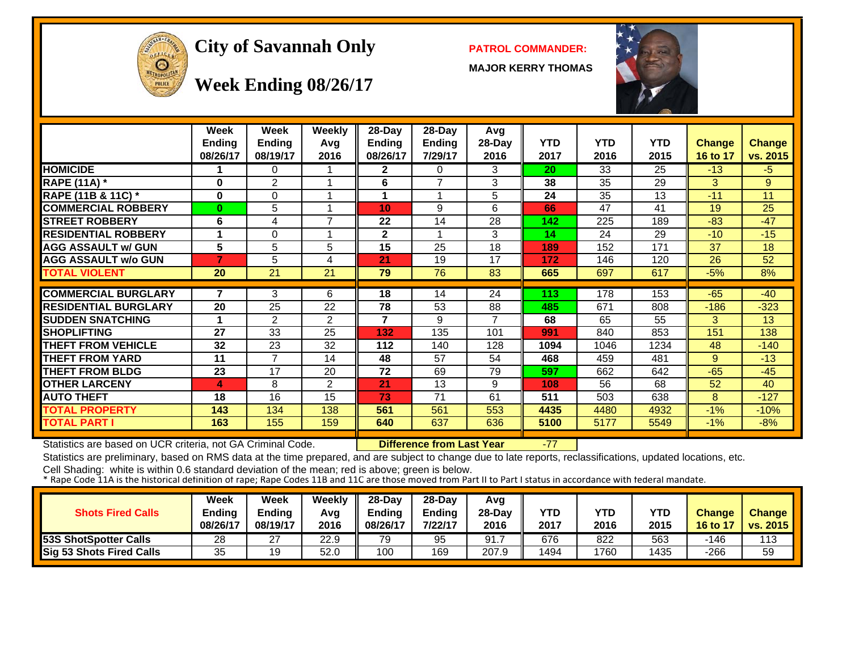

#### **City of Savannah Only PATROL COMMANDER:**

**MAJOR KERRY THOMAS**



**Week Ending 08/26/17**

|                             | Week<br><b>Ending</b><br>08/26/17 | <b>Week</b><br><b>Ending</b><br>08/19/17 | Weekly<br>Avg<br>2016 | 28-Day<br><b>Ending</b><br>08/26/17 | $28-Day$<br><b>Ending</b><br>7/29/17 | Avg<br>28-Day<br>2016 | <b>YTD</b><br>2017 | <b>YTD</b><br>2016 | <b>YTD</b><br>2015 | <b>Change</b><br>16 to 17 | <b>Change</b><br>vs. 2015 |
|-----------------------------|-----------------------------------|------------------------------------------|-----------------------|-------------------------------------|--------------------------------------|-----------------------|--------------------|--------------------|--------------------|---------------------------|---------------------------|
| <b>HOMICIDE</b>             |                                   | 0                                        |                       | $\mathbf{2}$                        | 0                                    | 3                     | 20                 | 33                 | 25                 | $-13$                     | $-5$                      |
| <b>RAPE (11A) *</b>         | $\bf{0}$                          | $\overline{2}$                           | 1                     | 6                                   | $\overline{\phantom{a}}$             | 3                     | 38                 | 35                 | 29                 | 3                         | 9                         |
| RAPE (11B & 11C) *          | $\bf{0}$                          | 0                                        | 1                     |                                     |                                      | 5                     | 24                 | 35                 | 13                 | $-11$                     | 11                        |
| <b>COMMERCIAL ROBBERY</b>   | $\bf{0}$                          | 5                                        | 1                     | 10                                  | 9                                    | 6                     | 66                 | 47                 | 41                 | 19                        | 25                        |
| <b>STREET ROBBERY</b>       | 6                                 | 4                                        | $\overline{7}$        | 22                                  | 14                                   | 28                    | 142                | 225                | 189                | $-83$                     | $-47$                     |
| <b>RESIDENTIAL ROBBERY</b>  |                                   | $\Omega$                                 |                       | $\mathbf 2$                         |                                      | 3                     | 14                 | 24                 | 29                 | $-10$                     | $-15$                     |
| <b>AGG ASSAULT w/ GUN</b>   | 5                                 | 5                                        | 5                     | 15                                  | 25                                   | 18                    | 189                | 152                | 171                | 37                        | 18                        |
| <b>AGG ASSAULT w/o GUN</b>  | $\overline{\mathbf{z}}$           | 5                                        | 4                     | 21                                  | 19                                   | 17                    | 172                | 146                | 120                | 26                        | 52                        |
| TOTAL VIOLENT               | 20                                | 21                                       | 21                    | 79                                  | 76                                   | 83                    | 665                | 697                | 617                | $-5%$                     | 8%                        |
|                             |                                   |                                          |                       |                                     |                                      |                       |                    |                    |                    |                           |                           |
| <b>COMMERCIAL BURGLARY</b>  | 7                                 | 3                                        | 6                     | 18                                  | 14                                   | 24                    | 113                | 178                | 153                | $-65$                     | $-40$                     |
| <b>RESIDENTIAL BURGLARY</b> | 20                                | 25                                       | 22                    | 78                                  | 53                                   | 88                    | 485                | 671                | 808                | $-186$                    | $-323$                    |
| <b>SUDDEN SNATCHING</b>     |                                   | $\overline{2}$                           | 2                     | 7                                   | 9                                    |                       | 68                 | 65                 | 55                 | 3                         | 13                        |
| <b>SHOPLIFTING</b>          | 27                                | 33                                       | 25                    | 132                                 | 135                                  | 101                   | 991                | 840                | 853                | 151                       | 138                       |
| <b>THEFT FROM VEHICLE</b>   | 32                                | 23                                       | 32                    | 112                                 | 140                                  | 128                   | 1094               | 1046               | 1234               | 48                        | $-140$                    |
| <b>THEFT FROM YARD</b>      | 11                                | $\overline{7}$                           | 14                    | 48                                  | 57                                   | 54                    | 468                | 459                | 481                | 9                         | $-13$                     |
| <b>THEFT FROM BLDG</b>      | 23                                | 17                                       | 20                    | 72                                  | 69                                   | 79                    | 597                | 662                | 642                | $-65$                     | $-45$                     |
| <b>OTHER LARCENY</b>        | 4                                 | 8                                        | $\overline{2}$        | 21                                  | 13                                   | 9                     | 108                | 56                 | 68                 | 52                        | 40                        |
| <b>AUTO THEFT</b>           | 18                                | 16                                       | 15                    | 73                                  | 71                                   | 61                    | 511                | 503                | 638                | 8                         | $-127$                    |
| TOTAL PROPERTY              | 143                               | 134                                      | 138                   | 561                                 | 561                                  | 553                   | 4435               | 4480               | 4932               | $-1%$                     | $-10%$                    |
| <b>TOTAL PART I</b>         | 163                               | 155                                      | 159                   | 640                                 | 637                                  | 636                   | 5100               | 5177               | 5549               | $-1%$                     | $-8%$                     |

Statistics are based on UCR criteria, not GA Criminal Code. **Difference from Last Year** -77

Statistics are preliminary, based on RMS data at the time prepared, and are subject to change due to late reports, reclassifications, updated locations, etc.

| <b>Shots Fired Calls</b>     | Week<br>Ending<br>08/26/17 | Week<br><b>Ending</b><br>08/19/17 | Weekly<br>Avg<br>2016 | $28-Dav$<br>Ending<br>08/26/17 | $28-Dav$<br><b>Ending</b><br>7/22/17 | Avg<br>28-Day<br>2016 | YTD<br>2017 | YTD<br>2016 | <b>YTD</b><br>2015 | <b>Change</b><br>$16$ to $12$ | <b>Change</b><br>vs. 2015 |
|------------------------------|----------------------------|-----------------------------------|-----------------------|--------------------------------|--------------------------------------|-----------------------|-------------|-------------|--------------------|-------------------------------|---------------------------|
| <b>53S ShotSpotter Calls</b> | 28                         | 27                                | 22.9                  | 79                             | 95                                   | 91.                   | 676         | 822         | 563                | -146                          | 113                       |
| Sig 53 Shots Fired Calls     | 35                         | 19                                | 52.0                  | 100                            | 169                                  | 207.9                 | 1494        | 1760        | 1435               | -266                          | 59                        |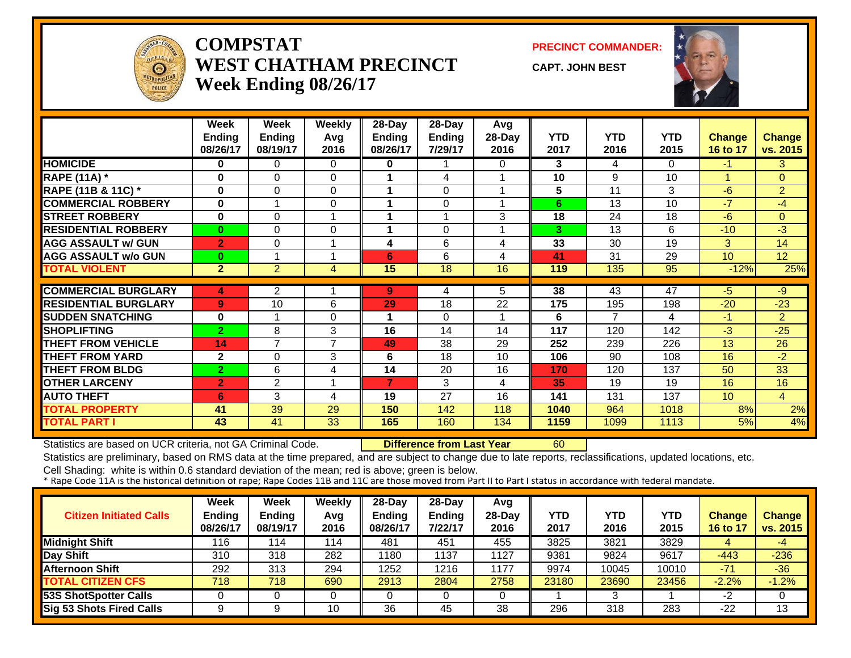

#### **COMPSTATWEST CHATHAM PRECINCTWeek Ending 08/26/17**

**PRECINCT COMMANDER:**

**CAPT. JOHN BEST**



|                             | <b>Week</b><br><b>Ending</b><br>08/26/17 | Week<br><b>Ending</b><br>08/19/17 | Weekly<br>Avg<br>2016 | 28-Day<br><b>Ending</b><br>08/26/17 | 28-Day<br><b>Ending</b><br>7/29/17 | Avg<br>28-Day<br>2016 | <b>YTD</b><br>2017 | <b>YTD</b><br>2016 | <b>YTD</b><br>2015 | Change<br>16 to 17 | <b>Change</b><br>vs. 2015 |
|-----------------------------|------------------------------------------|-----------------------------------|-----------------------|-------------------------------------|------------------------------------|-----------------------|--------------------|--------------------|--------------------|--------------------|---------------------------|
| <b>HOMICIDE</b>             | 0                                        | 0                                 | $\Omega$              | 0                                   |                                    | 0                     | 3                  | 4                  | $\Omega$           | -1                 | 3                         |
| <b>RAPE (11A) *</b>         | $\bf{0}$                                 | 0                                 | $\Omega$              |                                     | 4                                  |                       | 10                 | 9                  | 10                 |                    | $\Omega$                  |
| RAPE (11B & 11C) *          | $\bf{0}$                                 | 0                                 | $\Omega$              |                                     | $\Omega$                           |                       | 5                  | 11                 | 3                  | $-6$               | $\overline{2}$            |
| <b>COMMERCIAL ROBBERY</b>   | $\bf{0}$                                 |                                   | 0                     |                                     | 0                                  |                       | 6                  | 13                 | 10                 | $-7$               | $-4$                      |
| <b>STREET ROBBERY</b>       | $\bf{0}$                                 | 0                                 | 1                     |                                     |                                    | 3                     | 18                 | 24                 | 18                 | $-6$               | $\Omega$                  |
| <b>RESIDENTIAL ROBBERY</b>  | $\bf{0}$                                 | $\Omega$                          | 0                     |                                     | $\Omega$                           |                       | 3                  | 13                 | 6                  | $-10$              | -3                        |
| <b>AGG ASSAULT w/ GUN</b>   | $\overline{2}$                           | 0                                 | -1                    | 4                                   | 6                                  | 4                     | 33                 | 30                 | 19                 | 3                  | 14                        |
| <b>AGG ASSAULT w/o GUN</b>  | $\bf{0}$                                 |                                   |                       | 6                                   | 6                                  | 4                     | 41                 | 31                 | 29                 | 10                 | 12 <sup>2</sup>           |
| <b>TOTAL VIOLENT</b>        | $\overline{2}$                           | $\overline{2}$                    | 4                     | 15                                  | 18                                 | 16                    | 119                | 135                | 95                 | $-12%$             | 25%                       |
|                             |                                          |                                   |                       |                                     |                                    |                       |                    |                    |                    |                    |                           |
| <b>COMMERCIAL BURGLARY</b>  | 4                                        | $\overline{2}$                    |                       | 9                                   | 4                                  | 5                     | 38                 | 43                 | 47                 | -5                 | -9                        |
| <b>RESIDENTIAL BURGLARY</b> | 9                                        | 10                                | 6                     | 29                                  | 18                                 | 22                    | 175                | 195                | 198                | $-20$              | $-23$                     |
| <b>SUDDEN SNATCHING</b>     | $\bf{0}$                                 | 1                                 | $\Omega$              |                                     | $\Omega$                           |                       | 6                  | 7                  | 4                  | $-1$               | $\overline{2}$            |
| <b>SHOPLIFTING</b>          | $\overline{2}$                           | 8                                 | 3                     | 16                                  | 14                                 | 14                    | 117                | 120                | 142                | $-3$               | $-25$                     |
| <b>THEFT FROM VEHICLE</b>   | 14                                       | $\overline{7}$                    | $\overline{7}$        | 49                                  | 38                                 | 29                    | 252                | 239                | 226                | 13                 | 26                        |
| <b>THEFT FROM YARD</b>      | $\mathbf{2}$                             | 0                                 | 3                     | 6                                   | 18                                 | 10                    | 106                | 90                 | 108                | 16                 | $-2$                      |
| <b>THEFT FROM BLDG</b>      | $\overline{2}$                           | 6                                 | 4                     | 14                                  | 20                                 | 16                    | 170                | 120                | 137                | 50                 | 33                        |
| <b>OTHER LARCENY</b>        | $\overline{2}$                           | 2                                 |                       | $\overline{ }$                      | 3                                  | 4                     | 35                 | 19                 | 19                 | 16                 | 16                        |
| <b>AUTO THEFT</b>           | 6                                        | 3                                 | 4                     | 19                                  | 27                                 | 16                    | 141                | 131                | 137                | 10                 | $\overline{4}$            |
| <b>TOTAL PROPERTY</b>       | 41                                       | 39                                | 29                    | 150                                 | 142                                | 118                   | 1040               | 964                | 1018               | 8%                 | 2%                        |
| <b>TOTAL PART I</b>         | 43                                       | 41                                | 33                    | 165                                 | 160                                | 134                   | 1159               | 1099               | 1113               | 5%                 | 4%                        |

Statistics are based on UCR criteria, not GA Criminal Code. **Difference from Last Year** 60

Statistics are preliminary, based on RMS data at the time prepared, and are subject to change due to late reports, reclassifications, updated locations, etc.

| <b>Citizen Initiated Calls</b> | Week<br><b>Ending</b><br>08/26/17 | <b>Week</b><br><b>Ending</b><br>08/19/17 | <b>Weekly</b><br>Avg<br>2016 | $28$ -Day<br><b>Ending</b><br>08/26/17 | $28-Dav$<br><b>Ending</b><br>7/22/17 | Avg<br>$28-Day$<br>2016 | YTD<br>2017 | YTD<br>2016 | YTD<br>2015 | <b>Change</b><br>16 to 17 | <b>Change</b><br>vs. 2015 |
|--------------------------------|-----------------------------------|------------------------------------------|------------------------------|----------------------------------------|--------------------------------------|-------------------------|-------------|-------------|-------------|---------------------------|---------------------------|
| <b>Midnight Shift</b>          | 116                               | 114                                      | 114                          | 481                                    | 451                                  | 455                     | 3825        | 3821        | 3829        | 4                         | -4                        |
| Day Shift                      | 310                               | 318                                      | 282                          | 1180                                   | 1137                                 | 1127                    | 9381        | 9824        | 9617        | $-443$                    | $-236$                    |
| Afternoon Shift                | 292                               | 313                                      | 294                          | 1252                                   | 1216                                 | 1177                    | 9974        | 10045       | 10010       | $-71$                     | $-36$                     |
| <b>TOTAL CITIZEN CFS</b>       | 718                               | 718                                      | 690                          | 2913                                   | 2804                                 | 2758                    | 23180       | 23690       | 23456       | $-2.2%$                   | $-1.2%$                   |
| <b>53S ShotSpotter Calls</b>   |                                   |                                          |                              |                                        |                                      |                         |             | ິ           |             | -2                        |                           |
| Sig 53 Shots Fired Calls       | 9                                 |                                          | 10                           | 36                                     | 45                                   | 38                      | 296         | 318         | 283         | -22                       | 13                        |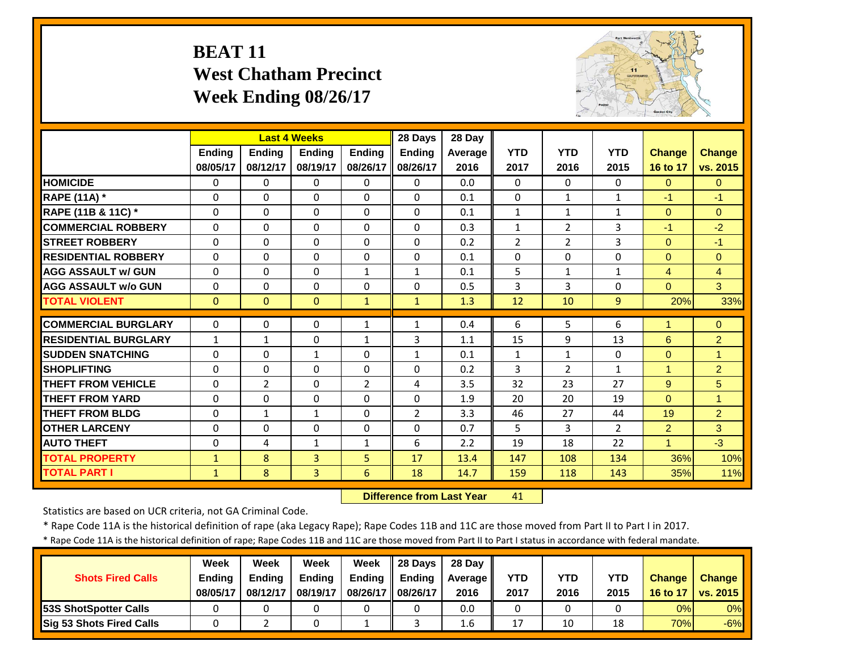# **BEAT 11 West Chatham Precinct Week Ending 08/26/17**



|                             |               | <b>Last 4 Weeks</b> |                |                | 28 Days        | 28 Day  |                |                |                |                |                |
|-----------------------------|---------------|---------------------|----------------|----------------|----------------|---------|----------------|----------------|----------------|----------------|----------------|
|                             | <b>Ending</b> | <b>Endina</b>       | <b>Endina</b>  | <b>Endina</b>  | <b>Ending</b>  | Average | <b>YTD</b>     | <b>YTD</b>     | <b>YTD</b>     | <b>Change</b>  | <b>Change</b>  |
|                             | 08/05/17      | 08/12/17            | 08/19/17       | 08/26/17       | 08/26/17       | 2016    | 2017           | 2016           | 2015           | 16 to 17       | vs. 2015       |
| <b>HOMICIDE</b>             | $\Omega$      | 0                   | $\mathbf{0}$   | $\Omega$       | $\Omega$       | 0.0     | $\Omega$       | $\Omega$       | 0              | $\Omega$       | $\overline{0}$ |
| <b>RAPE (11A) *</b>         | $\Omega$      | $\Omega$            | $\Omega$       | $\Omega$       | $\Omega$       | 0.1     | $\Omega$       | $\mathbf{1}$   | $\mathbf{1}$   | $-1$           | $-1$           |
| RAPE (11B & 11C) *          | $\mathbf 0$   | $\Omega$            | $\Omega$       | $\Omega$       | $\Omega$       | 0.1     | $\mathbf{1}$   | $\mathbf{1}$   | $\mathbf{1}$   | $\overline{0}$ | $\Omega$       |
| <b>COMMERCIAL ROBBERY</b>   | $\Omega$      | $\Omega$            | $\Omega$       | $\Omega$       | $\Omega$       | 0.3     | $\mathbf{1}$   | 2              | 3              | $-1$           | $-2$           |
| <b>STREET ROBBERY</b>       | $\Omega$      | $\Omega$            | $\Omega$       | $\Omega$       | $\Omega$       | 0.2     | $\overline{2}$ | $\overline{2}$ | 3              | $\Omega$       | $-1$           |
| <b>RESIDENTIAL ROBBERY</b>  | $\Omega$      | $\Omega$            | $\Omega$       | $\Omega$       | 0              | 0.1     | $\Omega$       | $\Omega$       | 0              | $\Omega$       | $\Omega$       |
| <b>AGG ASSAULT w/ GUN</b>   | $\Omega$      | 0                   | $\Omega$       | $\mathbf{1}$   | $\mathbf{1}$   | 0.1     | 5              | $\mathbf{1}$   | $\mathbf{1}$   | 4              | $\overline{4}$ |
| <b>AGG ASSAULT w/o GUN</b>  | $\Omega$      | 0                   | $\Omega$       | $\Omega$       | $\Omega$       | 0.5     | 3              | 3              | 0              | $\Omega$       | 3              |
| <b>TOTAL VIOLENT</b>        | $\Omega$      | $\Omega$            | $\Omega$       | $\mathbf{1}$   | $\mathbf{1}$   | 1.3     | 12             | 10             | 9              | 20%            | 33%            |
| <b>COMMERCIAL BURGLARY</b>  | $\Omega$      | 0                   | $\Omega$       | 1              | $\mathbf{1}$   | 0.4     | 6              | 5              | 6              |                | $\Omega$       |
| <b>RESIDENTIAL BURGLARY</b> | $\mathbf{1}$  | $\mathbf{1}$        | 0              | 1              | 3              | 1.1     | 15             | 9              | 13             | 6              | $\overline{2}$ |
| <b>SUDDEN SNATCHING</b>     | $\Omega$      | 0                   | 1              | $\Omega$       | $\mathbf{1}$   | 0.1     | $\mathbf{1}$   | $\mathbf{1}$   | 0              | $\Omega$       | 1              |
| <b>SHOPLIFTING</b>          | $\Omega$      | 0                   | $\Omega$       | $\Omega$       | 0              | 0.2     | 3              | $\overline{2}$ | $\mathbf{1}$   | 1              | $\overline{2}$ |
| <b>THEFT FROM VEHICLE</b>   | $\Omega$      | $\overline{2}$      | $\Omega$       | $\overline{2}$ | 4              | 3.5     | 32             | 23             | 27             | 9              | 5              |
| <b>THEFT FROM YARD</b>      | $\Omega$      | $\Omega$            | $\Omega$       | $\Omega$       | $\Omega$       | 1.9     | 20             | 20             | 19             | $\Omega$       | $\overline{1}$ |
| <b>THEFT FROM BLDG</b>      | $\Omega$      | $\mathbf{1}$        | $\mathbf{1}$   | $\Omega$       | $\overline{2}$ | 3.3     | 46             | 27             | 44             | 19             | $\overline{2}$ |
| <b>OTHER LARCENY</b>        | $\Omega$      | 0                   | $\Omega$       | $\Omega$       | 0              | 0.7     | 5              | 3              | $\overline{2}$ | 2              | 3              |
| <b>AUTO THEFT</b>           | $\Omega$      | 4                   | $\mathbf{1}$   | $\mathbf{1}$   | 6              | 2.2     | 19             | 18             | 22             | 1              | $-3$           |
| <b>TOTAL PROPERTY</b>       | $\mathbf{1}$  | 8                   | 3              | 5              | 17             | 13.4    | 147            | 108            | 134            | 36%            | 10%            |
| <b>TOTAL PART I</b>         | $\mathbf{1}$  | 8                   | $\overline{3}$ | 6              | 18             | 14.7    | 159            | 118            | 143            | 35%            | 11%            |

 **Difference from Last Year**41

Statistics are based on UCR criteria, not GA Criminal Code.

\* Rape Code 11A is the historical definition of rape (aka Legacy Rape); Rape Codes 11B and 11C are those moved from Part II to Part I in 2017.

\* Rape Code 11A is the historical definition of rape; Rape Codes 11B and 11C are those moved from Part II to Part I status in accordance with federal mandate.

|                                 | Week          | Week          | Week          | Week          | 28 Davs       | 28 Day  |      |      |            |               |                 |
|---------------------------------|---------------|---------------|---------------|---------------|---------------|---------|------|------|------------|---------------|-----------------|
| <b>Shots Fired Calls</b>        | <b>Ending</b> | <b>Ending</b> | <b>Ending</b> | <b>Ending</b> | <b>Ending</b> | Average | YTD  | YTD  | <b>YTD</b> | <b>Change</b> | <b>Change</b>   |
|                                 | 08/05/17      | 08/12/17      | 08/19/17      | 08/26/17      | 08/26/17      | 2016    | 2017 | 2016 | 2015       | 16 to 17      | <b>vs. 2015</b> |
| <b>53S ShotSpotter Calls</b>    |               |               |               |               |               | 0.0     |      |      |            | 0%            | $0\%$           |
| <b>Sig 53 Shots Fired Calls</b> |               |               |               |               |               | 1.6     |      | 10   | 18         | 70%           | $-6%$           |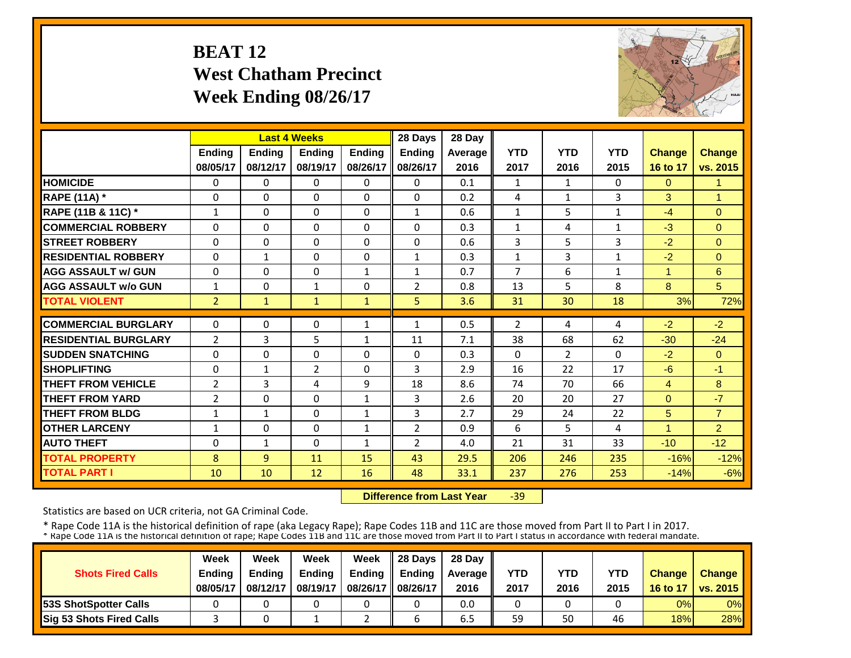# **BEAT 12 West Chatham Precinct Week Ending 08/26/17**



|                             |                | <b>Last 4 Weeks</b> |              |                              | 28 Days        | 28 Day  |                |                |              |               |                |
|-----------------------------|----------------|---------------------|--------------|------------------------------|----------------|---------|----------------|----------------|--------------|---------------|----------------|
|                             | Ending         | Ending              | Ending       | <b>Ending</b>                | <b>Ending</b>  | Average | <b>YTD</b>     | <b>YTD</b>     | <b>YTD</b>   | <b>Change</b> | Change         |
|                             | 08/05/17       | 08/12/17            | 08/19/17     | 08/26/17                     | 08/26/17       | 2016    | 2017           | 2016           | 2015         | 16 to 17      | vs. 2015       |
| <b>HOMICIDE</b>             | 0              | $\Omega$            | $\Omega$     | $\Omega$                     | 0              | 0.1     | 1              | $\mathbf{1}$   | 0            | $\mathbf{0}$  | 1              |
| <b>RAPE (11A)</b> *         | $\Omega$       | $\Omega$            | $\Omega$     | $\Omega$                     | $\Omega$       | 0.2     | 4              | $\mathbf{1}$   | 3            | 3             | 1              |
| RAPE (11B & 11C) *          | $\mathbf{1}$   | $\Omega$            | $\Omega$     | $\Omega$                     | $\mathbf{1}$   | 0.6     | $\mathbf{1}$   | 5              | $\mathbf{1}$ | $-4$          | $\Omega$       |
| <b>COMMERCIAL ROBBERY</b>   | $\Omega$       | $\Omega$            | $\Omega$     | $\Omega$                     | 0              | 0.3     | $\mathbf{1}$   | 4              | 1            | $-3$          | $\Omega$       |
| <b>STREET ROBBERY</b>       | 0              | $\Omega$            | $\Omega$     | 0                            | $\Omega$       | 0.6     | 3              | 5              | 3            | $-2$          | $\Omega$       |
| <b>RESIDENTIAL ROBBERY</b>  | 0              | 1                   | $\Omega$     | $\Omega$                     | $\mathbf{1}$   | 0.3     | $\mathbf{1}$   | 3              | 1            | $-2$          | $\Omega$       |
| <b>AGG ASSAULT w/ GUN</b>   | $\Omega$       | $\Omega$            | $\Omega$     | $\mathbf{1}$                 | 1              | 0.7     | $\overline{7}$ | 6              | 1            | 4             | 6              |
| <b>AGG ASSAULT w/o GUN</b>  | $\mathbf{1}$   | $\Omega$            | $\mathbf{1}$ | $\Omega$                     | $\overline{2}$ | 0.8     | 13             | 5              | 8            | 8             | 5              |
| <b>TOTAL VIOLENT</b>        | $\overline{2}$ | $\mathbf{1}$        | $\mathbf{1}$ | $\mathbf{1}$                 | 5              | 3.6     | 31             | 30             | 18           | 3%            | 72%            |
| <b>COMMERCIAL BURGLARY</b>  | $\Omega$       | $\Omega$            | $\Omega$     | $\mathbf{1}$                 | $\mathbf{1}$   | 0.5     | $\overline{2}$ | 4              | 4            | $-2$          | $-2$           |
| <b>RESIDENTIAL BURGLARY</b> | $\overline{2}$ | 3                   | 5            | $\mathbf{1}$                 | 11             | 7.1     | 38             | 68             | 62           | $-30$         | $-24$          |
| <b>SUDDEN SNATCHING</b>     | 0              | $\Omega$            | 0            | $\Omega$                     | 0              | 0.3     | $\Omega$       | $\overline{2}$ | 0            | $-2$          | $\overline{0}$ |
| <b>SHOPLIFTING</b>          | $\Omega$       | $\mathbf{1}$        | 2            | $\Omega$                     | 3              | 2.9     | 16             | 22             | 17           | $-6$          | $-1$           |
| <b>THEFT FROM VEHICLE</b>   | $\overline{2}$ | 3                   | 4            | 9                            | 18             | 8.6     | 74             | 70             | 66           | 4             | 8              |
| <b>THEFT FROM YARD</b>      | $\overline{2}$ | $\Omega$            | $\Omega$     | $\mathbf{1}$                 | 3              | 2.6     | 20             | 20             | 27           | $\Omega$      | $-7$           |
| <b>THEFT FROM BLDG</b>      | 1              | $\mathbf{1}$        | $\Omega$     | $\mathbf{1}$                 | 3              | 2.7     | 29             | 24             | 22           | 5             | $\overline{7}$ |
| <b>OTHER LARCENY</b>        |                | $\Omega$            | $\Omega$     |                              | $\overline{2}$ | 0.9     | 6              | 5.             | 4            | 1             | $\overline{2}$ |
| <b>AUTO THEFT</b>           | 1<br>$\Omega$  | $\mathbf{1}$        | $\Omega$     | $\mathbf{1}$<br>$\mathbf{1}$ | $\overline{2}$ | 4.0     | 21             | 31             | 33           | $-10$         | $-12$          |
|                             | 8              |                     |              |                              |                | 29.5    |                |                |              | $-16%$        | $-12%$         |
| <b>TOTAL PROPERTY</b>       |                | 9                   | 11           | 15                           | 43             |         | 206            | 246            | 235          |               |                |
| <b>TOTAL PART I</b>         | 10             | 10                  | 12           | 16                           | 48             | 33.1    | 237            | 276            | 253          | $-14%$        | $-6%$          |

 **Difference from Last Year**‐39

Statistics are based on UCR criteria, not GA Criminal Code.

|                               | Week     | Week     | Week          | Week          | Il 28 Davs    | 28 Day         |      |      |      |               |                 |
|-------------------------------|----------|----------|---------------|---------------|---------------|----------------|------|------|------|---------------|-----------------|
| <b>Shots Fired Calls</b>      | Ending   | Ending   | <b>Ending</b> | <b>Ending</b> | <b>Ending</b> | <b>Average</b> | YTD  | YTD  | YTD  | <b>Change</b> | <b>Change</b>   |
|                               | 08/05/17 | 08/12/17 | 08/19/17      | 08/26/17      | 08/26/17      | 2016           | 2017 | 2016 | 2015 | 16 to 17      | <b>vs. 2015</b> |
| <b>153S ShotSpotter Calls</b> |          |          |               |               |               | 0.0            |      |      |      | 0%            | $0\%$           |
| Sig 53 Shots Fired Calls      |          |          |               |               |               | 6.5            | 59   | 50   | 46   | 18%           | 28%             |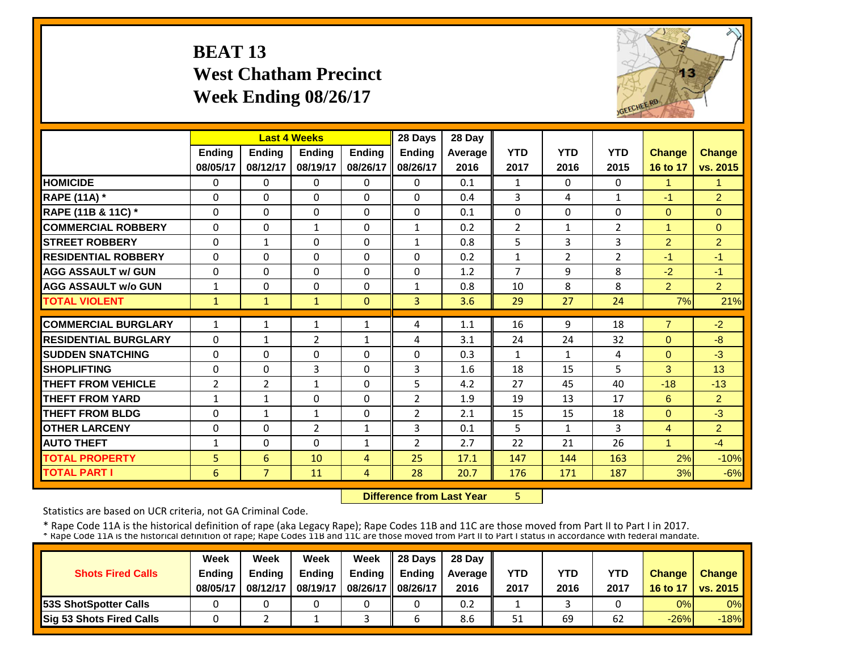# **BEAT 13 West Chatham Precinct Week Ending 08/26/17**



|                             |                |                | <b>Last 4 Weeks</b> |               | 28 Days        | 28 Day  |                |                |                |                      |                |
|-----------------------------|----------------|----------------|---------------------|---------------|----------------|---------|----------------|----------------|----------------|----------------------|----------------|
|                             | Ending         | Ending         | <b>Ending</b>       | <b>Ending</b> | Ending         | Average | <b>YTD</b>     | <b>YTD</b>     | <b>YTD</b>     | <b>Change</b>        | <b>Change</b>  |
|                             | 08/05/17       | 08/12/17       | 08/19/17            | 08/26/17      | 08/26/17       | 2016    | 2017           | 2016           | 2015           | 16 to 17             | vs. 2015       |
| <b>HOMICIDE</b>             | 0              | $\Omega$       | $\Omega$            | 0             | $\Omega$       | 0.1     | 1              | $\Omega$       | 0              | $\blacktriangleleft$ | 1              |
| <b>RAPE (11A)</b> *         | $\Omega$       | $\Omega$       | $\Omega$            | 0             | 0              | 0.4     | 3              | 4              | $\mathbf{1}$   | $-1$                 | $\overline{2}$ |
| RAPE (11B & 11C) *          | $\mathbf 0$    | $\Omega$       | 0                   | $\Omega$      | $\mathbf{0}$   | 0.1     | $\Omega$       | $\Omega$       | 0              | $\mathbf{0}$         | $\Omega$       |
| <b>COMMERCIAL ROBBERY</b>   | $\Omega$       | $\Omega$       | $\mathbf{1}$        | $\Omega$      | $\mathbf{1}$   | 0.2     | $\overline{2}$ | $\mathbf{1}$   | $\overline{2}$ | $\overline{1}$       | $\Omega$       |
| <b>ISTREET ROBBERY</b>      | $\Omega$       | $\mathbf{1}$   | $\Omega$            | $\Omega$      | $\mathbf{1}$   | 0.8     | 5              | 3              | 3              | 2                    | $\overline{2}$ |
| <b>RESIDENTIAL ROBBERY</b>  | $\Omega$       | $\Omega$       | $\Omega$            | $\Omega$      | $\Omega$       | 0.2     | $\mathbf{1}$   | $\overline{2}$ | $\overline{2}$ | $-1$                 | $-1$           |
| <b>AGG ASSAULT w/ GUN</b>   | 0              | $\Omega$       | $\Omega$            | $\Omega$      | $\Omega$       | 1.2     | 7              | 9              | 8              | $-2$                 | -1             |
| <b>AGG ASSAULT w/o GUN</b>  | $\mathbf{1}$   | $\Omega$       | $\Omega$            | $\Omega$      | $\mathbf{1}$   | 0.8     | 10             | 8              | 8              | $\overline{2}$       | $\overline{2}$ |
| <b>TOTAL VIOLENT</b>        | $\mathbf{1}$   | $\mathbf{1}$   | $\mathbf{1}$        | $\Omega$      | 3              | 3.6     | 29             | 27             | 24             | 7%                   | 21%            |
| <b>COMMERCIAL BURGLARY</b>  | 1              | 1              | 1                   | 1             | 4              | 1.1     | 16             | 9              | 18             | $\overline{7}$       | $-2$           |
| <b>RESIDENTIAL BURGLARY</b> | $\Omega$       | $\mathbf{1}$   | 2                   | $\mathbf{1}$  | 4              | 3.1     | 24             | 24             | 32             | $\Omega$             | $-8$           |
| <b>SUDDEN SNATCHING</b>     | 0              | $\Omega$       | $\Omega$            | $\Omega$      | $\Omega$       | 0.3     | 1              | $\mathbf{1}$   | 4              | $\Omega$             | $-3$           |
| <b>SHOPLIFTING</b>          | $\Omega$       | $\Omega$       | 3                   | $\Omega$      | 3              | 1.6     | 18             | 15             | 5              | 3                    | 13             |
| <b>THEFT FROM VEHICLE</b>   | $\overline{2}$ | 2              | $\mathbf{1}$        | $\Omega$      | 5              | 4.2     | 27             | 45             | 40             | $-18$                | $-13$          |
| <b>THEFT FROM YARD</b>      | 1              | $\mathbf{1}$   | $\Omega$            | $\Omega$      | $\overline{2}$ | 1.9     | 19             | 13             | 17             | 6                    | $\overline{2}$ |
| <b>THEFT FROM BLDG</b>      | $\Omega$       | $\mathbf{1}$   | $\mathbf{1}$        | 0             | $\overline{2}$ | 2.1     | 15             | 15             | 18             | $\Omega$             | $-3$           |
| <b>OTHER LARCENY</b>        | $\Omega$       | $\Omega$       | $\overline{2}$      | 1             | 3              | 0.1     | 5              | $\mathbf{1}$   | 3              | $\overline{4}$       | $\overline{2}$ |
| <b>AUTO THEFT</b>           | $\mathbf{1}$   | $\Omega$       | $\Omega$            | 1             | $\overline{2}$ | 2.7     | 22             | 21             | 26             | $\overline{1}$       | $-4$           |
| <b>TOTAL PROPERTY</b>       | 5              | 6              | 10                  | 4             | 25             | 17.1    | 147            | 144            | 163            | 2%                   | $-10%$         |
| <b>TOTAL PART I</b>         | 6              | $\overline{7}$ | 11                  | 4             | 28             | 20.7    | 176            | 171            | 187            | 3%                   | $-6%$          |

 **Difference from Last Year**

5

Statistics are based on UCR criteria, not GA Criminal Code.

|                               | Week     | Week          | Week          | Week          | $\parallel$ 28 Davs | 28 Day    |      |      |      |               |                     |
|-------------------------------|----------|---------------|---------------|---------------|---------------------|-----------|------|------|------|---------------|---------------------|
| <b>Shots Fired Calls</b>      | Ending   | <b>Ending</b> | <b>Ending</b> | <b>Ending</b> | <b>Ending</b>       | Average I | YTD  | YTD  | YTD  | <b>Change</b> | <b>Change</b>       |
|                               | 08/05/17 | 08/12/17      | 08/19/17      | 08/26/17      | 08/26/17            | 2016      | 2017 | 2016 | 2017 |               | 16 to 17   vs. 2015 |
| <b>153S ShotSpotter Calls</b> |          |               |               |               |                     | 0.2       |      |      |      | 0%            | $0\%$               |
| Sig 53 Shots Fired Calls      |          |               |               |               |                     | 8.6       | 51   | 69   | 62   | $-26%$        | $-18%$              |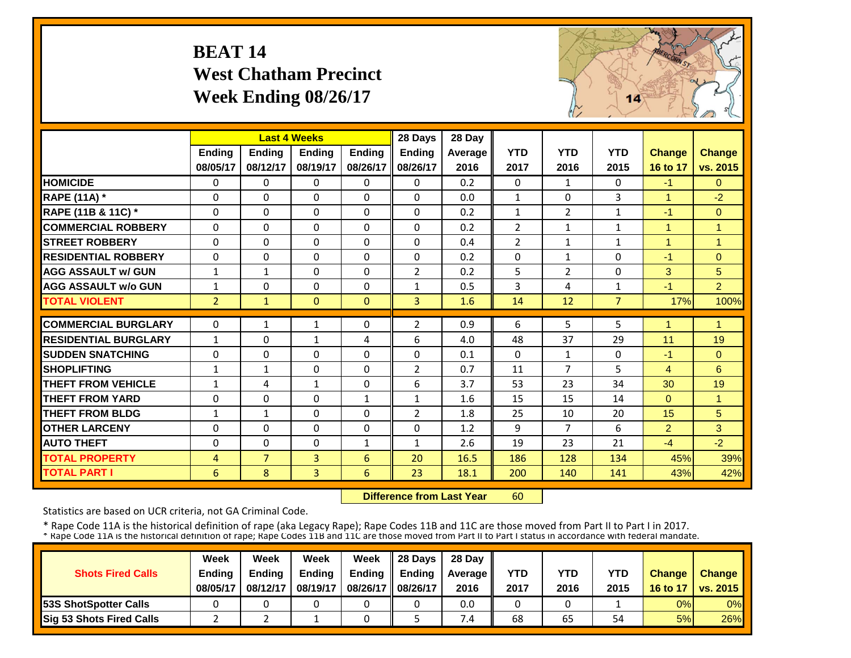# **BEAT 14 West Chatham Precinct Week Ending 08/26/17**



|                             |                |                | <b>Last 4 Weeks</b> |               | 28 Days        | 28 Day  |                |                |                |                |                |
|-----------------------------|----------------|----------------|---------------------|---------------|----------------|---------|----------------|----------------|----------------|----------------|----------------|
|                             | Ending         | <b>Ending</b>  | <b>Ending</b>       | <b>Endina</b> | <b>Ending</b>  | Average | <b>YTD</b>     | <b>YTD</b>     | <b>YTD</b>     | <b>Change</b>  | <b>Change</b>  |
|                             | 08/05/17       | 08/12/17       | 08/19/17            | 08/26/17      | 08/26/17       | 2016    | 2017           | 2016           | 2015           | 16 to 17       | vs. 2015       |
| <b>HOMICIDE</b>             | $\Omega$       | 0              | $\mathbf{0}$        | $\Omega$      | $\Omega$       | 0.2     | $\Omega$       | $\mathbf{1}$   | 0              | $-1$           | $\Omega$       |
| <b>RAPE (11A) *</b>         | $\Omega$       | $\Omega$       | $\Omega$            | $\Omega$      | $\Omega$       | 0.0     | $\mathbf{1}$   | $\Omega$       | 3              | $\mathbf{1}$   | $-2$           |
| RAPE (11B & 11C) *          | $\Omega$       | 0              | $\Omega$            | $\Omega$      | $\Omega$       | 0.2     | $\mathbf{1}$   | $\overline{2}$ | 1              | $-1$           | $\overline{0}$ |
| <b>COMMERCIAL ROBBERY</b>   | $\Omega$       | $\Omega$       | $\Omega$            | $\Omega$      | $\Omega$       | 0.2     | $\overline{2}$ | $\mathbf{1}$   | $\mathbf{1}$   | $\overline{1}$ | $\overline{1}$ |
| <b>STREET ROBBERY</b>       | $\mathbf 0$    | 0              | $\Omega$            | $\Omega$      | 0              | 0.4     | $\overline{2}$ | $\mathbf{1}$   | $\mathbf{1}$   | $\overline{1}$ | $\overline{1}$ |
| <b>RESIDENTIAL ROBBERY</b>  | $\Omega$       | $\Omega$       | $\Omega$            | $\Omega$      | $\Omega$       | 0.2     | $\Omega$       | $\mathbf{1}$   | 0              | $-1$           | $\Omega$       |
| <b>AGG ASSAULT w/ GUN</b>   | $\mathbf{1}$   | $\mathbf{1}$   | $\mathbf 0$         | $\Omega$      | $\overline{2}$ | 0.2     | 5              | 2              | 0              | 3              | 5              |
| <b>AGG ASSAULT w/o GUN</b>  | $\mathbf{1}$   | 0              | 0                   | $\Omega$      | $\mathbf{1}$   | 0.5     | 3              | 4              | 1              | $-1$           | $\overline{2}$ |
| <b>TOTAL VIOLENT</b>        | 2 <sup>1</sup> | $\mathbf{1}$   | $\mathbf{0}$        | $\mathbf{0}$  | 3              | 1.6     | 14             | 12             | $\overline{7}$ | 17%            | 100%           |
| <b>COMMERCIAL BURGLARY</b>  | $\Omega$       | $\mathbf{1}$   | 1                   | $\Omega$      | $\overline{2}$ | 0.9     | 6              | 5              | 5              | 1              | $\overline{1}$ |
| <b>RESIDENTIAL BURGLARY</b> | $\mathbf{1}$   | 0              | 1                   | 4             | 6              | 4.0     | 48             | 37             | 29             | 11             | 19             |
| <b>ISUDDEN SNATCHING</b>    | $\Omega$       | 0              | $\Omega$            | $\Omega$      | $\Omega$       | 0.1     | $\Omega$       | $\mathbf{1}$   | 0              | $-1$           | $\Omega$       |
| <b>SHOPLIFTING</b>          | $\mathbf{1}$   | $\mathbf{1}$   | $\Omega$            | $\Omega$      | $\overline{2}$ | 0.7     | 11             | 7              | 5              | 4              | 6              |
| <b>THEFT FROM VEHICLE</b>   | $\mathbf{1}$   | 4              | 1                   | $\Omega$      | 6              | 3.7     | 53             | 23             | 34             | 30             | 19             |
| <b>THEFT FROM YARD</b>      | $\Omega$       | 0              | $\Omega$            | 1             | $\mathbf{1}$   | 1.6     | 15             | 15             | 14             | $\Omega$       | 1              |
| <b>THEFT FROM BLDG</b>      | $\mathbf{1}$   | $\mathbf{1}$   | $\Omega$            | $\Omega$      | $\overline{2}$ | 1.8     | 25             | 10             | 20             | 15             | 5              |
| <b>OTHER LARCENY</b>        | $\Omega$       | 0              | $\Omega$            | $\Omega$      | 0              | 1.2     | 9              | $\overline{7}$ | 6              | $\overline{2}$ | 3              |
| <b>AUTO THEFT</b>           | $\Omega$       | 0              | $\Omega$            | 1             | $\mathbf{1}$   | 2.6     | 19             | 23             | 21             | $-4$           | $-2$           |
| <b>TOTAL PROPERTY</b>       | $\overline{4}$ | $\overline{7}$ | 3                   | 6             | 20             | 16.5    | 186            | 128            | 134            | 45%            | 39%            |
| <b>TOTAL PART I</b>         | 6              | 8              | $\overline{3}$      | 6             | 23             | 18.1    | 200            | 140            | 141            | 43%            | 42%            |
|                             |                |                |                     |               |                |         |                |                |                |                |                |

 **Difference from Last Year**60

Statistics are based on UCR criteria, not GA Criminal Code.

| <b>Shots Fired Calls</b>        | Week<br>Ending<br>08/05/17 | Week<br><b>Ending</b><br>08/12/17 | Week<br><b>Ending</b><br>08/19/17 | Week<br><b>Ending</b><br>08/26/17 | Il 28 Davs<br><b>Ending</b><br>08/26/17 | 28 Day<br><b>Average</b><br>2016 | YTD<br>2017 | YTD<br>2016 | <b>YTD</b><br>2015 | <b>Change</b><br>16 to 17 | <b>Change</b><br><b>vs. 2015</b> |
|---------------------------------|----------------------------|-----------------------------------|-----------------------------------|-----------------------------------|-----------------------------------------|----------------------------------|-------------|-------------|--------------------|---------------------------|----------------------------------|
| <b>153S ShotSpotter Calls</b>   |                            |                                   |                                   |                                   |                                         | 0.0                              |             |             |                    | 0%                        | 0%                               |
| <b>Sig 53 Shots Fired Calls</b> |                            |                                   |                                   |                                   |                                         | 7.4                              | 68          | 65          | 54                 | 5%                        | 26%                              |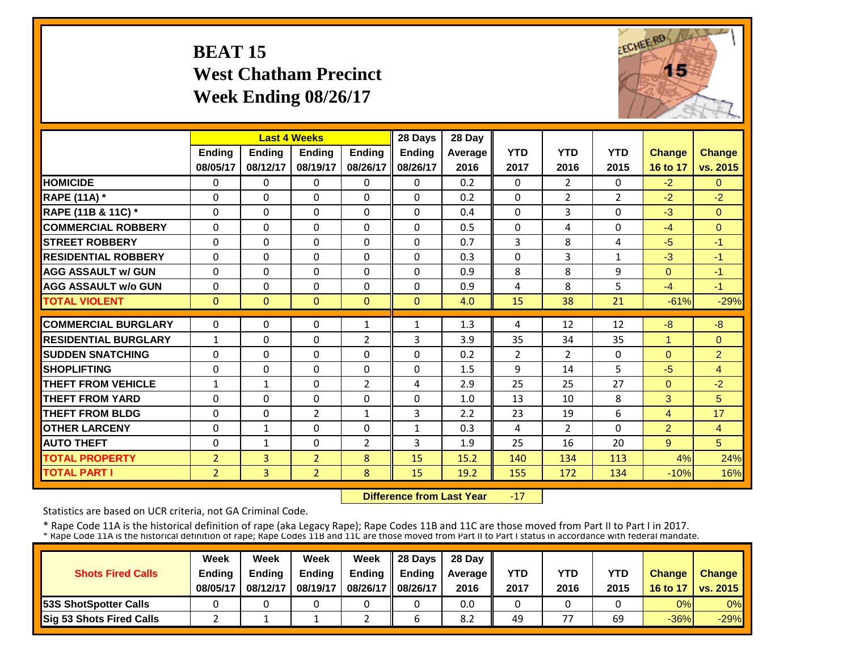### **BEAT 15 West Chatham Precinct Week Ending 08/26/17**



|                             |                |                | <b>Last 4 Weeks</b> |                | 28 Days        | 28 Day  |                |                |                |                |                |
|-----------------------------|----------------|----------------|---------------------|----------------|----------------|---------|----------------|----------------|----------------|----------------|----------------|
|                             | <b>Ending</b>  | <b>Ending</b>  | <b>Ending</b>       | <b>Ending</b>  | <b>Ending</b>  | Average | <b>YTD</b>     | <b>YTD</b>     | <b>YTD</b>     | <b>Change</b>  | <b>Change</b>  |
|                             | 08/05/17       | 08/12/17       | 08/19/17            | 08/26/17       | 08/26/17       | 2016    | 2017           | 2016           | 2015           | 16 to 17       | vs. 2015       |
| <b>HOMICIDE</b>             | 0              | 0              | 0                   | $\Omega$       | $\Omega$       | 0.2     | $\Omega$       | $\overline{2}$ | 0              | $-2$           | $\Omega$       |
| <b>RAPE (11A)</b> *         | $\Omega$       | $\Omega$       | $\Omega$            | $\Omega$       | 0              | 0.2     | $\Omega$       | $\overline{2}$ | $\overline{2}$ | $-2$           | $-2$           |
| RAPE (11B & 11C) *          | 0              | $\Omega$       | $\Omega$            | $\Omega$       | 0              | 0.4     | $\Omega$       | 3              | 0              | $-3$           | $\Omega$       |
| <b>COMMERCIAL ROBBERY</b>   | $\Omega$       | $\Omega$       | $\Omega$            | $\Omega$       | 0              | 0.5     | $\Omega$       | 4              | 0              | $-4$           | $\Omega$       |
| <b>STREET ROBBERY</b>       | 0              | $\Omega$       | $\Omega$            | 0              | 0              | 0.7     | 3              | 8              | 4              | $-5$           | $-1$           |
| <b>RESIDENTIAL ROBBERY</b>  | $\Omega$       | $\Omega$       | $\Omega$            | $\Omega$       | 0              | 0.3     | $\Omega$       | 3              | $\mathbf{1}$   | $-3$           | $-1$           |
| <b>AGG ASSAULT w/ GUN</b>   | 0              | $\Omega$       | 0                   | $\Omega$       | 0              | 0.9     | 8              | 8              | 9              | $\Omega$       | $-1$           |
| <b>AGG ASSAULT w/o GUN</b>  | $\Omega$       | $\Omega$       | $\Omega$            | $\Omega$       | $\Omega$       | 0.9     | 4              | 8              | 5              | $-4$           | $-1$           |
| <b>TOTAL VIOLENT</b>        | $\mathbf{0}$   | $\Omega$       | $\Omega$            | $\Omega$       | $\overline{0}$ | 4.0     | 15             | 38             | 21             | $-61%$         | $-29%$         |
| <b>COMMERCIAL BURGLARY</b>  | $\Omega$       | $\Omega$       | $\Omega$            | $\mathbf{1}$   | $\mathbf{1}$   | 1.3     | 4              | 12             | 12             | $-8$           | $-8$           |
| <b>RESIDENTIAL BURGLARY</b> | $\mathbf{1}$   | $\Omega$       | $\Omega$            | 2              | 3              | 3.9     | 35             | 34             | 35             | 1              | $\Omega$       |
| <b>SUDDEN SNATCHING</b>     | $\Omega$       | $\Omega$       | $\Omega$            | 0              | 0              | 0.2     | $\overline{2}$ | $\overline{2}$ | 0              | $\Omega$       | $\overline{2}$ |
| <b>SHOPLIFTING</b>          | 0              | $\Omega$       | 0                   | $\Omega$       | 0              | 1.5     | 9              | 14             | 5              | $-5$           | $\overline{4}$ |
| <b>THEFT FROM VEHICLE</b>   | $\mathbf{1}$   | 1              | $\Omega$            | $\overline{2}$ | 4              | 2.9     | 25             | 25             | 27             | $\Omega$       | $-2$           |
| <b>THEFT FROM YARD</b>      | $\Omega$       | $\Omega$       | $\Omega$            | $\Omega$       | 0              | 1.0     | 13             | 10             | 8              | 3              | 5              |
| <b>THEFT FROM BLDG</b>      | 0              | $\Omega$       | $\overline{2}$      | $\mathbf{1}$   | 3              | 2.2     | 23             | 19             | 6              | 4              | 17             |
| <b>OTHER LARCENY</b>        | $\Omega$       | $\mathbf{1}$   | $\Omega$            | $\Omega$       | $\mathbf{1}$   | 0.3     | 4              | $\overline{2}$ | $\Omega$       | $\overline{2}$ | $\overline{4}$ |
| <b>AUTO THEFT</b>           | $\Omega$       | $\mathbf{1}$   | $\Omega$            | 2              | 3              | 1.9     | 25             | 16             | 20             | 9              | 5              |
| <b>TOTAL PROPERTY</b>       | $\overline{2}$ | 3              | $\overline{2}$      | 8              | 15             | 15.2    | 140            | 134            | 113            | 4%             | 24%            |
| <b>TOTAL PART I</b>         | $\overline{2}$ | 3 <sup>1</sup> | $\overline{2}$      | 8              | 15             | 19.2    | 155            | 172            | 134            | $-10%$         | 16%            |

 **Difference from Last Year**‐17

Statistics are based on UCR criteria, not GA Criminal Code.

|                               | Week     | Week     | Week          | Week          | Il 28 Davs    | 28 Day         |      |                |      |               |                 |
|-------------------------------|----------|----------|---------------|---------------|---------------|----------------|------|----------------|------|---------------|-----------------|
| <b>Shots Fired Calls</b>      | Ending   | Ending   | <b>Ending</b> | <b>Ending</b> | <b>Ending</b> | <b>Average</b> | YTD  | YTD            | YTD  | <b>Change</b> | <b>Change</b>   |
|                               | 08/05/17 | 08/12/17 | 08/19/17      | 08/26/17      | 08/26/17      | 2016           | 2017 | 2016           | 2015 | 16 to 17      | <b>vs. 2015</b> |
| <b>153S ShotSpotter Calls</b> |          |          |               |               |               | 0.0            |      |                |      | 0%            | 0%              |
| Sig 53 Shots Fired Calls      |          |          |               |               |               | 8.2            | 49   | $\overline{ }$ | 69   | $-36%$        | $-29%$          |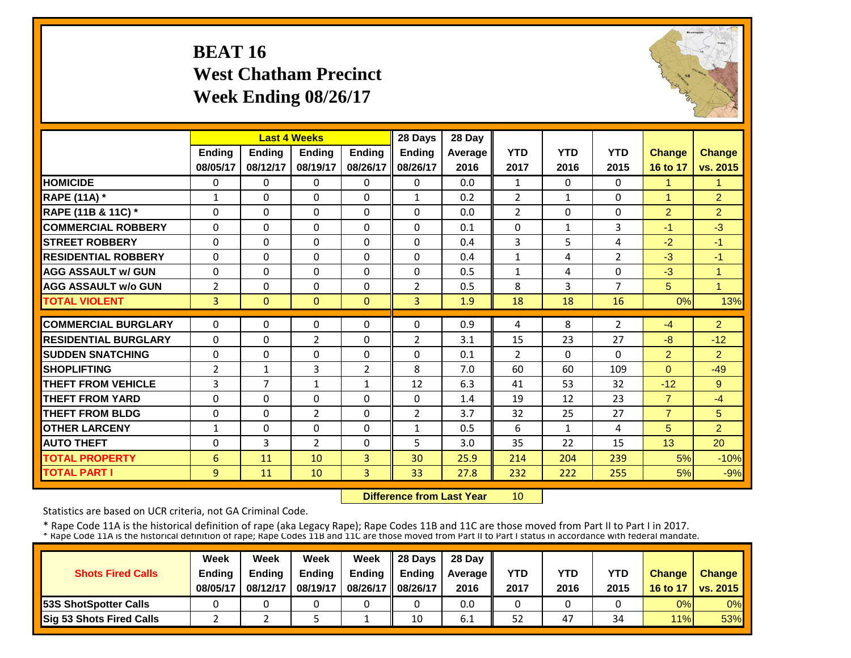# **BEAT 16 West Chatham Precinct Week Ending 08/26/17**



|                             |                |                | <b>Last 4 Weeks</b> |                | 28 Days        | 28 Day  |                |              |                |                |                      |
|-----------------------------|----------------|----------------|---------------------|----------------|----------------|---------|----------------|--------------|----------------|----------------|----------------------|
|                             | <b>Ending</b>  | <b>Ending</b>  | <b>Endina</b>       | <b>Ending</b>  | <b>Ending</b>  | Average | <b>YTD</b>     | <b>YTD</b>   | <b>YTD</b>     | <b>Change</b>  | <b>Change</b>        |
|                             | 08/05/17       | 08/12/17       | 08/19/17            | 08/26/17       | 08/26/17       | 2016    | 2017           | 2016         | 2015           | 16 to 17       | vs. 2015             |
| <b>HOMICIDE</b>             | $\Omega$       | $\Omega$       | $\Omega$            | $\Omega$       | 0              | 0.0     | $\mathbf{1}$   | $\Omega$     | 0              | 1              | 1                    |
| <b>RAPE (11A) *</b>         | $\mathbf{1}$   | $\Omega$       | $\mathbf{0}$        | $\Omega$       | $\mathbf{1}$   | 0.2     | $\overline{2}$ | 1            | 0              | 1              | $\overline{2}$       |
| RAPE (11B & 11C) *          | $\mathbf 0$    | $\Omega$       | $\Omega$            | $\Omega$       | $\Omega$       | 0.0     | $\overline{2}$ | $\Omega$     | 0              | $\overline{2}$ | $\overline{2}$       |
| <b>COMMERCIAL ROBBERY</b>   | $\Omega$       | $\Omega$       | $\Omega$            | $\Omega$       | $\Omega$       | 0.1     | $\Omega$       | $\mathbf{1}$ | 3              | $-1$           | $-3$                 |
| <b>STREET ROBBERY</b>       | $\mathbf 0$    | $\Omega$       | $\Omega$            | 0              | $\Omega$       | 0.4     | 3              | 5            | 4              | $-2$           | $-1$                 |
| <b>RESIDENTIAL ROBBERY</b>  | $\Omega$       | $\Omega$       | $\Omega$            | $\Omega$       | 0              | 0.4     | $\mathbf{1}$   | 4            | $\overline{2}$ | $-3$           | $-1$                 |
| <b>AGG ASSAULT w/ GUN</b>   | $\Omega$       | $\Omega$       | $\Omega$            | $\Omega$       | $\Omega$       | 0.5     | $\mathbf{1}$   | 4            | 0              | $-3$           | 1                    |
| <b>AGG ASSAULT w/o GUN</b>  | $\overline{2}$ | $\Omega$       | 0                   | 0              | $\overline{2}$ | 0.5     | 8              | 3            | 7              | 5              | $\blacktriangleleft$ |
| <b>TOTAL VIOLENT</b>        | 3              | $\mathbf{0}$   | $\Omega$            | $\mathbf{0}$   | $\overline{3}$ | 1.9     | 18             | 18           | 16             | 0%             | 13%                  |
| <b>COMMERCIAL BURGLARY</b>  | $\Omega$       | 0              | $\Omega$            | 0              | $\Omega$       | 0.9     | 4              | 8            | $\overline{2}$ | $-4$           | $\overline{2}$       |
| <b>RESIDENTIAL BURGLARY</b> | $\Omega$       | $\Omega$       | $\overline{2}$      | $\Omega$       | 2              | 3.1     | 15             | 23           | 27             | $-8$           | $-12$                |
| <b>SUDDEN SNATCHING</b>     | $\mathbf 0$    | $\Omega$       | $\Omega$            | $\Omega$       | $\Omega$       | 0.1     | $\overline{2}$ | $\Omega$     | 0              | $\overline{2}$ | $\overline{2}$       |
| <b>SHOPLIFTING</b>          | $\overline{2}$ | $\mathbf{1}$   | 3                   | $\overline{2}$ | 8              | 7.0     | 60             | 60           | 109            | $\Omega$       | $-49$                |
| <b>THEFT FROM VEHICLE</b>   | 3              | $\overline{7}$ | $\mathbf{1}$        | $\mathbf{1}$   | 12             | 6.3     | 41             | 53           | 32             | $-12$          | 9                    |
| <b>THEFT FROM YARD</b>      | 0              | $\Omega$       | $\Omega$            | $\Omega$       | 0              | 1.4     | 19             | 12           | 23             | $\overline{7}$ | $-4$                 |
| <b>THEFT FROM BLDG</b>      | $\Omega$       | $\Omega$       | $\overline{2}$      | $\Omega$       | $\overline{2}$ | 3.7     | 32             | 25           | 27             | $\overline{7}$ | 5                    |
| <b>OTHER LARCENY</b>        | $\mathbf{1}$   | $\Omega$       | $\Omega$            | $\Omega$       | $\mathbf{1}$   | 0.5     | 6              | $\mathbf{1}$ | 4              | 5              | $\overline{2}$       |
| <b>AUTO THEFT</b>           | $\Omega$       | 3              | $\overline{2}$      | $\Omega$       | 5.             | 3.0     | 35             | 22           | 15             | 13             | 20                   |
| <b>TOTAL PROPERTY</b>       | 6              | 11             | 10                  | 3              | 30             | 25.9    | 214            | 204          | 239            | 5%             | $-10%$               |
|                             |                |                |                     |                |                |         |                |              |                |                |                      |
| <b>TOTAL PART I</b>         | 9              | 11             | 10                  | 3              | 33             | 27.8    | 232            | 222          | 255            | 5%             | $-9%$                |

 **Difference from Last Year**10

Statistics are based on UCR criteria, not GA Criminal Code.

|                               | Week     | Week          | Week          | Week          | $\parallel$ 28 Davs | 28 Day    |      |      |      |               |                     |
|-------------------------------|----------|---------------|---------------|---------------|---------------------|-----------|------|------|------|---------------|---------------------|
| <b>Shots Fired Calls</b>      | Ending   | <b>Ending</b> | <b>Ending</b> | <b>Ending</b> | <b>Ending</b>       | Average I | YTD  | YTD  | YTD  | <b>Change</b> | <b>Change</b>       |
|                               | 08/05/17 | 08/12/17      | 08/19/17      | 08/26/17      | 08/26/17            | 2016      | 2017 | 2016 | 2015 |               | 16 to 17   vs. 2015 |
| <b>153S ShotSpotter Calls</b> |          |               |               |               |                     | 0.0       |      |      |      | 0%            | $0\%$               |
| Sig 53 Shots Fired Calls      |          |               |               |               | 10                  | -<br>6.1  | 52   | 47   | 34   | 11%           | <b>53%</b>          |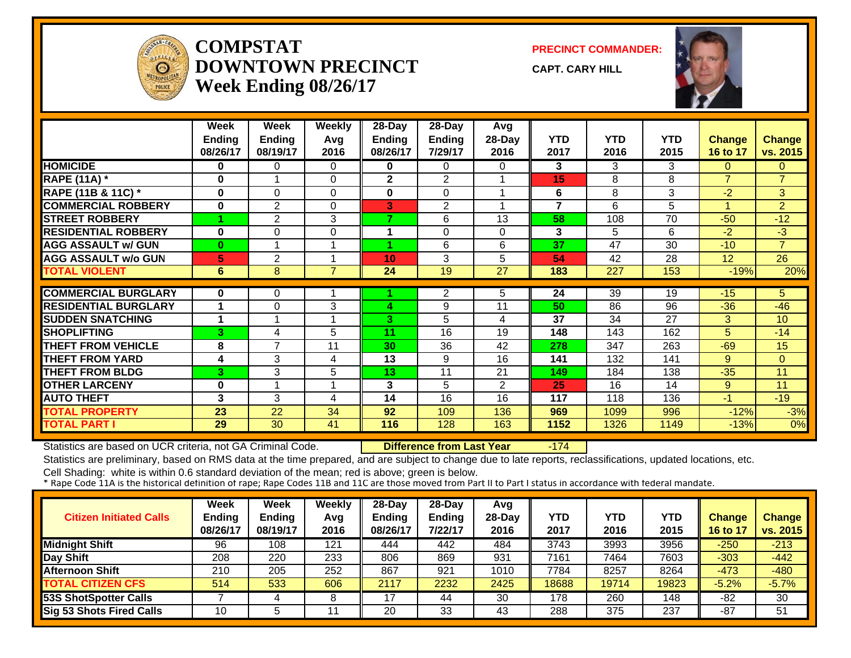

#### **COMPSTATDOWNTOWN PRECINCTWeek Ending 08/26/17**

**PRECINCT COMMANDER:**

**CAPT. CARY HILL**



|                             | Week           | Week           | <b>Weekly</b>  | 28-Day        | 28-Day        | Avg      |                |            |      |                 |                |
|-----------------------------|----------------|----------------|----------------|---------------|---------------|----------|----------------|------------|------|-----------------|----------------|
|                             | <b>Ending</b>  | <b>Ending</b>  | Avg            | <b>Ending</b> | <b>Ending</b> | 28-Day   | <b>YTD</b>     | <b>YTD</b> | YTD  | <b>Change</b>   | <b>Change</b>  |
|                             | 08/26/17       | 08/19/17       | 2016           | 08/26/17      | 7/29/17       | 2016     | 2017           | 2016       | 2015 | 16 to 17        | vs. 2015       |
| <b>HOMICIDE</b>             | 0              | 0              | $\Omega$       | 0             | 0             | $\Omega$ | 3              | 3          | 3    | $\Omega$        | $\mathbf{0}$   |
| <b>RAPE (11A) *</b>         | $\bf{0}$       | 1              | $\Omega$       | $\mathbf{2}$  | 2             |          | 15             | 8          | 8    | $\overline{7}$  | $\overline{7}$ |
| RAPE (11B & 11C) *          | 0              | 0              | 0              | 0             | 0             |          | 6              | 8          | 3    | $-2$            | 3 <sup>1</sup> |
| <b>COMMERCIAL ROBBERY</b>   | $\bf{0}$       | $\overline{2}$ | $\Omega$       | 3             | 2             |          | $\overline{7}$ | 6          | 5    | 1               | $\overline{2}$ |
| <b>STREET ROBBERY</b>       |                | 2              | 3              | 7             | 6             | 13       | 58             | 108        | 70   | $-50$           | $-12$          |
| <b>RESIDENTIAL ROBBERY</b>  | $\mathbf{0}$   | $\Omega$       | 0              |               | $\Omega$      | $\Omega$ | 3              | 5          | 6    | $-2$            | $-3$           |
| <b>AGG ASSAULT w/ GUN</b>   | $\bf{0}$       |                | 1              | 4             | 6             | 6        | 37             | 47         | 30   | $-10$           | $\overline{7}$ |
| <b>AGG ASSAULT w/o GUN</b>  | 5              | 2              | 4              | 10            | 3             | 5        | 54             | 42         | 28   | 12 <sup>2</sup> | 26             |
| <b>TOTAL VIOLENT</b>        | $6\phantom{1}$ | 8              | $\overline{7}$ | 24            | 19            | 27       | 183            | 227        | 153  | $-19%$          | 20%            |
|                             |                |                |                |               |               |          |                |            |      |                 |                |
| <b>COMMERCIAL BURGLARY</b>  | 0              | 0              |                |               | 2             | 5.       | 24             | 39         | 19   | $-15$           | 5.             |
| <b>RESIDENTIAL BURGLARY</b> | 1              | $\Omega$       | 3              | Δ             | 9             | 11       | 50             | 86         | 96   | $-36$           | $-46$          |
| <b>SUDDEN SNATCHING</b>     | 1              |                |                | 3.            | 5             | 4        | 37             | 34         | 27   | 3               | 10             |
| <b>SHOPLIFTING</b>          | 3              | 4              | 5              | 11            | 16            | 19       | 148            | 143        | 162  | 5               | $-14$          |
| <b>THEFT FROM VEHICLE</b>   | 8              | $\overline{7}$ | 11             | 30            | 36            | 42       | 278            | 347        | 263  | $-69$           | 15             |
| <b>THEFT FROM YARD</b>      | 4              | 3              | 4              | 13            | 9             | 16       | 141            | 132        | 141  | 9               | $\Omega$       |
| <b>THEFT FROM BLDG</b>      | 3              | 3              | 5              | 13            | 11            | 21       | 149            | 184        | 138  | $-35$           | 11             |
| <b>OTHER LARCENY</b>        | $\bf{0}$       |                | 1              | 3             | 5             | 2        | 25             | 16         | 14   | $9^{\circ}$     | 11             |
| <b>AUTO THEFT</b>           | 3              | 3              | 4              | 14            | 16            | 16       | 117            | 118        | 136  | $-11$           | $-19$          |
| <b>TOTAL PROPERTY</b>       | 23             | 22             | 34             | 92            | 109           | 136      | 969            | 1099       | 996  | $-12%$          | $-3%$          |
| <b>TOTAL PART I</b>         | 29             | 30             | 41             | 116           | 128           | 163      | 1152           | 1326       | 1149 | $-13%$          | 0%             |

Statistics are based on UCR criteria, not GA Criminal Code. **Difference from Last Year** -174

Statistics are preliminary, based on RMS data at the time prepared, and are subject to change due to late reports, reclassifications, updated locations, etc.

| <b>Citizen Initiated Calls</b> | Week<br><b>Ending</b><br>08/26/17 | Week<br><b>Ending</b><br>08/19/17 | Weekly<br>Avg<br>2016 | 28-Day<br><b>Ending</b><br>08/26/17 | $28-Dav$<br><b>Ending</b><br>7/22/17 | Avg<br>$28-Day$<br>2016 | <b>YTD</b><br>2017 | YTD<br>2016 | <b>YTD</b><br>2015 | <b>Change</b><br>16 to 17 | <b>Change</b><br>vs. 2015 |
|--------------------------------|-----------------------------------|-----------------------------------|-----------------------|-------------------------------------|--------------------------------------|-------------------------|--------------------|-------------|--------------------|---------------------------|---------------------------|
| <b>Midnight Shift</b>          | 96                                | 108                               | 121                   | 444                                 | 442                                  | 484                     | 3743               | 3993        | 3956               | $-250$                    | $-213$                    |
| Day Shift                      | 208                               | 220                               | 233                   | 806                                 | 869                                  | 931                     | 7161               | 7464        | 7603               | $-303$                    | $-442$                    |
| <b>Afternoon Shift</b>         | 210                               | 205                               | 252                   | 867                                 | 921                                  | 1010                    | 7784               | 8257        | 8264               | $-473$                    | $-480$                    |
| <b>TOTAL CITIZEN CFS</b>       | 514                               | 533                               | 606                   | 2117                                | 2232                                 | 2425                    | 18688              | 19714       | 19823              | $-5.2%$                   | $-5.7%$                   |
| 53S ShotSpotter Calls          |                                   |                                   | 8                     | 17                                  | 44                                   | 30                      | 178                | 260         | 148                | -82                       | 30                        |
| Sig 53 Shots Fired Calls       | 10                                |                                   |                       | 20                                  | 33                                   | 43                      | 288                | 375         | 237                | -87                       | 51                        |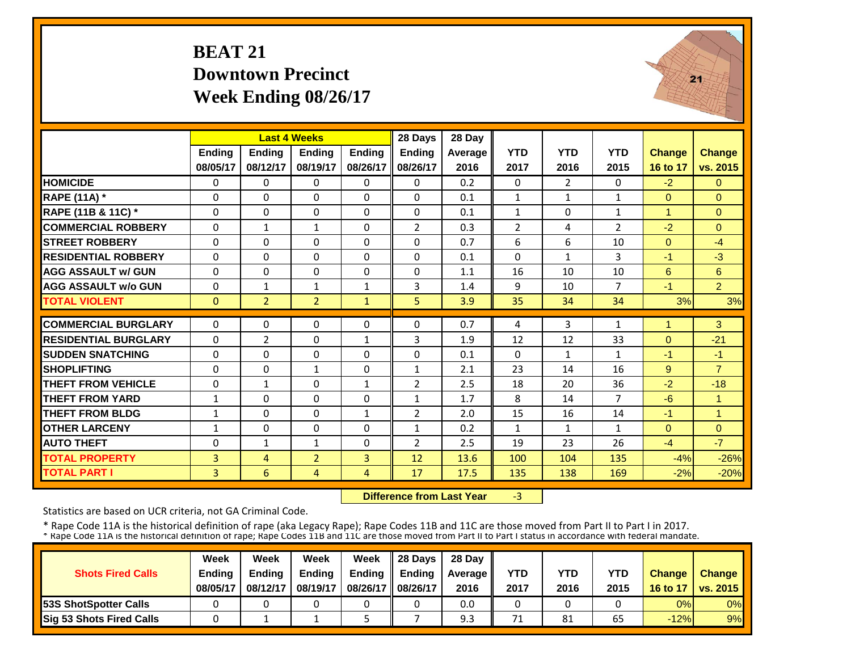# **BEAT 21 Downtown PrecinctWeek Ending 08/26/17**



|                             |               | <b>Last 4 Weeks</b> |                |                | 28 Days        | 28 Day  |                |                |                |                |                |
|-----------------------------|---------------|---------------------|----------------|----------------|----------------|---------|----------------|----------------|----------------|----------------|----------------|
|                             | <b>Ending</b> | Ending              | <b>Ending</b>  | <b>Endina</b>  | <b>Ending</b>  | Average | <b>YTD</b>     | <b>YTD</b>     | <b>YTD</b>     | <b>Change</b>  | <b>Change</b>  |
|                             | 08/05/17      | 08/12/17            | 08/19/17       | 08/26/17       | 08/26/17       | 2016    | 2017           | 2016           | 2015           | 16 to 17       | vs. 2015       |
| <b>HOMICIDE</b>             | $\Omega$      | $\Omega$            | $\Omega$       | $\Omega$       | $\Omega$       | 0.2     | $\Omega$       | $\overline{2}$ | 0              | $-2$           | $\Omega$       |
| <b>RAPE (11A) *</b>         | $\Omega$      | $\Omega$            | $\Omega$       | $\Omega$       | $\Omega$       | 0.1     | $\mathbf{1}$   | $\mathbf{1}$   | $\mathbf{1}$   | $\Omega$       | $\Omega$       |
| RAPE (11B & 11C) *          | $\Omega$      | $\Omega$            | $\Omega$       | $\Omega$       | $\Omega$       | 0.1     | $\mathbf{1}$   | $\Omega$       | $\mathbf 1$    | $\mathbf{1}$   | $\Omega$       |
| <b>COMMERCIAL ROBBERY</b>   | $\Omega$      | $\mathbf{1}$        | $\mathbf{1}$   | $\Omega$       | $\overline{2}$ | 0.3     | $\overline{2}$ | 4              | $\overline{2}$ | $-2$           | $\Omega$       |
| <b>STREET ROBBERY</b>       | $\Omega$      | $\Omega$            | $\Omega$       | $\Omega$       | $\Omega$       | 0.7     | 6              | 6              | 10             | $\overline{0}$ | $-4$           |
| <b>RESIDENTIAL ROBBERY</b>  | $\Omega$      | $\Omega$            | $\Omega$       | $\Omega$       | $\Omega$       | 0.1     | $\Omega$       | $\mathbf{1}$   | 3              | $-1$           | $-3$           |
| <b>AGG ASSAULT w/ GUN</b>   | $\Omega$      | $\Omega$            | $\Omega$       | $\Omega$       | $\Omega$       | 1.1     | 16             | 10             | 10             | 6              | 6              |
| <b>AGG ASSAULT w/o GUN</b>  | 0             | 1                   | $\mathbf{1}$   | $\mathbf{1}$   | 3              | 1.4     | 9              | 10             | 7              | $-1$           | $\overline{2}$ |
| <b>TOTAL VIOLENT</b>        | $\Omega$      | $\overline{2}$      | $\overline{2}$ | $\mathbf{1}$   | 5              | 3.9     | 35             | 34             | 34             | 3%             | 3%             |
| <b>COMMERCIAL BURGLARY</b>  | $\Omega$      | $\Omega$            | $\Omega$       | $\Omega$       | $\Omega$       | 0.7     | 4              | 3              | 1              | 1              | 3              |
| <b>RESIDENTIAL BURGLARY</b> | $\Omega$      | $\overline{2}$      | $\Omega$       | $\mathbf{1}$   | 3              | 1.9     | 12             | 12             | 33             | $\mathbf{0}$   | $-21$          |
| <b>ISUDDEN SNATCHING</b>    | $\Omega$      | $\Omega$            | $\Omega$       | $\Omega$       | $\Omega$       | 0.1     | $\Omega$       | $\mathbf{1}$   | $\mathbf{1}$   | $-1$           | $-1$           |
| <b>SHOPLIFTING</b>          | $\Omega$      | $\Omega$            | $\mathbf{1}$   | $\Omega$       | $\mathbf{1}$   | 2.1     | 23             | 14             | 16             | 9              | $\overline{7}$ |
| <b>THEFT FROM VEHICLE</b>   | $\Omega$      | $\mathbf{1}$        | $\Omega$       | $\mathbf{1}$   | $\overline{2}$ | 2.5     | 18             | 20             | 36             | $-2$           | $-18$          |
| <b>THEFT FROM YARD</b>      | 1             | 0                   | $\Omega$       | 0              | 1              | 1.7     | 8              | 14             | $\overline{7}$ | $-6$           | 1              |
| <b>THEFT FROM BLDG</b>      | $\mathbf{1}$  | $\Omega$            | $\Omega$       | $\mathbf{1}$   | $\overline{2}$ | 2.0     | 15             | 16             | 14             | $-1$           | 1              |
| <b>OTHER LARCENY</b>        | $\mathbf{1}$  | $\Omega$            | $\Omega$       | $\Omega$       | $\mathbf{1}$   | 0.2     | $\mathbf{1}$   | $\mathbf{1}$   | $\mathbf{1}$   | $\Omega$       | $\Omega$       |
| <b>AUTO THEFT</b>           | $\Omega$      | $\mathbf{1}$        | $\mathbf{1}$   | $\Omega$       | $\overline{2}$ | 2.5     | 19             | 23             | 26             | $-4$           | $-7$           |
| <b>TOTAL PROPERTY</b>       | 3             | 4                   | $\overline{2}$ | 3              | 12             | 13.6    | 100            | 104            | 135            | $-4%$          | $-26%$         |
| <b>TOTAL PART I</b>         | 3             | 6                   | 4              | $\overline{4}$ | 17             | 17.5    | 135            | 138            | 169            | $-2%$          | $-20%$         |

 **Difference from Last Year** $-3$ 

Statistics are based on UCR criteria, not GA Criminal Code.

|                               | Week     | Week          | Week          | Week          | $\parallel$ 28 Davs | 28 Day    |      |      |      |               |                     |
|-------------------------------|----------|---------------|---------------|---------------|---------------------|-----------|------|------|------|---------------|---------------------|
| <b>Shots Fired Calls</b>      | Ending   | <b>Ending</b> | <b>Ending</b> | <b>Ending</b> | <b>Ending</b>       | Average I | YTD  | YTD  | YTD  | <b>Change</b> | <b>Change</b>       |
|                               | 08/05/17 | 08/12/17      | 08/19/17      | 08/26/17      | 08/26/17            | 2016      | 2017 | 2016 | 2015 |               | 16 to 17   vs. 2015 |
| <b>153S ShotSpotter Calls</b> |          |               |               |               |                     | 0.0       |      |      |      | 0%            | $0\%$               |
| Sig 53 Shots Fired Calls      |          |               |               |               |                     | 9.3       | 71   | 81   | 65   | $-12%$        | 9%                  |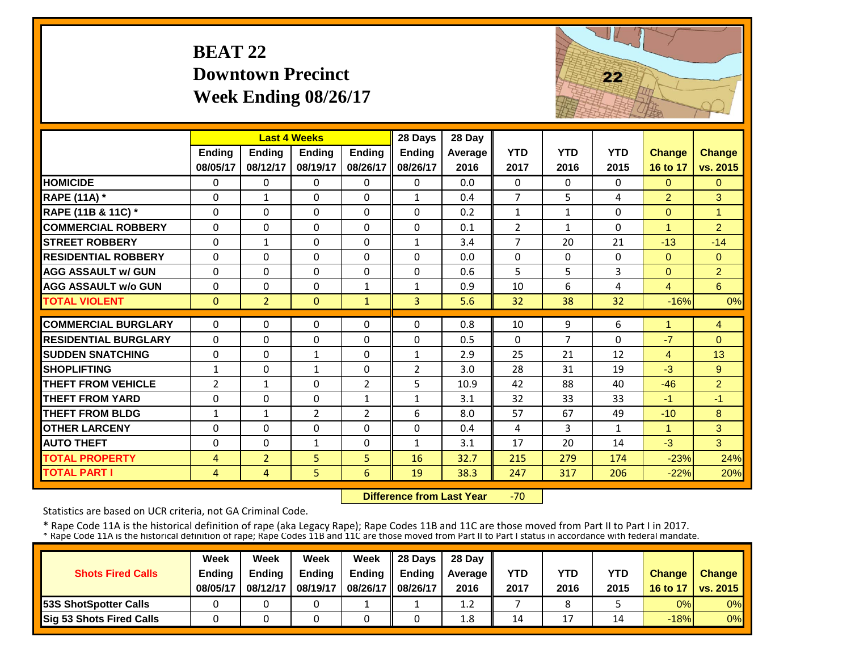# **BEAT 22 Downtown PrecinctWeek Ending 08/26/17**



|                             |                | <b>Last 4 Weeks</b> |                |               | 28 Days        | 28 Day  |                |                |              |                |                |
|-----------------------------|----------------|---------------------|----------------|---------------|----------------|---------|----------------|----------------|--------------|----------------|----------------|
|                             | <b>Ending</b>  | Ending              | <b>Ending</b>  | <b>Ending</b> | Ending         | Average | <b>YTD</b>     | <b>YTD</b>     | <b>YTD</b>   | <b>Change</b>  | <b>Change</b>  |
|                             | 08/05/17       | 08/12/17            | 08/19/17       | 08/26/17      | 08/26/17       | 2016    | 2017           | 2016           | 2015         | 16 to 17       | vs. 2015       |
| <b>HOMICIDE</b>             | $\Omega$       | 0                   | $\Omega$       | $\Omega$      | $\Omega$       | 0.0     | $\Omega$       | $\Omega$       | 0            | $\Omega$       | $\Omega$       |
| <b>RAPE (11A) *</b>         | $\Omega$       | $\mathbf{1}$        | $\Omega$       | $\Omega$      | $\mathbf{1}$   | 0.4     | $\overline{7}$ | 5              | 4            | $\overline{2}$ | 3              |
| RAPE (11B & 11C) *          | $\Omega$       | $\Omega$            | $\Omega$       | $\Omega$      | $\Omega$       | 0.2     | $\mathbf{1}$   | $\mathbf{1}$   | 0            | $\overline{0}$ | $\mathbf{1}$   |
| <b>COMMERCIAL ROBBERY</b>   | $\Omega$       | $\Omega$            | $\Omega$       | $\Omega$      | $\Omega$       | 0.1     | $\overline{2}$ | $\mathbf{1}$   | $\Omega$     | $\overline{1}$ | $\overline{2}$ |
| <b>STREET ROBBERY</b>       | $\mathbf{0}$   | $\mathbf{1}$        | 0              | $\Omega$      | $\mathbf{1}$   | 3.4     | $\overline{7}$ | 20             | 21           | $-13$          | $-14$          |
| <b>RESIDENTIAL ROBBERY</b>  | $\Omega$       | 0                   | $\Omega$       | $\Omega$      | 0              | 0.0     | $\Omega$       | $\Omega$       | 0            | $\Omega$       | $\Omega$       |
| <b>AGG ASSAULT w/ GUN</b>   | $\Omega$       | $\Omega$            | $\Omega$       | $\Omega$      | $\Omega$       | 0.6     | 5              | 5              | 3            | $\Omega$       | $\overline{2}$ |
| <b>AGG ASSAULT w/o GUN</b>  | $\Omega$       | 0                   | 0              | $\mathbf{1}$  | $\mathbf{1}$   | 0.9     | 10             | 6              | 4            | $\overline{4}$ | 6 <sup>°</sup> |
| <b>TOTAL VIOLENT</b>        | $\Omega$       | $\overline{2}$      | $\mathbf{0}$   | $\mathbf{1}$  | 3              | 5.6     | 32             | 38             | 32           | $-16%$         | 0%             |
| <b>COMMERCIAL BURGLARY</b>  | $\Omega$       | 0                   | 0              | 0             | $\Omega$       | 0.8     | 10             | 9              | 6            | 1              | 4              |
| <b>RESIDENTIAL BURGLARY</b> |                |                     |                |               |                | 0.5     |                | $\overline{7}$ |              | $-7$           |                |
|                             | $\Omega$       | 0                   | $\Omega$       | $\Omega$      | $\Omega$       |         | $\Omega$       |                | 0            |                | $\Omega$       |
| <b>SUDDEN SNATCHING</b>     | $\Omega$       | 0                   | $\mathbf{1}$   | $\Omega$      | $\mathbf{1}$   | 2.9     | 25             | 21             | 12           | 4              | 13             |
| <b>SHOPLIFTING</b>          | $\mathbf{1}$   | $\Omega$            | $\mathbf{1}$   | $\Omega$      | $\overline{2}$ | 3.0     | 28             | 31             | 19           | $-3$           | 9              |
| <b>THEFT FROM VEHICLE</b>   | $\overline{2}$ | $\mathbf{1}$        | $\Omega$       | 2             | 5              | 10.9    | 42             | 88             | 40           | $-46$          | $\overline{2}$ |
| <b>THEFT FROM YARD</b>      | $\Omega$       | 0                   | 0              | 1             | $\mathbf{1}$   | 3.1     | 32             | 33             | 33           | $-1$           | $-1$           |
| <b>THEFT FROM BLDG</b>      | $\mathbf{1}$   | $\mathbf{1}$        | $\overline{2}$ | 2             | 6              | 8.0     | 57             | 67             | 49           | $-10$          | 8              |
| <b>OTHER LARCENY</b>        | $\Omega$       | 0                   | $\Omega$       | $\Omega$      | 0              | 0.4     | 4              | 3              | $\mathbf{1}$ | 1              | 3              |
| <b>AUTO THEFT</b>           | $\Omega$       | 0                   | $\mathbf{1}$   | $\Omega$      | $\mathbf{1}$   | 3.1     | 17             | 20             | 14           | $-3$           | 3              |
| <b>TOTAL PROPERTY</b>       | $\overline{4}$ | $\overline{2}$      | 5              | 5             | 16             | 32.7    | 215            | 279            | 174          | $-23%$         | 24%            |
| <b>TOTAL PART I</b>         | $\overline{4}$ | $\overline{4}$      | 5              | 6             | 19             | 38.3    | 247            | 317            | 206          | $-22%$         | 20%            |

 **Difference from Last Year** $-70$ 

Statistics are based on UCR criteria, not GA Criminal Code.

|                               | Week     | Week     | Week          | Week          | Il 28 Davs    | 28 Day         |      |      |      |               |                 |
|-------------------------------|----------|----------|---------------|---------------|---------------|----------------|------|------|------|---------------|-----------------|
| <b>Shots Fired Calls</b>      | Ending   | Ending   | <b>Ending</b> | <b>Ending</b> | <b>Ending</b> | <b>Average</b> | YTD  | YTD  | YTD  | <b>Change</b> | <b>Change</b>   |
|                               | 08/05/17 | 08/12/17 | 08/19/17      | 08/26/17      | 08/26/17      | 2016           | 2017 | 2016 | 2015 | 16 to 17      | <b>vs. 2015</b> |
| <b>153S ShotSpotter Calls</b> |          |          |               |               |               | 1.2            |      |      |      | 0%            | $0\%$           |
| Sig 53 Shots Fired Calls      |          |          |               |               |               | 1.8            | 14   | 17   | 14   | $-18%$        | 0%              |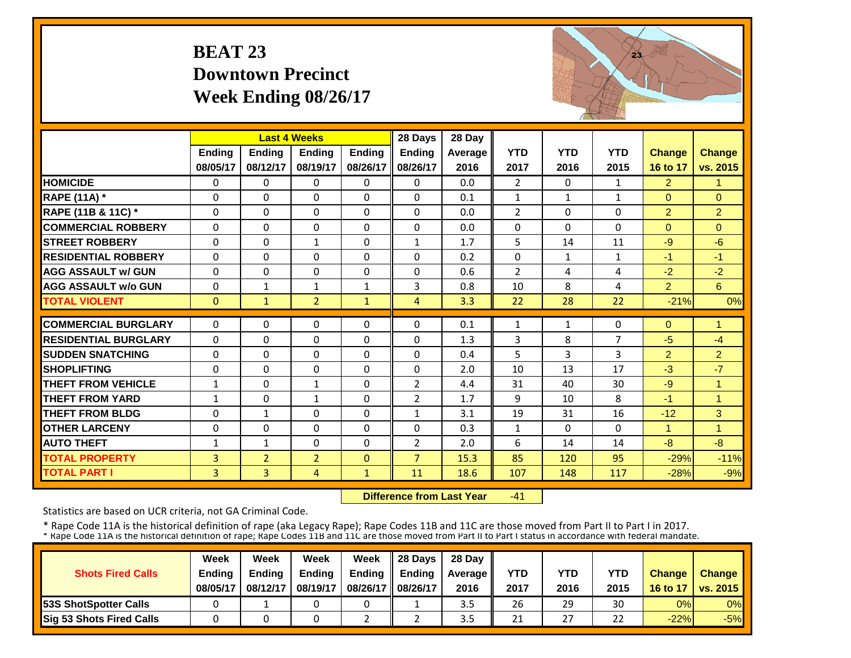# **BEAT 23 Downtown PrecinctWeek Ending 08/26/17**



|                             |                | <b>Last 4 Weeks</b> |                |               | 28 Days        | 28 Day  |                |              |              |                |                |
|-----------------------------|----------------|---------------------|----------------|---------------|----------------|---------|----------------|--------------|--------------|----------------|----------------|
|                             | <b>Ending</b>  | <b>Ending</b>       | <b>Endina</b>  | <b>Ending</b> | <b>Endina</b>  | Average | <b>YTD</b>     | <b>YTD</b>   | <b>YTD</b>   | <b>Change</b>  | <b>Change</b>  |
|                             | 08/05/17       | 08/12/17            | 08/19/17       | 08/26/17      | 08/26/17       | 2016    | 2017           | 2016         | 2015         | 16 to 17       | vs. 2015       |
| <b>HOMICIDE</b>             | $\Omega$       | 0                   | $\Omega$       | 0             | 0              | 0.0     | $\overline{2}$ | $\Omega$     | 1            | $\overline{2}$ | 1              |
| <b>RAPE (11A) *</b>         | $\Omega$       | 0                   | $\Omega$       | $\Omega$      | $\Omega$       | 0.1     | $\mathbf{1}$   | $\mathbf{1}$ | $\mathbf{1}$ | $\Omega$       | $\Omega$       |
| RAPE (11B & 11C) *          | $\Omega$       | $\Omega$            | $\Omega$       | $\Omega$      | $\Omega$       | 0.0     | $\overline{2}$ | $\Omega$     | 0            | $\overline{2}$ | $\overline{2}$ |
| <b>COMMERCIAL ROBBERY</b>   | $\Omega$       | $\Omega$            | $\Omega$       | $\Omega$      | $\Omega$       | 0.0     | $\Omega$       | $\Omega$     | 0            | $\Omega$       | $\Omega$       |
| <b>STREET ROBBERY</b>       | $\mathbf{0}$   | $\Omega$            | $\mathbf{1}$   | $\Omega$      | $\mathbf{1}$   | 1.7     | 5              | 14           | 11           | $-9$           | $-6$           |
| <b>RESIDENTIAL ROBBERY</b>  | $\Omega$       | $\Omega$            | $\Omega$       | $\Omega$      | $\Omega$       | 0.2     | $\Omega$       | $\mathbf{1}$ | $\mathbf{1}$ | $-1$           | $-1$           |
| <b>AGG ASSAULT w/ GUN</b>   | $\Omega$       | $\Omega$            | $\Omega$       | $\Omega$      | $\Omega$       | 0.6     | $\overline{2}$ | 4            | 4            | $-2$           | $-2$           |
| <b>AGG ASSAULT w/o GUN</b>  | $\Omega$       | $\mathbf{1}$        | $\mathbf{1}$   | $\mathbf{1}$  | 3              | 0.8     | 10             | 8            | 4            | $\overline{2}$ | 6              |
| <b>TOTAL VIOLENT</b>        | $\mathbf{0}$   | $\mathbf{1}$        | $\overline{2}$ | $\mathbf{1}$  | $\overline{4}$ | 3.3     | 22             | 28           | 22           | $-21%$         | 0%             |
| <b>COMMERCIAL BURGLARY</b>  | $\Omega$       | 0                   | $\Omega$       | 0             | $\Omega$       | 0.1     | 1              | $\mathbf{1}$ | 0            | $\Omega$       | 1              |
|                             |                |                     |                |               |                |         |                |              |              |                |                |
| <b>RESIDENTIAL BURGLARY</b> | $\Omega$       | 0                   | $\Omega$       | $\Omega$      | $\Omega$       | 1.3     | 3              | 8            | 7            | $-5$           | $-4$           |
| <b>SUDDEN SNATCHING</b>     | $\Omega$       | 0                   | 0              | $\Omega$      | $\Omega$       | 0.4     | 5              | 3            | 3            | $\overline{2}$ | $\overline{2}$ |
| <b>SHOPLIFTING</b>          | $\Omega$       | 0                   | $\Omega$       | $\Omega$      | $\Omega$       | 2.0     | 10             | 13           | 17           | $-3$           | $-7$           |
| <b>THEFT FROM VEHICLE</b>   | $\mathbf{1}$   | 0                   | 1              | $\Omega$      | $\overline{2}$ | 4.4     | 31             | 40           | 30           | $-9$           | $\overline{1}$ |
| <b>THEFT FROM YARD</b>      | $\mathbf{1}$   | 0                   | $\mathbf{1}$   | $\Omega$      | $\overline{2}$ | 1.7     | 9              | 10           | 8            | $-1$           | $\overline{1}$ |
| <b>THEFT FROM BLDG</b>      | $\Omega$       | $\mathbf{1}$        | $\Omega$       | $\Omega$      | $\mathbf{1}$   | 3.1     | 19             | 31           | 16           | $-12$          | 3              |
| <b>OTHER LARCENY</b>        | $\Omega$       | $\Omega$            | $\Omega$       | $\Omega$      | $\Omega$       | 0.3     | $\mathbf{1}$   | $\Omega$     | 0            | 1              | $\overline{1}$ |
| <b>AUTO THEFT</b>           | $\mathbf{1}$   | $\mathbf{1}$        | $\Omega$       | $\Omega$      | $\overline{2}$ | 2.0     | 6              | 14           | 14           | $-8$           | $-8$           |
| <b>TOTAL PROPERTY</b>       | 3              | $\overline{2}$      | $\overline{2}$ | $\mathbf{0}$  | $\overline{7}$ | 15.3    | 85             | 120          | 95           | $-29%$         | $-11%$         |
| <b>TOTAL PART I</b>         | $\overline{3}$ | $\overline{3}$      | 4              | $\mathbf{1}$  | 11             | 18.6    | 107            | 148          | 117          | $-28%$         | $-9%$          |

 **Difference from Last Year** $-41$ 

Statistics are based on UCR criteria, not GA Criminal Code.

|                               | Week     | Week          | Week          | Week          | $\parallel$ 28 Davs | 28 Day    |      |      |      |               |                     |
|-------------------------------|----------|---------------|---------------|---------------|---------------------|-----------|------|------|------|---------------|---------------------|
| <b>Shots Fired Calls</b>      | Ending   | <b>Ending</b> | <b>Ending</b> | <b>Ending</b> | <b>Ending</b>       | Average I | YTD  | YTD  | YTD  | <b>Change</b> | <b>Change</b>       |
|                               | 08/05/17 | 08/12/17      | 08/19/17      | 08/26/17      | 08/26/17            | 2016      | 2017 | 2016 | 2015 |               | 16 to 17   vs. 2015 |
| <b>153S ShotSpotter Calls</b> |          |               |               |               |                     | 3.5       | 26   | 29   | 30   | 0%            | $0\%$               |
| Sig 53 Shots Fired Calls      |          |               |               |               |                     | ں د       | 21   | 27   | 22   | $-22%$        | $-5%$               |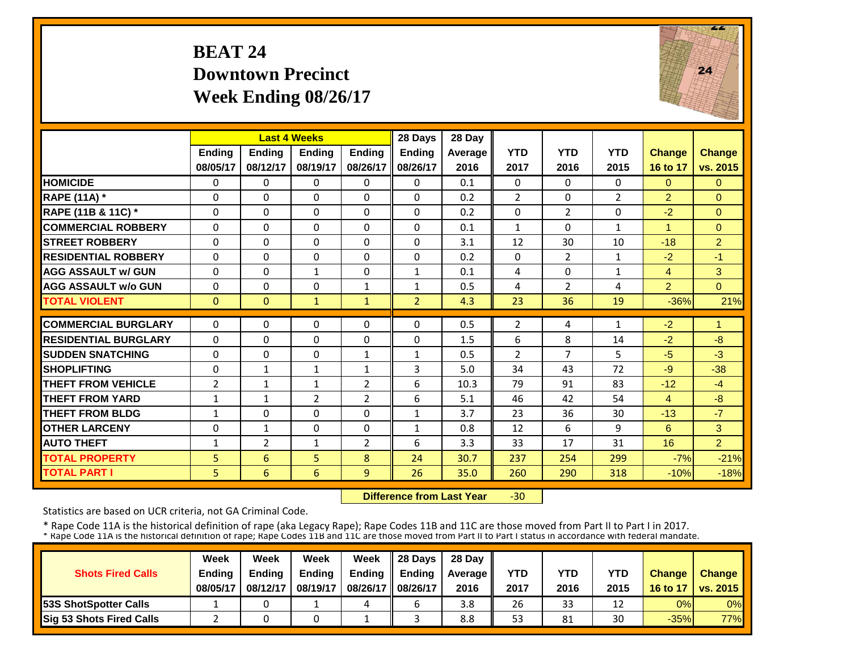### **BEAT 24 Downtown PrecinctWeek Ending 08/26/17**



|                             |                | <b>Last 4 Weeks</b> |               |                | 28 Days        | 28 Day  |                |                |                |                |                |
|-----------------------------|----------------|---------------------|---------------|----------------|----------------|---------|----------------|----------------|----------------|----------------|----------------|
|                             | <b>Ending</b>  | <b>Ending</b>       | <b>Endina</b> | <b>Endina</b>  | <b>Endina</b>  | Average | <b>YTD</b>     | <b>YTD</b>     | <b>YTD</b>     | <b>Change</b>  | Change         |
|                             | 08/05/17       | 08/12/17            | 08/19/17      | 08/26/17       | 08/26/17       | 2016    | 2017           | 2016           | 2015           | 16 to 17       | vs. 2015       |
| <b>HOMICIDE</b>             | $\Omega$       | $\Omega$            | $\Omega$      | $\Omega$       | $\Omega$       | 0.1     | $\Omega$       | $\Omega$       | 0              | $\mathbf{0}$   | $\Omega$       |
| <b>RAPE (11A) *</b>         | $\Omega$       | $\Omega$            | $\Omega$      | 0              | $\Omega$       | 0.2     | $\overline{2}$ | $\Omega$       | $\overline{2}$ | $\overline{2}$ | $\Omega$       |
| RAPE (11B & 11C) *          | 0              | $\Omega$            | 0             | $\Omega$       | $\Omega$       | 0.2     | $\mathbf 0$    | $\overline{2}$ | 0              | $-2$           | $\overline{0}$ |
| <b>COMMERCIAL ROBBERY</b>   | $\Omega$       | $\Omega$            | $\Omega$      | $\Omega$       | 0              | 0.1     | $\mathbf{1}$   | 0              | $\mathbf{1}$   |                | $\Omega$       |
| <b>STREET ROBBERY</b>       | $\Omega$       | $\Omega$            | $\Omega$      | $\Omega$       | 0              | 3.1     | 12             | 30             | 10             | $-18$          | $\overline{2}$ |
| <b>RESIDENTIAL ROBBERY</b>  | $\Omega$       | $\Omega$            | $\Omega$      | $\Omega$       | 0              | 0.2     | $\Omega$       | $\overline{2}$ | $\mathbf{1}$   | $-2$           | $-1$           |
| <b>AGG ASSAULT w/ GUN</b>   | $\Omega$       | $\Omega$            | $\mathbf{1}$  | 0              | $\mathbf{1}$   | 0.1     | 4              | 0              | $\mathbf{1}$   | 4              | 3              |
| <b>AGG ASSAULT w/o GUN</b>  | $\Omega$       | $\Omega$            | 0             | $\mathbf{1}$   | $\mathbf{1}$   | 0.5     | 4              | $\overline{2}$ | 4              | $\overline{2}$ | $\Omega$       |
| <b>TOTAL VIOLENT</b>        | $\Omega$       | $\Omega$            | $\mathbf{1}$  | $\mathbf{1}$   | $\overline{2}$ | 4.3     | 23             | 36             | 19             | $-36%$         | 21%            |
| <b>COMMERCIAL BURGLARY</b>  | $\Omega$       | $\Omega$            | $\Omega$      | $\Omega$       | 0              | 0.5     | $\overline{2}$ | 4              | 1              | $-2$           | 1              |
| <b>RESIDENTIAL BURGLARY</b> | 0              | $\Omega$            | $\Omega$      | $\Omega$       | 0              | 1.5     | 6              | 8              | 14             | $-2$           | $-8$           |
| <b>SUDDEN SNATCHING</b>     | $\Omega$       | $\Omega$            | 0             | $\mathbf{1}$   | $\mathbf{1}$   | 0.5     | $\overline{2}$ | 7              | 5              | $-5$           | $-3$           |
| <b>SHOPLIFTING</b>          | $\Omega$       | $\mathbf{1}$        | $\mathbf{1}$  | $\mathbf{1}$   | 3              | 5.0     | 34             | 43             | 72             | $-9$           | $-38$          |
| <b>THEFT FROM VEHICLE</b>   | $\overline{2}$ | $\mathbf{1}$        | $\mathbf{1}$  | 2              | 6              | 10.3    | 79             | 91             | 83             | $-12$          | $-4$           |
| <b>THEFT FROM YARD</b>      | $\mathbf{1}$   | $\mathbf{1}$        | 2             | $\overline{2}$ | 6              | 5.1     | 46             | 42             | 54             | $\overline{4}$ | $-8$           |
| <b>THEFT FROM BLDG</b>      | $\mathbf{1}$   | $\Omega$            | $\Omega$      | $\Omega$       | $\mathbf{1}$   | 3.7     | 23             | 36             | 30             | $-13$          | $-7$           |
| <b>OTHER LARCENY</b>        | $\Omega$       | $\mathbf{1}$        | $\Omega$      | $\Omega$       | $\mathbf{1}$   | 0.8     | 12             | 6              | 9              | 6              | 3              |
| <b>AUTO THEFT</b>           |                | 2                   | $\mathbf{1}$  | $\overline{2}$ | 6              | 3.3     | 33             | 17             | 31             | 16             | $\overline{2}$ |
| <b>TOTAL PROPERTY</b>       | 1<br>5         | 6                   | 5             | 8              | 24             | 30.7    | 237            | 254            | 299            | $-7%$          | $-21%$         |
|                             |                |                     |               |                |                |         |                |                |                |                |                |
| <b>TOTAL PART I</b>         | 5              | 6                   | 6             | 9              | 26             | 35.0    | 260            | 290            | 318            | $-10%$         | $-18%$         |

 **Difference from Last Year** $-30$ 

Statistics are based on UCR criteria, not GA Criminal Code.

|                               | Week     | Week          | Week          | Week          | $\parallel$ 28 Davs | 28 Day    |      |      |      |               |                     |
|-------------------------------|----------|---------------|---------------|---------------|---------------------|-----------|------|------|------|---------------|---------------------|
| <b>Shots Fired Calls</b>      | Ending   | <b>Ending</b> | <b>Ending</b> | <b>Ending</b> | <b>Ending</b>       | Average I | YTD  | YTD  | YTD  | <b>Change</b> | <b>Change</b>       |
|                               | 08/05/17 | 08/12/17      | 08/19/17      | 08/26/17      | 08/26/17            | 2016      | 2017 | 2016 | 2015 |               | 16 to 17   vs. 2015 |
| <b>153S ShotSpotter Calls</b> |          |               |               | 4             |                     | 3.8       | 26   | 33   | 12   | 0%            | $0\%$               |
| Sig 53 Shots Fired Calls      |          |               |               |               |                     | 8.8       | 53   | 81   | 30   | $-35%$        | <b>77%</b>          |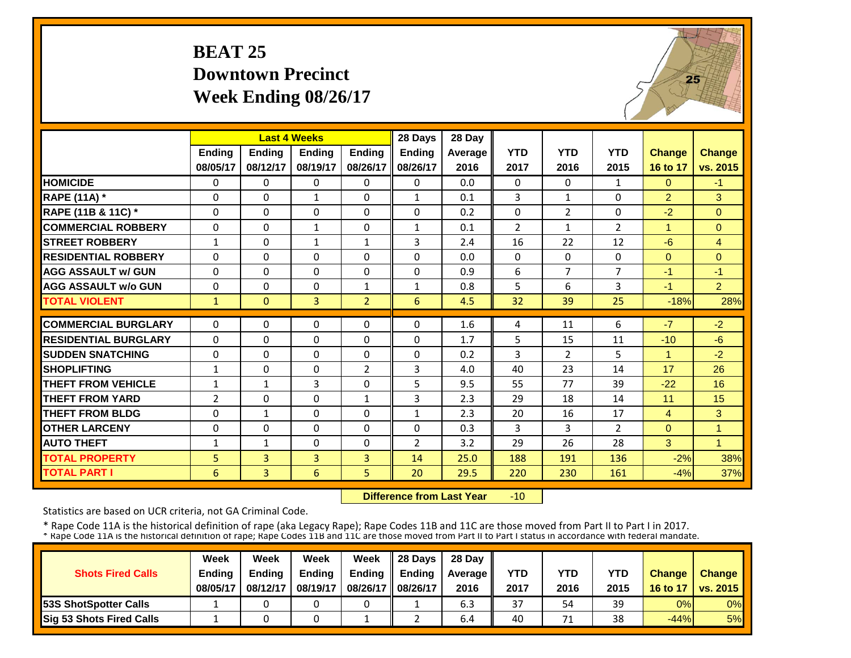# **BEAT 25 Downtown PrecinctWeek Ending 08/26/17**



|                             |              | <b>Last 4 Weeks</b> |                |                | 28 Days        | 28 Day  |                |                |                |                |                |
|-----------------------------|--------------|---------------------|----------------|----------------|----------------|---------|----------------|----------------|----------------|----------------|----------------|
|                             | Ending       | <b>Endina</b>       | <b>Ending</b>  | <b>Endina</b>  | <b>Ending</b>  | Average | <b>YTD</b>     | <b>YTD</b>     | <b>YTD</b>     | <b>Change</b>  | <b>Change</b>  |
|                             | 08/05/17     | 08/12/17            | 08/19/17       | 08/26/17       | 08/26/17       | 2016    | 2017           | 2016           | 2015           | 16 to 17       | vs. 2015       |
| <b>HOMICIDE</b>             | $\mathbf{0}$ | $\Omega$            | $\Omega$       | $\Omega$       | $\Omega$       | 0.0     | $\Omega$       | $\Omega$       | 1              | $\Omega$       | $-1$           |
| <b>RAPE (11A) *</b>         | 0            | $\Omega$            | 1              | $\Omega$       | 1              | 0.1     | 3              | $\mathbf{1}$   | 0              | $\overline{2}$ | 3              |
| RAPE (11B & 11C) *          | $\mathbf 0$  | $\Omega$            | $\Omega$       | $\Omega$       | 0              | 0.2     | $\mathbf 0$    | $\overline{2}$ | 0              | $-2$           | $\mathbf{0}$   |
| <b>COMMERCIAL ROBBERY</b>   | $\Omega$     | $\Omega$            | $\mathbf{1}$   | $\mathbf{0}$   | $\mathbf{1}$   | 0.1     | $\overline{2}$ | $\mathbf{1}$   | $\overline{2}$ | 1              | $\Omega$       |
| <b>ISTREET ROBBERY</b>      | $\mathbf{1}$ | $\Omega$            | $\mathbf{1}$   | $\mathbf{1}$   | 3              | 2.4     | 16             | 22             | 12             | $-6$           | $\overline{4}$ |
| <b>RESIDENTIAL ROBBERY</b>  | $\Omega$     | $\Omega$            | $\Omega$       | 0              | 0              | 0.0     | $\Omega$       | $\Omega$       | 0              | $\Omega$       | $\Omega$       |
| <b>AGG ASSAULT w/ GUN</b>   | $\Omega$     | $\Omega$            | $\Omega$       | 0              | 0              | 0.9     | 6              | 7              | 7              | $-1$           | $-1$           |
| <b>AGG ASSAULT w/o GUN</b>  | $\Omega$     | $\Omega$            | $\Omega$       | $\mathbf{1}$   | $\mathbf{1}$   | 0.8     | 5              | 6              | 3              | $-1$           | $\overline{2}$ |
| <b>TOTAL VIOLENT</b>        | $\mathbf{1}$ | $\mathbf{0}$        | 3              | $\overline{2}$ | 6              | 4.5     | 32             | 39             | 25             | $-18%$         | 28%            |
| <b>COMMERCIAL BURGLARY</b>  | $\Omega$     | $\Omega$            | 0              | 0              | 0              | 1.6     | 4              | 11             | 6              | $-7$           | $-2$           |
| <b>RESIDENTIAL BURGLARY</b> | $\Omega$     | $\Omega$            | $\Omega$       | 0              | 0              | 1.7     | 5              | 15             | 11             | $-10$          | $-6$           |
| <b>SUDDEN SNATCHING</b>     | 0            | $\Omega$            | $\Omega$       | $\Omega$       | 0              | 0.2     | 3              | $\overline{2}$ | 5              | 1              | $-2$           |
| <b>SHOPLIFTING</b>          | $\mathbf{1}$ | $\Omega$            | $\Omega$       | $\overline{2}$ | 3              | 4.0     | 40             | 23             | 14             | 17             | 26             |
| <b>THEFT FROM VEHICLE</b>   | 1            | 1                   | 3              | $\Omega$       | 5              | 9.5     | 55             | 77             | 39             | $-22$          | 16             |
| <b>THEFT FROM YARD</b>      | 2            | $\Omega$            | $\Omega$       | $\mathbf{1}$   | 3              | 2.3     | 29             | 18             | 14             | 11             | 15             |
| <b>THEFT FROM BLDG</b>      | $\Omega$     | $\mathbf{1}$        | $\Omega$       | $\Omega$       | $\mathbf{1}$   | 2.3     | 20             | 16             | 17             | 4              | 3              |
| <b>OTHER LARCENY</b>        | $\Omega$     | $\Omega$            | $\Omega$       | 0              | 0              | 0.3     | 3              | 3              | $\overline{2}$ | $\Omega$       | 1              |
| <b>AUTO THEFT</b>           | 1            | 1                   | $\Omega$       | 0              | $\overline{2}$ | 3.2     | 29             | 26             | 28             | 3              | $\overline{1}$ |
| <b>TOTAL PROPERTY</b>       | 5            | $\overline{3}$      | $\overline{3}$ | 3              | 14             | 25.0    | 188            | 191            | 136            | $-2%$          | 38%            |
| <b>TOTAL PART I</b>         | 6            | $\overline{3}$      | 6              | 5              | 20             | 29.5    | 220            | 230            | 161            | $-4%$          | 37%            |

 **Difference from Last Year** $-10$ 

Statistics are based on UCR criteria, not GA Criminal Code.

|                               | Week     | Week          | Week          | Week          | $\parallel$ 28 Davs | 28 Day    |      |      |      |               |                     |
|-------------------------------|----------|---------------|---------------|---------------|---------------------|-----------|------|------|------|---------------|---------------------|
| <b>Shots Fired Calls</b>      | Ending   | <b>Ending</b> | <b>Ending</b> | <b>Ending</b> | <b>Ending</b>       | Average I | YTD  | YTD  | YTD  | <b>Change</b> | <b>Change</b>       |
|                               | 08/05/17 | 08/12/17      | 08/19/17      | 08/26/17      | 08/26/17            | 2016      | 2017 | 2016 | 2015 |               | 16 to 17   vs. 2015 |
| <b>153S ShotSpotter Calls</b> |          |               |               |               |                     | 6.3       | 37   | 54   | 39   | 0%            | $0\%$               |
| Sig 53 Shots Fired Calls      |          |               |               |               |                     | 6.4       | 40   | 71   | 38   | $-44%$        | 5%                  |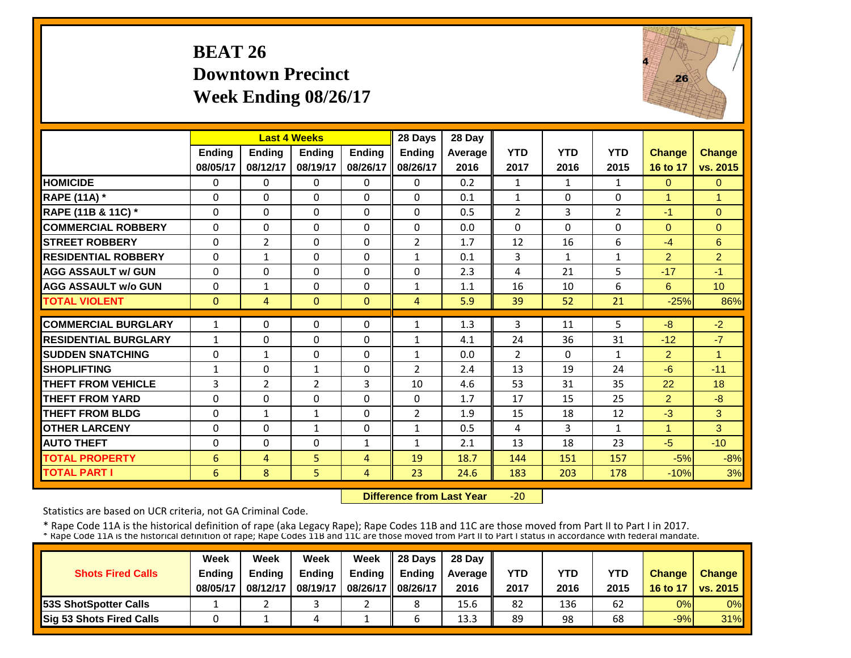#### **BEAT 26 Downtown PrecinctWeek Ending 08/26/17**



|                             |               | <b>Last 4 Weeks</b> |               |               | 28 Days        | 28 Day  |                |              |                |                |                |
|-----------------------------|---------------|---------------------|---------------|---------------|----------------|---------|----------------|--------------|----------------|----------------|----------------|
|                             | <b>Ending</b> | <b>Ending</b>       | <b>Endina</b> | <b>Ending</b> | <b>Ending</b>  | Average | <b>YTD</b>     | <b>YTD</b>   | <b>YTD</b>     | <b>Change</b>  | <b>Change</b>  |
|                             | 08/05/17      | 08/12/17            | 08/19/17      | 08/26/17      | 08/26/17       | 2016    | 2017           | 2016         | 2015           | 16 to 17       | vs. 2015       |
| <b>HOMICIDE</b>             | $\Omega$      | 0                   | $\Omega$      | 0             | $\Omega$       | 0.2     | 1              | $\mathbf{1}$ | $\mathbf{1}$   | $\mathbf{0}$   | $\Omega$       |
| <b>RAPE (11A)</b> *         | $\Omega$      | $\Omega$            | $\Omega$      | $\Omega$      | $\Omega$       | 0.1     | $\mathbf{1}$   | $\Omega$     | $\Omega$       | $\mathbf{1}$   | 1              |
| RAPE (11B & 11C) *          | $\Omega$      | $\Omega$            | $\Omega$      | $\Omega$      | $\Omega$       | 0.5     | $\overline{2}$ | 3            | $\overline{2}$ | $-1$           | $\Omega$       |
| <b>COMMERCIAL ROBBERY</b>   | $\Omega$      | $\Omega$            | $\Omega$      | $\Omega$      | $\Omega$       | 0.0     | $\Omega$       | $\Omega$     | 0              | $\Omega$       | $\Omega$       |
| <b>STREET ROBBERY</b>       | $\Omega$      | $\overline{2}$      | $\Omega$      | $\Omega$      | $\overline{2}$ | 1.7     | 12             | 16           | 6              | $-4$           | 6              |
| <b>RESIDENTIAL ROBBERY</b>  | $\Omega$      | $\mathbf{1}$        | $\Omega$      | $\Omega$      | $\mathbf{1}$   | 0.1     | 3              | 1            | $\mathbf{1}$   | $\overline{2}$ | $\overline{2}$ |
| <b>AGG ASSAULT w/ GUN</b>   | $\Omega$      | 0                   | $\Omega$      | $\Omega$      | $\Omega$       | 2.3     | 4              | 21           | 5              | $-17$          | $-1$           |
| <b>AGG ASSAULT w/o GUN</b>  | $\Omega$      | $\mathbf{1}$        | $\Omega$      | $\Omega$      | $\mathbf{1}$   | 1.1     | 16             | 10           | 6              | 6              | 10             |
| <b>TOTAL VIOLENT</b>        | $\Omega$      | 4                   | $\Omega$      | $\Omega$      | 4              | 5.9     | 39             | 52           | 21             | $-25%$         | 86%            |
| <b>COMMERCIAL BURGLARY</b>  | $\mathbf{1}$  | 0                   | $\Omega$      | $\Omega$      | $\mathbf{1}$   | 1.3     | 3              | 11           | 5              | $-8$           | $-2$           |
| <b>RESIDENTIAL BURGLARY</b> | $\mathbf{1}$  | 0                   | $\Omega$      | $\Omega$      | $\mathbf{1}$   | 4.1     | 24             | 36           | 31             | $-12$          | $-7$           |
| <b>SUDDEN SNATCHING</b>     | $\Omega$      | $\mathbf{1}$        | $\Omega$      | $\Omega$      | $\mathbf{1}$   | 0.0     | $\overline{2}$ | $\Omega$     | $\mathbf{1}$   | $\overline{2}$ | 1              |
| <b>SHOPLIFTING</b>          | $\mathbf{1}$  | 0                   | 1             | $\Omega$      | $\overline{2}$ | 2.4     | 13             | 19           | 24             | $-6$           | $-11$          |
| <b>THEFT FROM VEHICLE</b>   | 3             | 2                   | 2             | 3             | 10             | 4.6     | 53             | 31           | 35             | 22             | 18             |
| <b>THEFT FROM YARD</b>      | $\Omega$      | 0                   | $\Omega$      | $\Omega$      | $\Omega$       | 1.7     | 17             | 15           | 25             | $\overline{2}$ | $-8$           |
| <b>THEFT FROM BLDG</b>      | $\Omega$      | $\mathbf{1}$        | 1             | $\Omega$      | $\overline{2}$ | 1.9     | 15             | 18           | 12             | $-3$           | 3              |
| <b>OTHER LARCENY</b>        | $\Omega$      | 0                   | $\mathbf{1}$  | $\Omega$      | $\mathbf{1}$   | 0.5     | 4              | 3            | $\mathbf{1}$   | 1              | 3              |
| <b>AUTO THEFT</b>           | $\Omega$      | 0                   | $\Omega$      | $\mathbf{1}$  | $\mathbf{1}$   | 2.1     | 13             | 18           | 23             | $-5$           | $-10$          |
| <b>TOTAL PROPERTY</b>       | 6             | 4                   | 5             | 4             | 19             | 18.7    | 144            | 151          | 157            | $-5%$          | $-8%$          |
| <b>TOTAL PART I</b>         | 6             | 8                   | 5             | 4             | 23             | 24.6    | 183            | 203          | 178            | $-10%$         | 3%             |

 **Difference from Last Year** $-20$ 

Statistics are based on UCR criteria, not GA Criminal Code.

|                              | Week          | Week          | Week          | Week          | 28 Days       | 28 Day         |      |      |      |               |                       |
|------------------------------|---------------|---------------|---------------|---------------|---------------|----------------|------|------|------|---------------|-----------------------|
| <b>Shots Fired Calls</b>     | <b>Ending</b> | <b>Ending</b> | <b>Ending</b> | <b>Ending</b> | <b>Ending</b> | <b>Average</b> | YTD  | YTD  | YTD  | <b>Change</b> | <b>Change</b>         |
|                              | 08/05/17      | 08/12/17      | 08/19/17      | 08/26/17      | 08/26/17      | 2016           | 2017 | 2016 | 2015 | 16 to 17      | <b>O</b> I vs. 2015 I |
| <b>53S ShotSpotter Calls</b> |               |               |               |               |               | 15.6           | 82   | 136  | 62   | 0%            | $0\%$                 |
| Sig 53 Shots Fired Calls     |               |               | 4             |               |               | 13.3           | 89   | 98   | 68   | $-9%$         | 31%                   |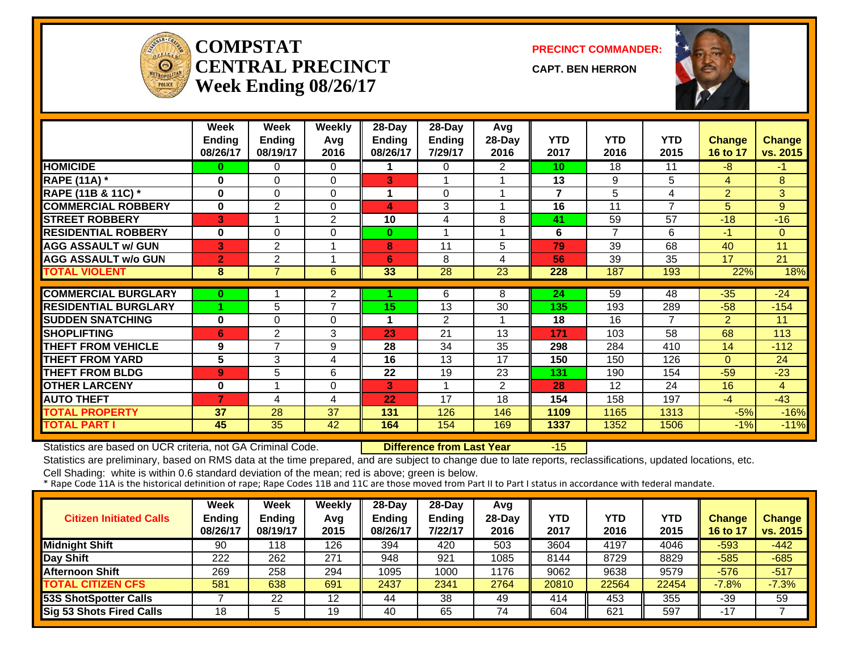

#### **COMPSTATCENTRAL PRECINCTWeek Ending 08/26/17**

**PRECINCT COMMANDER:**

**CAPT. BEN HERRON**



|                             | Week<br><b>Ending</b><br>08/26/17 | Week<br><b>Ending</b><br>08/19/17 | <b>Weekly</b><br>Avg<br>2016 | $28$ -Day<br><b>Ending</b><br>08/26/17 | 28-Day<br>Ending<br>7/29/17 | Avg<br>28-Day<br>2016 | <b>YTD</b><br>2017      | <b>YTD</b><br>2016 | <b>YTD</b><br>2015 | <b>Change</b><br>16 to 17 | <b>Change</b><br>vs. 2015 |
|-----------------------------|-----------------------------------|-----------------------------------|------------------------------|----------------------------------------|-----------------------------|-----------------------|-------------------------|--------------------|--------------------|---------------------------|---------------------------|
| <b>HOMICIDE</b>             | 0                                 | 0                                 | 0                            |                                        | 0                           | 2                     | 10                      | 18                 | 11                 | -8                        | $-1$                      |
| <b>RAPE (11A)</b> *         | $\bf{0}$                          | 0                                 | $\Omega$                     | 3                                      |                             |                       | 13                      | 9                  | 5                  | $\overline{4}$            | 8                         |
| RAPE (11B & 11C) *          | 0                                 | 0                                 | $\Omega$                     |                                        | $\Omega$                    |                       | $\overline{\mathbf{z}}$ | 5                  | 4                  | $\overline{2}$            | 3                         |
| <b>COMMERCIAL ROBBERY</b>   | $\bf{0}$                          | $\overline{2}$                    | $\Omega$                     | 4                                      | 3                           |                       | 16                      | 11                 | $\overline{7}$     | 5                         | 9                         |
| <b>STREET ROBBERY</b>       | 3                                 |                                   | 2                            | 10                                     | 4                           | 8                     | 41                      | 59                 | 57                 | $-18$                     | $-16$                     |
| <b>RESIDENTIAL ROBBERY</b>  | $\bf{0}$                          | 0                                 | 0                            | $\bf{0}$                               | 4                           |                       | 6                       | $\overline{7}$     | 6                  | $-1$                      | $\Omega$                  |
| <b>AGG ASSAULT w/ GUN</b>   | 3                                 | $\overline{2}$                    |                              | 8                                      | 11                          | 5                     | 79                      | 39                 | 68                 | 40                        | 11                        |
| <b>AGG ASSAULT w/o GUN</b>  | $\overline{2}$                    | 2                                 | 1                            | 6                                      | 8                           | 4                     | 56                      | 39                 | 35                 | 17                        | 21                        |
| <b>TOTAL VIOLENT</b>        | 8                                 | $\overline{7}$                    | 6                            | 33                                     | 28                          | 23                    | 228                     | 187                | 193                | 22%                       | 18%                       |
|                             |                                   |                                   |                              |                                        |                             |                       |                         |                    |                    |                           |                           |
| <b>COMMERCIAL BURGLARY</b>  | $\bf{0}$                          |                                   | 2                            |                                        | 6                           | 8                     | 24                      | 59                 | $\overline{48}$    | $-35$                     | $-24$                     |
| <b>RESIDENTIAL BURGLARY</b> |                                   | 5                                 | $\overline{7}$               | 15                                     | 13                          | 30                    | 135                     | 193                | 289                | $-58$                     | $-154$                    |
| <b>SUDDEN SNATCHING</b>     | 0                                 | 0                                 | 0                            |                                        | $\overline{2}$              |                       | 18                      | 16                 | 7                  | $\overline{2}$            | 11                        |
| <b>SHOPLIFTING</b>          | 6                                 | $\overline{2}$                    | 3                            | 23                                     | 21                          | 13                    | 171                     | 103                | 58                 | 68                        | 113                       |
| <b>THEFT FROM VEHICLE</b>   | 9                                 | 7                                 | 9                            | 28                                     | 34                          | 35                    | 298                     | 284                | 410                | 14                        | $-112$                    |
| <b>THEFT FROM YARD</b>      | 5                                 | 3                                 | 4                            | 16                                     | 13                          | 17                    | 150                     | 150                | 126                | $\Omega$                  | 24                        |
| <b>THEFT FROM BLDG</b>      | 9                                 | 5                                 | 6                            | 22                                     | 19                          | 23                    | 131                     | 190                | 154                | $-59$                     | $-23$                     |
| <b>OTHER LARCENY</b>        | $\bf{0}$                          |                                   | 0                            | 3                                      | 1                           | $\overline{2}$        | 28                      | 12                 | 24                 | 16                        | $\overline{4}$            |
| <b>AUTO THEFT</b>           | $\overline{7}$                    | 4                                 | 4                            | 22                                     | 17                          | 18                    | 154                     | 158                | 197                | $-4$                      | $-43$                     |
| <b>TOTAL PROPERTY</b>       | 37                                | 28                                | 37                           | 131                                    | 126                         | 146                   | 1109                    | 1165               | 1313               | $-5%$                     | $-16%$                    |
| <b>TOTAL PART I</b>         | 45                                | 35                                | 42                           | 164                                    | 154                         | 169                   | 1337                    | 1352               | 1506               | $-1%$                     | $-11%$                    |

Statistics are based on UCR criteria, not GA Criminal Code. **Difference from Last Year** -15

Statistics are preliminary, based on RMS data at the time prepared, and are subject to change due to late reports, reclassifications, updated locations, etc.

| <b>Citizen Initiated Calls</b>  | <b>Week</b><br><b>Ending</b><br>08/26/17 | <b>Week</b><br><b>Ending</b><br>08/19/17 | <b>Weekly</b><br>Avg<br>2015 | $28$ -Day<br>Ending<br>08/26/17 | $28-Dav$<br><b>Ending</b><br>7/22/17 | Avg<br>$28-Day$<br>2016 | <b>YTD</b><br>2017 | YTD<br>2016 | YTD<br>2015 | <b>Change</b><br>16 to 17 | <b>Change</b><br>vs. 2015 |
|---------------------------------|------------------------------------------|------------------------------------------|------------------------------|---------------------------------|--------------------------------------|-------------------------|--------------------|-------------|-------------|---------------------------|---------------------------|
| <b>Midnight Shift</b>           | 90                                       | 118                                      | 126                          | 394                             | 420                                  | 503                     | 3604               | 4197        | 4046        | $-593$                    | -442                      |
| Day Shift                       | 222                                      | 262                                      | 271                          | 948                             | 921                                  | 1085                    | 8144               | 8729        | 8829        | $-585$                    | $-685$                    |
| <b>Afternoon Shift</b>          | 269                                      | 258                                      | 294                          | 1095                            | 1000                                 | 1176                    | 9062               | 9638        | 9579        | $-576$                    | $-517$                    |
| <b>TOTAL CITIZEN CFS</b>        | 581                                      | 638                                      | 691                          | 2437                            | 2341                                 | 2764                    | 20810              | 22564       | 22454       | $-7.8%$                   | $-7.3%$                   |
| <b>53S ShotSpotter Calls</b>    |                                          | 22                                       | 12                           | 44                              | 38                                   | 49                      | 414                | 453         | 355         | -39                       | 59                        |
| <b>Sig 53 Shots Fired Calls</b> | 18                                       |                                          | 19                           | 40                              | 65                                   | 74                      | 604                | 621         | 597         | $-17$                     |                           |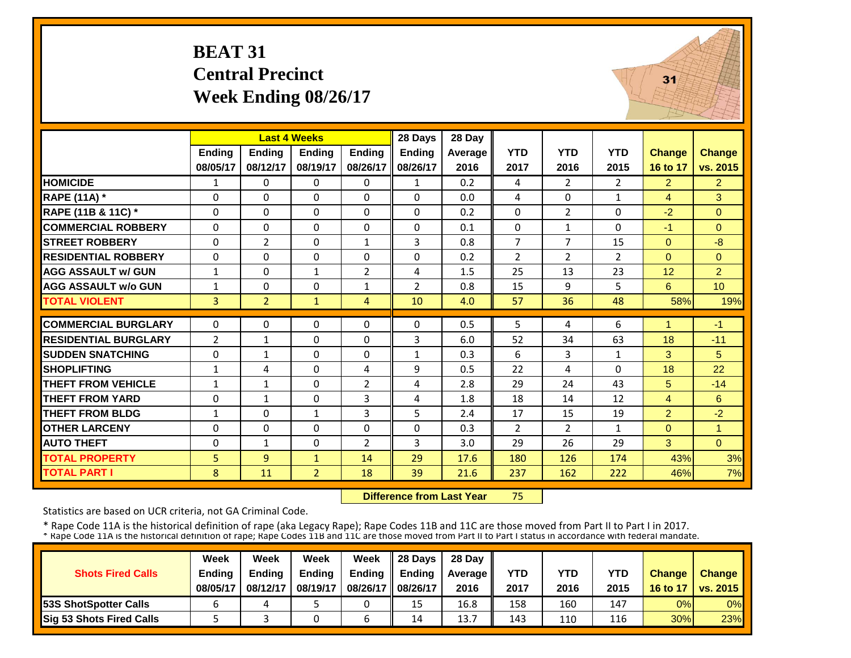# **BEAT 31 Central Precinct Week Ending 08/26/17**



|                             |                | <b>Last 4 Weeks</b> |                |                | 28 Days        | 28 Day  |                |                |                |                |                |
|-----------------------------|----------------|---------------------|----------------|----------------|----------------|---------|----------------|----------------|----------------|----------------|----------------|
|                             | <b>Ending</b>  | <b>Ending</b>       | <b>Endina</b>  | <b>Endina</b>  | Ending         | Average | <b>YTD</b>     | <b>YTD</b>     | <b>YTD</b>     | <b>Change</b>  | <b>Change</b>  |
|                             | 08/05/17       | 08/12/17            | 08/19/17       | 08/26/17       | 08/26/17       | 2016    | 2017           | 2016           | 2015           | 16 to 17       | vs. 2015       |
| <b>HOMICIDE</b>             | $\mathbf{1}$   | $\Omega$            | $\Omega$       | $\mathbf{0}$   | $\mathbf{1}$   | 0.2     | 4              | $\overline{2}$ | $\overline{2}$ | $\overline{2}$ | $\overline{2}$ |
| <b>RAPE (11A) *</b>         | $\Omega$       | $\Omega$            | $\Omega$       | $\Omega$       | $\Omega$       | 0.0     | 4              | $\Omega$       | $\mathbf{1}$   | $\overline{4}$ | 3              |
| RAPE (11B & 11C) *          | $\Omega$       | $\Omega$            | $\Omega$       | $\Omega$       | $\Omega$       | 0.2     | $\Omega$       | $\overline{2}$ | $\Omega$       | $-2$           | $\Omega$       |
| <b>COMMERCIAL ROBBERY</b>   | $\Omega$       | $\Omega$            | $\Omega$       | $\Omega$       | $\Omega$       | 0.1     | 0              | $\mathbf{1}$   | $\Omega$       | $-1$           | $\Omega$       |
| <b>STREET ROBBERY</b>       | $\Omega$       | $\overline{2}$      | $\Omega$       | $\mathbf{1}$   | 3              | 0.8     | $\overline{7}$ | $\overline{7}$ | 15             | $\Omega$       | $-8$           |
| <b>RESIDENTIAL ROBBERY</b>  | $\Omega$       | $\Omega$            | $\mathbf{0}$   | $\Omega$       | $\Omega$       | 0.2     | $\overline{2}$ | 2              | $\overline{2}$ | $\Omega$       | $\Omega$       |
| <b>AGG ASSAULT w/ GUN</b>   | $\mathbf{1}$   | $\Omega$            | $\mathbf{1}$   | $\overline{2}$ | 4              | 1.5     | 25             | 13             | 23             | 12             | $\overline{2}$ |
| <b>AGG ASSAULT w/o GUN</b>  | $\mathbf{1}$   | $\Omega$            | $\mathbf{0}$   | $\mathbf{1}$   | $\overline{2}$ | 0.8     | 15             | 9              | 5              | 6              | 10             |
| <b>TOTAL VIOLENT</b>        | $\overline{3}$ | $\overline{2}$      | $\mathbf{1}$   | $\overline{4}$ | 10             | 4.0     | 57             | 36             | 48             | 58%            | 19%            |
|                             |                |                     |                |                |                |         |                |                |                |                |                |
| <b>COMMERCIAL BURGLARY</b>  | $\Omega$       | $\Omega$            | $\mathbf{0}$   | 0              | 0              | 0.5     | 5              | 4              | 6              | 1              | $-1$           |
| <b>RESIDENTIAL BURGLARY</b> | $\overline{2}$ | $\mathbf{1}$        | $\mathbf{0}$   | $\Omega$       | 3              | 6.0     | 52             | 34             | 63             | 18             | $-11$          |
| <b>SUDDEN SNATCHING</b>     | 0              | $\mathbf{1}$        | 0              | 0              | $\mathbf{1}$   | 0.3     | 6              | 3              | $\mathbf{1}$   | 3              | 5              |
| <b>SHOPLIFTING</b>          | $\mathbf{1}$   | 4                   | $\Omega$       | 4              | 9              | 0.5     | 22             | 4              | 0              | 18             | 22             |
| <b>THEFT FROM VEHICLE</b>   | $\mathbf{1}$   | $\mathbf{1}$        | $\Omega$       | $\overline{2}$ | 4              | 2.8     | 29             | 24             | 43             | 5              | $-14$          |
| <b>THEFT FROM YARD</b>      | $\Omega$       | $\mathbf{1}$        | $\Omega$       | 3              | 4              | 1.8     | 18             | 14             | 12             | 4              | 6              |
| <b>THEFT FROM BLDG</b>      | $\mathbf{1}$   | $\Omega$            | $\mathbf{1}$   | 3              | 5              | 2.4     | 17             | 15             | 19             | $\overline{2}$ | $-2$           |
| <b>OTHER LARCENY</b>        | $\Omega$       | $\Omega$            | 0              | 0              | $\Omega$       | 0.3     | 2              | $\overline{2}$ | $\mathbf{1}$   | $\Omega$       | $\mathbf{1}$   |
| <b>AUTO THEFT</b>           | $\Omega$       | $\mathbf{1}$        | $\Omega$       | $\overline{2}$ | 3              | 3.0     | 29             | 26             | 29             | 3              | $\Omega$       |
| <b>TOTAL PROPERTY</b>       | 5              | 9                   | $\mathbf{1}$   | 14             | 29             | 17.6    | 180            | 126            | 174            | 43%            | 3%             |
| <b>TOTAL PART I</b>         | 8              | 11                  | $\overline{2}$ | 18             | 39             | 21.6    | 237            | 162            | 222            | 46%            | 7%             |

 **Difference from Last Year**75

Statistics are based on UCR criteria, not GA Criminal Code.

|                               | Week     | Week          | Week          | Week          | 28 Davs       | 28 Day    |      |      |      |               |                     |
|-------------------------------|----------|---------------|---------------|---------------|---------------|-----------|------|------|------|---------------|---------------------|
| <b>Shots Fired Calls</b>      | Ending   | <b>Ending</b> | <b>Ending</b> | <b>Ending</b> | <b>Ending</b> | Average I | YTD  | YTD  | YTD  | <b>Change</b> | <b>Change</b>       |
|                               | 08/05/17 | 08/12/17      | 08/19/17      | 08/26/17      | 08/26/17      | 2016      | 2017 | 2016 | 2015 |               | 16 to 17   vs. 2015 |
| <b>153S ShotSpotter Calls</b> |          |               |               |               | 15            | 16.8      | 158  | 160  | 147  | 0%            | $0\%$               |
| Sig 53 Shots Fired Calls      |          |               |               |               | 14            | 13.7      | 143  | 110  | 116  | 30%           | 23%                 |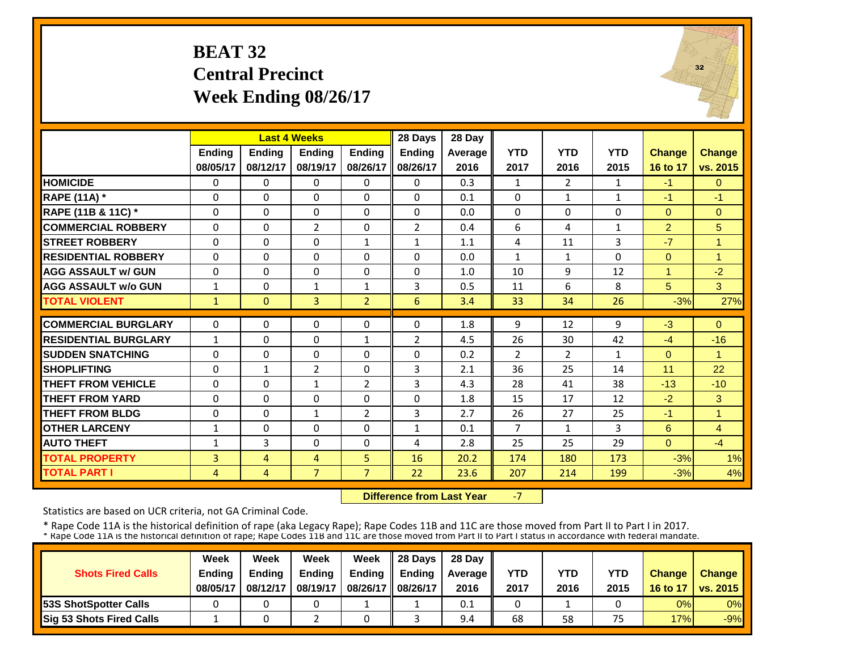# **BEAT 32 Central Precinct Week Ending 08/26/17**



|                             |              |               | <b>Last 4 Weeks</b> |                | 28 Days      | 28 Day  |                |                |              |                |                |
|-----------------------------|--------------|---------------|---------------------|----------------|--------------|---------|----------------|----------------|--------------|----------------|----------------|
|                             | Ending       | <b>Ending</b> | <b>Endina</b>       | <b>Endina</b>  | Ending       | Average | <b>YTD</b>     | <b>YTD</b>     | <b>YTD</b>   | <b>Change</b>  | <b>Change</b>  |
|                             | 08/05/17     | 08/12/17      | 08/19/17            | 08/26/17       | 08/26/17     | 2016    | 2017           | 2016           | 2015         | 16 to 17       | vs. 2015       |
| <b>HOMICIDE</b>             | $\Omega$     | $\Omega$      | $\Omega$            | $\mathbf{0}$   | 0            | 0.3     | 1              | $\overline{2}$ | $\mathbf{1}$ | $-1$           | $\Omega$       |
| <b>RAPE (11A) *</b>         | $\Omega$     | $\Omega$      | $\Omega$            | $\Omega$       | $\Omega$     | 0.1     | $\Omega$       | $\mathbf{1}$   | $\mathbf{1}$ | $-1$           | $-1$           |
| RAPE (11B & 11C) *          | $\Omega$     | $\Omega$      | $\Omega$            | $\Omega$       | $\Omega$     | 0.0     | $\Omega$       | $\Omega$       | 0            | $\Omega$       | $\overline{0}$ |
| <b>COMMERCIAL ROBBERY</b>   | $\Omega$     | $\Omega$      | $\overline{2}$      | $\Omega$       | 2            | 0.4     | 6              | 4              | $\mathbf{1}$ | $\overline{2}$ | 5 <sup>5</sup> |
| <b>STREET ROBBERY</b>       | $\mathbf 0$  | $\Omega$      | $\Omega$            | $\mathbf{1}$   | $\mathbf{1}$ | 1.1     | 4              | 11             | 3            | $-7$           | $\overline{1}$ |
| <b>RESIDENTIAL ROBBERY</b>  | $\Omega$     | $\Omega$      | $\Omega$            | $\Omega$       | $\Omega$     | 0.0     | $\mathbf{1}$   | $\mathbf{1}$   | 0            | $\Omega$       | 1              |
| <b>AGG ASSAULT w/ GUN</b>   | $\Omega$     | $\Omega$      | $\Omega$            | $\Omega$       | 0            | 1.0     | 10             | 9              | 12           | 1              | $-2$           |
| <b>AGG ASSAULT w/o GUN</b>  | $\mathbf{1}$ | $\Omega$      | $\mathbf{1}$        | $\mathbf{1}$   | 3            | 0.5     | 11             | 6              | 8            | 5              | 3              |
| <b>TOTAL VIOLENT</b>        | $\mathbf{1}$ | $\Omega$      | $\overline{3}$      | $\overline{2}$ | 6            | 3.4     | 33             | 34             | 26           | $-3%$          | 27%            |
|                             |              |               |                     |                |              |         |                |                |              |                |                |
| <b>COMMERCIAL BURGLARY</b>  | $\Omega$     | $\Omega$      | $\Omega$            | $\Omega$       | $\Omega$     | 1.8     | 9              | 12             | 9            | $-3$           | $\Omega$       |
| <b>RESIDENTIAL BURGLARY</b> | $\mathbf{1}$ | $\Omega$      | $\Omega$            | 1              | 2            | 4.5     | 26             | 30             | 42           | $-4$           | $-16$          |
| <b>ISUDDEN SNATCHING</b>    | 0            | $\Omega$      | $\Omega$            | 0              | $\Omega$     | 0.2     | $\overline{2}$ | $\overline{2}$ | $\mathbf{1}$ | $\Omega$       | 1              |
| <b>SHOPLIFTING</b>          | 0            | $\mathbf{1}$  | $\overline{2}$      | 0              | 3            | 2.1     | 36             | 25             | 14           | 11             | 22             |
| <b>THEFT FROM VEHICLE</b>   | $\Omega$     | $\Omega$      | $\mathbf{1}$        | $\overline{2}$ | 3            | 4.3     | 28             | 41             | 38           | $-13$          | $-10$          |
| <b>THEFT FROM YARD</b>      | $\Omega$     | $\Omega$      | $\Omega$            | 0              | $\Omega$     | 1.8     | 15             | 17             | 12           | $-2$           | 3              |
| <b>THEFT FROM BLDG</b>      | 0            | $\Omega$      | $\mathbf{1}$        | $\overline{2}$ | 3            | 2.7     | 26             | 27             | 25           | $-1$           | $\overline{1}$ |
| <b>OTHER LARCENY</b>        | $\mathbf{1}$ | $\Omega$      | $\Omega$            | $\Omega$       | $\mathbf{1}$ | 0.1     | $\overline{7}$ | 1              | 3            | 6              | $\overline{4}$ |
| <b>AUTO THEFT</b>           | 1            | 3             | $\Omega$            | $\Omega$       | 4            | 2.8     | 25             | 25             | 29           | $\Omega$       | $-4$           |
| <b>TOTAL PROPERTY</b>       | 3            | 4             | 4                   | 5              | 16           | 20.2    | 174            | 180            | 173          | $-3%$          | 1%             |
| <b>TOTAL PART I</b>         | 4            | 4             | $\overline{7}$      | $\overline{7}$ | 22           | 23.6    | 207            | 214            | 199          | $-3%$          | 4%             |

 **Difference from Last Year**‐7

Statistics are based on UCR criteria, not GA Criminal Code.

|                                 | Week          | Week          | Week     | Week          | 28 Davs       | 28 Day    |      |      |            |               |                     |
|---------------------------------|---------------|---------------|----------|---------------|---------------|-----------|------|------|------------|---------------|---------------------|
| <b>Shots Fired Calls</b>        | <b>Endina</b> | <b>Endina</b> | Ending   | <b>Ending</b> | <b>Endina</b> | Average I | YTD  | YTD  | <b>YTD</b> | <b>Change</b> | <b>Change</b>       |
|                                 | 08/05/17      | 08/12/17      | 08/19/17 | 08/26/17      | 08/26/17      | 2016      | 2017 | 2016 | 2015       |               | 16 to 17   vs. 2015 |
| <b>153S ShotSpotter Calls</b>   |               |               |          |               |               | 0.1       |      |      |            | 0%            | $0\%$               |
| <b>Sig 53 Shots Fired Calls</b> |               |               |          |               |               | 9.4       | 68   | 58   | 75         | 17%           | $-9%$               |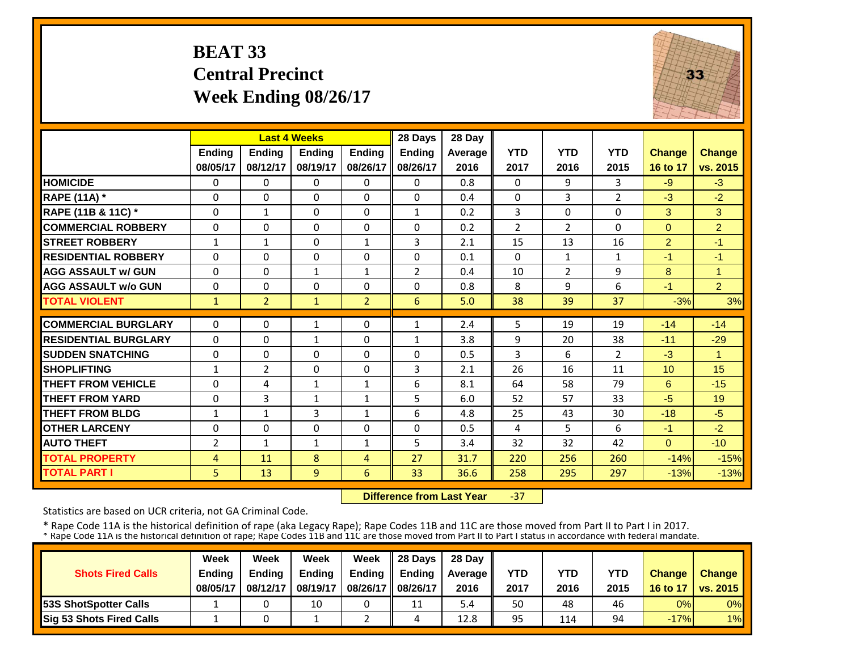# **BEAT 33 Central Precinct Week Ending 08/26/17**



|                             |               | <b>Last 4 Weeks</b> |               |                | 28 Days        | 28 Day  |                |                |                |                |                |
|-----------------------------|---------------|---------------------|---------------|----------------|----------------|---------|----------------|----------------|----------------|----------------|----------------|
|                             | <b>Ending</b> | <b>Ending</b>       | <b>Endina</b> | <b>Ending</b>  | <b>Endina</b>  | Average | <b>YTD</b>     | <b>YTD</b>     | <b>YTD</b>     | <b>Change</b>  | <b>Change</b>  |
|                             | 08/05/17      | 08/12/17            | 08/19/17      | 08/26/17       | 08/26/17       | 2016    | 2017           | 2016           | 2015           | 16 to 17       | vs. 2015       |
| <b>HOMICIDE</b>             | $\Omega$      | 0                   | $\Omega$      | 0              | $\Omega$       | 0.8     | $\Omega$       | 9              | 3              | $-9$           | $-3$           |
| <b>RAPE (11A)</b> *         | $\Omega$      | $\Omega$            | $\Omega$      | $\Omega$       | $\Omega$       | 0.4     | $\Omega$       | 3              | $\overline{2}$ | $-3$           | $-2$           |
| RAPE (11B & 11C) *          | $\Omega$      | $\mathbf{1}$        | $\Omega$      | $\Omega$       | $\mathbf{1}$   | 0.2     | 3              | $\Omega$       | 0              | 3              | 3              |
| <b>COMMERCIAL ROBBERY</b>   | $\Omega$      | $\Omega$            | $\Omega$      | $\Omega$       | $\Omega$       | 0.2     | $\overline{2}$ | $\overline{2}$ | 0              | $\Omega$       | $\overline{2}$ |
| <b>STREET ROBBERY</b>       | $\mathbf{1}$  | $\mathbf{1}$        | $\Omega$      | $\mathbf{1}$   | 3              | 2.1     | 15             | 13             | 16             | $\overline{2}$ | $-1$           |
| <b>RESIDENTIAL ROBBERY</b>  | $\Omega$      | 0                   | $\Omega$      | $\Omega$       | $\Omega$       | 0.1     | $\Omega$       | $\mathbf{1}$   | $\mathbf{1}$   | $-1$           | $-1$           |
| <b>AGG ASSAULT w/ GUN</b>   | $\Omega$      | 0                   | 1             | $\mathbf{1}$   | $\overline{2}$ | 0.4     | 10             | $\overline{2}$ | 9              | 8              | $\overline{1}$ |
| <b>AGG ASSAULT w/o GUN</b>  | $\Omega$      | 0                   | $\Omega$      | $\Omega$       | $\Omega$       | 0.8     | 8              | 9              | 6              | $-1$           | $\overline{2}$ |
| <b>TOTAL VIOLENT</b>        | $\mathbf{1}$  | $\overline{2}$      | 1             | $\overline{2}$ | 6              | 5.0     | 38             | 39             | 37             | $-3%$          | 3%             |
| <b>COMMERCIAL BURGLARY</b>  | $\Omega$      | 0                   | 1             | $\Omega$       | $\mathbf{1}$   | 2.4     | 5              | 19             | 19             | $-14$          | $-14$          |
| <b>RESIDENTIAL BURGLARY</b> | $\Omega$      | $\Omega$            | 1             | $\Omega$       | $\mathbf{1}$   | 3.8     | 9              | 20             | 38             | $-11$          | $-29$          |
| <b>SUDDEN SNATCHING</b>     | $\Omega$      | 0                   | $\Omega$      | $\Omega$       | $\Omega$       | 0.5     | 3              | 6              | $\overline{2}$ | $-3$           | $\overline{1}$ |
| <b>SHOPLIFTING</b>          | $\mathbf{1}$  | $\overline{2}$      | $\Omega$      | $\Omega$       | 3              | 2.1     | 26             | 16             | 11             | 10             | 15             |
| <b>THEFT FROM VEHICLE</b>   | $\Omega$      | 4                   | 1             | 1              | 6              | 8.1     | 64             | 58             | 79             | 6              | $-15$          |
| <b>THEFT FROM YARD</b>      | $\Omega$      | 3                   | $\mathbf{1}$  | 1              | 5              | 6.0     | 52             | 57             | 33             | $-5$           | 19             |
| <b>THEFT FROM BLDG</b>      | $\mathbf{1}$  | $\mathbf{1}$        | 3             | 1              | 6              | 4.8     | 25             | 43             | 30             | $-18$          | $-5$           |
| <b>OTHER LARCENY</b>        | $\Omega$      | 0                   | $\Omega$      | $\Omega$       | $\Omega$       | 0.5     | 4              | 5.             | 6              | $-1$           | $-2$           |
| <b>AUTO THEFT</b>           | 2             | $\mathbf{1}$        | $\mathbf{1}$  | 1              | 5.             | 3.4     | 32             | 32             | 42             | $\Omega$       | $-10$          |
| <b>TOTAL PROPERTY</b>       | 4             | 11                  | 8             | 4              | 27             | 31.7    | 220            | 256            | 260            | $-14%$         | $-15%$         |
| <b>TOTAL PART I</b>         | 5             | 13                  | 9             | 6              | 33             | 36.6    | 258            | 295            | 297            | $-13%$         | $-13%$         |

 **Difference from Last Year**‐37

Statistics are based on UCR criteria, not GA Criminal Code.

|                               | Week     | Week          | Week          | Week          | 28 Davs       | 28 Day    |      |      |      |               |                     |
|-------------------------------|----------|---------------|---------------|---------------|---------------|-----------|------|------|------|---------------|---------------------|
| <b>Shots Fired Calls</b>      | Ending   | <b>Endina</b> | <b>Ending</b> | <b>Ending</b> | <b>Endina</b> | Average I | YTD  | YTD  | YTD  | <b>Change</b> | <b>Change</b>       |
|                               | 08/05/17 | 08/12/17      | 08/19/17      | 08/26/17      | 08/26/17      | 2016      | 2017 | 2016 | 2015 |               | 16 to 17   vs. 2015 |
| <b>153S ShotSpotter Calls</b> |          |               | 10            |               | 11            | 5.4       | 50   | 48   | 46   | 0%            | $0\%$               |
| Sig 53 Shots Fired Calls      |          |               |               |               | 4             | 12.8      | 95   | 114  | 94   | $-17%$        | 1%                  |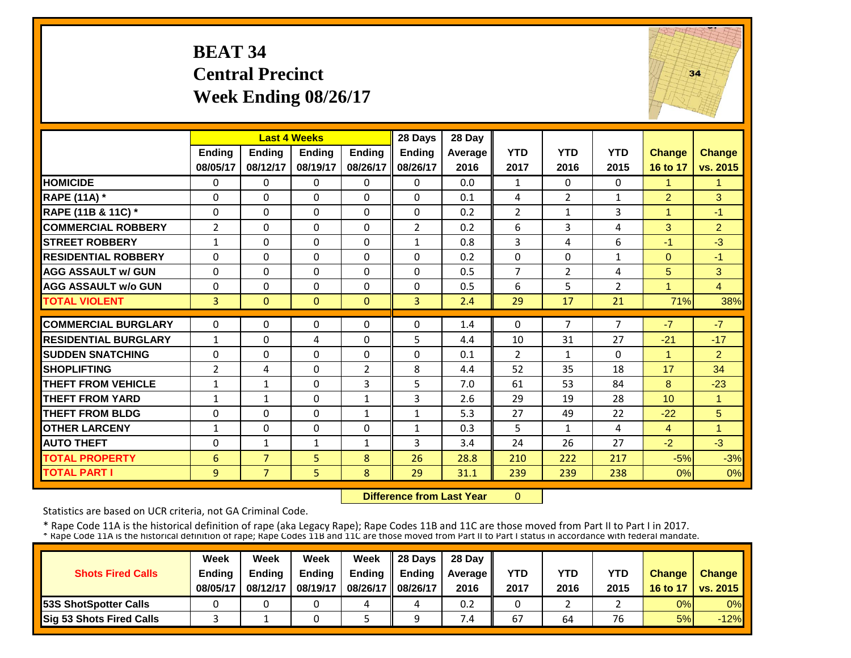# **BEAT 34 Central Precinct Week Ending 08/26/17**



|                             |                | <b>Last 4 Weeks</b> |               |                | 28 Days        | 28 Day  |                |                |              |                 |                |
|-----------------------------|----------------|---------------------|---------------|----------------|----------------|---------|----------------|----------------|--------------|-----------------|----------------|
|                             | Ending         | <b>Ending</b>       | <b>Ending</b> | <b>Endina</b>  | <b>Ending</b>  | Average | <b>YTD</b>     | <b>YTD</b>     | <b>YTD</b>   | <b>Change</b>   | <b>Change</b>  |
|                             | 08/05/17       | 08/12/17            | 08/19/17      | 08/26/17       | 08/26/17       | 2016    | 2017           | 2016           | 2015         | 16 to 17        | vs. 2015       |
| <b>HOMICIDE</b>             | $\Omega$       | 0                   | $\Omega$      | $\mathbf{0}$   | $\Omega$       | 0.0     | $\mathbf{1}$   | $\Omega$       | 0            | 1               | 1              |
| <b>RAPE (11A)</b> *         | $\Omega$       | $\Omega$            | $\Omega$      | $\Omega$       | $\Omega$       | 0.1     | 4              | $\overline{2}$ | $\mathbf{1}$ | $\overline{2}$  | 3              |
| RAPE (11B & 11C) *          | $\Omega$       | $\Omega$            | $\Omega$      | $\Omega$       | $\Omega$       | 0.2     | $\overline{2}$ | $\mathbf{1}$   | 3            | $\mathbf{1}$    | $-1$           |
| <b>COMMERCIAL ROBBERY</b>   | $\overline{2}$ | $\Omega$            | $\Omega$      | $\Omega$       | $\overline{2}$ | 0.2     | 6              | 3              | 4            | 3               | $\overline{2}$ |
| <b>STREET ROBBERY</b>       | $\mathbf{1}$   | $\Omega$            | $\Omega$      | $\Omega$       | $\mathbf{1}$   | 0.8     | 3              | 4              | 6            | $-1$            | $-3$           |
| <b>RESIDENTIAL ROBBERY</b>  | $\Omega$       | 0                   | $\Omega$      | $\Omega$       | $\Omega$       | 0.2     | $\Omega$       | $\Omega$       | $\mathbf{1}$ | $\mathbf{0}$    | $-1$           |
| <b>AGG ASSAULT w/ GUN</b>   | $\Omega$       | 0                   | $\Omega$      | $\Omega$       | $\Omega$       | 0.5     | $\overline{7}$ | $\overline{2}$ | 4            | 5               | 3              |
| <b>AGG ASSAULT w/o GUN</b>  | $\Omega$       | 0                   | 0             | $\Omega$       | $\Omega$       | 0.5     | 6              | 5              | 2            | 1               | $\overline{4}$ |
| <b>TOTAL VIOLENT</b>        | $\overline{3}$ | $\Omega$            | $\Omega$      | $\Omega$       | 3              | 2.4     | 29             | 17             | 21           | 71%             | 38%            |
| <b>COMMERCIAL BURGLARY</b>  | $\Omega$       | 0                   | $\Omega$      | $\Omega$       | 0              | 1.4     | $\Omega$       | 7              | 7            | $-7$            | $-7$           |
| <b>RESIDENTIAL BURGLARY</b> | $\mathbf{1}$   | 0                   | 4             | $\Omega$       | 5              | 4.4     | 10             | 31             | 27           | $-21$           | $-17$          |
| <b>SUDDEN SNATCHING</b>     | $\Omega$       | 0                   | $\Omega$      | $\Omega$       | $\Omega$       | 0.1     | $\overline{2}$ | $\mathbf{1}$   | 0            | 1               | $\overline{2}$ |
| <b>SHOPLIFTING</b>          | $\overline{2}$ | 4                   | $\Omega$      | $\overline{2}$ | 8              | 4.4     | 52             | 35             | 18           | 17              | 34             |
| <b>THEFT FROM VEHICLE</b>   | $\mathbf{1}$   | $\mathbf{1}$        | $\Omega$      | 3              | 5              | 7.0     | 61             | 53             | 84           | 8               | $-23$          |
| <b>THEFT FROM YARD</b>      | $\mathbf{1}$   | $\mathbf{1}$        | $\Omega$      | 1              | 3              | 2.6     | 29             | 19             | 28           | 10 <sup>1</sup> | 1              |
| <b>THEFT FROM BLDG</b>      | $\Omega$       | 0                   | $\Omega$      | 1              | $\mathbf{1}$   | 5.3     | 27             | 49             | 22           | $-22$           | 5              |
| <b>OTHER LARCENY</b>        | $\mathbf{1}$   | 0                   | $\Omega$      | $\Omega$       | $\mathbf{1}$   | 0.3     | 5              | $\mathbf{1}$   | 4            | $\overline{4}$  | 1              |
| <b>AUTO THEFT</b>           | $\Omega$       | 1                   | 1             | $\mathbf{1}$   | 3              | 3.4     | 24             | 26             | 27           | $-2$            | $-3$           |
| <b>TOTAL PROPERTY</b>       | 6              | $\overline{7}$      | 5             | 8              | 26             | 28.8    | 210            | 222            | 217          | $-5%$           | $-3%$          |
| <b>TOTAL PART I</b>         | 9              | $\overline{7}$      | 5             | 8              | 29             | 31.1    | 239            | 239            | 238          | $0\%$           | 0%             |

 **Difference from Last Year** $\overline{0}$ 

Statistics are based on UCR criteria, not GA Criminal Code.

|                               | Week     | Week          | Week          | Week          | $\parallel$ 28 Davs | 28 Day    |      |      |      |               |                     |
|-------------------------------|----------|---------------|---------------|---------------|---------------------|-----------|------|------|------|---------------|---------------------|
| <b>Shots Fired Calls</b>      | Ending   | <b>Ending</b> | <b>Ending</b> | <b>Ending</b> | <b>Ending</b>       | Average I | YTD  | YTD  | YTD  | <b>Change</b> | <b>Change</b>       |
|                               | 08/05/17 | 08/12/17      | 08/19/17      | 08/26/17      | 08/26/17            | 2016      | 2017 | 2016 | 2015 |               | 16 to 17   vs. 2015 |
| <b>153S ShotSpotter Calls</b> |          |               |               | 4             |                     | 0.2       |      |      |      | 0%            | $0\%$               |
| Sig 53 Shots Fired Calls      |          |               |               |               |                     | 7.4       | 67   | 64   | 76   | 5%            | $-12%$              |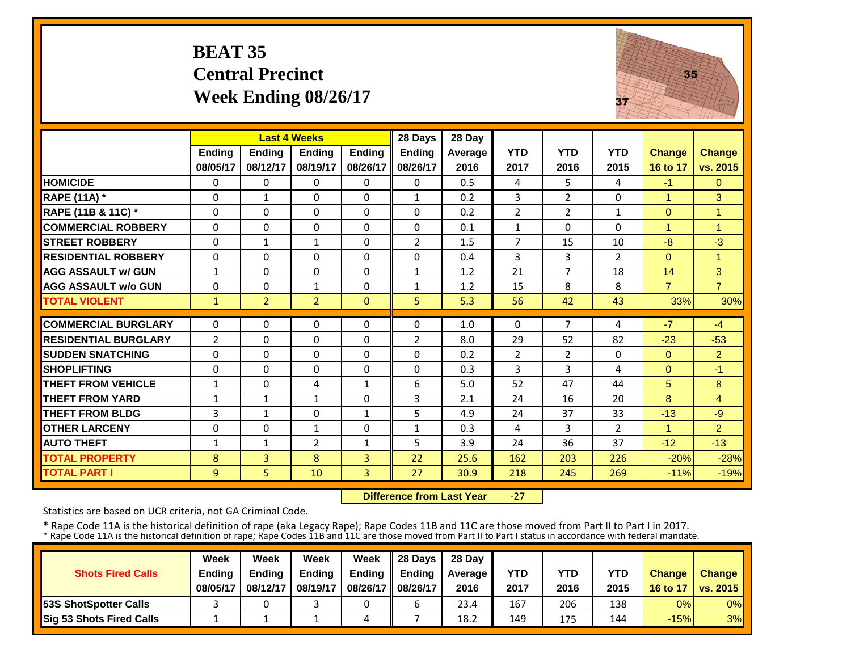# **BEAT 35 Central Precinct Week Ending 08/26/17**



|                             |                | <b>Last 4 Weeks</b> |                |                | 28 Days        | 28 Day  |                |                |                |                |                |
|-----------------------------|----------------|---------------------|----------------|----------------|----------------|---------|----------------|----------------|----------------|----------------|----------------|
|                             | <b>Ending</b>  | <b>Endina</b>       | <b>Endina</b>  | <b>Endina</b>  | <b>Ending</b>  | Average | <b>YTD</b>     | <b>YTD</b>     | <b>YTD</b>     | <b>Change</b>  | <b>Change</b>  |
|                             | 08/05/17       | 08/12/17            | 08/19/17       | 08/26/17       | 08/26/17       | 2016    | 2017           | 2016           | 2015           | 16 to 17       | vs. 2015       |
| <b>HOMICIDE</b>             | $\Omega$       | 0                   | $\mathbf{0}$   | $\Omega$       | $\Omega$       | 0.5     | 4              | 5.             | 4              | $-1$           | $\mathbf{0}$   |
| <b>RAPE (11A)</b> *         | $\Omega$       | $\mathbf{1}$        | $\Omega$       | $\Omega$       | $\mathbf{1}$   | 0.2     | 3              | $\overline{2}$ | 0              | $\mathbf{1}$   | 3              |
| RAPE (11B & 11C) *          | $\Omega$       | $\Omega$            | $\Omega$       | $\Omega$       | $\Omega$       | 0.2     | $\overline{2}$ | $\overline{2}$ | $\mathbf{1}$   | $\overline{0}$ | $\overline{1}$ |
| <b>COMMERCIAL ROBBERY</b>   | $\Omega$       | $\Omega$            | $\Omega$       | $\Omega$       | $\Omega$       | 0.1     | $\mathbf{1}$   | $\Omega$       | 0              | 1              | 1              |
| <b>STREET ROBBERY</b>       | $\Omega$       | $\mathbf{1}$        | $\mathbf{1}$   | $\Omega$       | $\overline{2}$ | 1.5     | $\overline{7}$ | 15             | 10             | $-8$           | $-3$           |
| <b>RESIDENTIAL ROBBERY</b>  | $\Omega$       | 0                   | $\Omega$       | $\Omega$       | $\Omega$       | 0.4     | 3              | 3              | $\overline{2}$ | $\Omega$       | 1              |
| <b>AGG ASSAULT w/ GUN</b>   | $\mathbf{1}$   | 0                   | $\Omega$       | $\Omega$       | $\mathbf{1}$   | 1.2     | 21             | 7              | 18             | 14             | 3              |
| <b>AGG ASSAULT w/o GUN</b>  | $\Omega$       | 0                   | 1              | $\Omega$       | $\mathbf{1}$   | 1.2     | 15             | 8              | 8              | $\overline{7}$ | $\overline{7}$ |
| <b>TOTAL VIOLENT</b>        | $\mathbf{1}$   | $\overline{2}$      | $\overline{2}$ | $\Omega$       | 5              | 5.3     | 56             | 42             | 43             | 33%            | 30%            |
| <b>COMMERCIAL BURGLARY</b>  | $\Omega$       | 0                   | $\Omega$       | $\Omega$       | $\Omega$       | 1.0     | $\Omega$       | 7              | 4              | $-7$           | $-4$           |
| <b>RESIDENTIAL BURGLARY</b> | $\overline{2}$ | 0                   | 0              | 0              | $\overline{2}$ | 8.0     | 29             | 52             | 82             | $-23$          | $-53$          |
| <b>SUDDEN SNATCHING</b>     | $\Omega$       | 0                   | $\Omega$       | $\Omega$       | $\Omega$       | 0.2     | $\overline{2}$ | $\overline{2}$ | 0              | $\Omega$       | $\overline{2}$ |
| <b>SHOPLIFTING</b>          | $\Omega$       | 0                   | $\Omega$       | $\Omega$       | 0              | 0.3     | 3              | 3              | 4              | $\Omega$       | $-1$           |
| <b>THEFT FROM VEHICLE</b>   | $\mathbf{1}$   | 0                   | 4              | 1              | 6              | 5.0     | 52             | 47             | 44             | 5              | 8              |
| <b>THEFT FROM YARD</b>      | $\mathbf{1}$   | 1                   | $\mathbf{1}$   | $\Omega$       | 3              | 2.1     | 24             | 16             | 20             | 8              | $\overline{4}$ |
| <b>THEFT FROM BLDG</b>      | 3              | $\mathbf{1}$        | $\Omega$       | 1              | 5              | 4.9     | 24             | 37             | 33             | $-13$          | $-9$           |
| <b>OTHER LARCENY</b>        | $\Omega$       | 0                   | $\mathbf{1}$   | $\Omega$       | $\mathbf{1}$   | 0.3     | 4              | 3              | $\overline{2}$ | 1              | $\overline{2}$ |
| <b>AUTO THEFT</b>           | $\mathbf{1}$   | $\mathbf{1}$        | $\overline{2}$ | $\mathbf{1}$   | 5.             | 3.9     | 24             | 36             | 37             | $-12$          | $-13$          |
| <b>TOTAL PROPERTY</b>       | 8              | $\overline{3}$      | 8              | $\overline{3}$ | 22             | 25.6    | 162            | 203            | 226            | $-20%$         | $-28%$         |
| <b>TOTAL PART I</b>         | 9              | 5                   | 10             | 3              | 27             | 30.9    | 218            | 245            | 269            | $-11%$         | $-19%$         |

 **Difference from Last Year** $-27$ 

Statistics are based on UCR criteria, not GA Criminal Code.

|                               | Week     | Week          | Week          | Week          | $\parallel$ 28 Davs | 28 Day    |      |      |      |               |                     |
|-------------------------------|----------|---------------|---------------|---------------|---------------------|-----------|------|------|------|---------------|---------------------|
| <b>Shots Fired Calls</b>      | Ending   | <b>Ending</b> | <b>Ending</b> | <b>Ending</b> | <b>Ending</b>       | Average I | YTD  | YTD  | YTD  | <b>Change</b> | <b>Change</b>       |
|                               | 08/05/17 | 08/12/17      | 08/19/17      | 08/26/17      | 08/26/17            | 2016      | 2017 | 2016 | 2015 |               | 16 to 17   vs. 2015 |
| <b>153S ShotSpotter Calls</b> |          |               |               |               |                     | 23.4      | 167  | 206  | 138  | 0%            | $0\%$               |
| Sig 53 Shots Fired Calls      |          |               |               | 4             |                     | 18.2      | 149  | 175  | 144  | $-15%$        | 3%                  |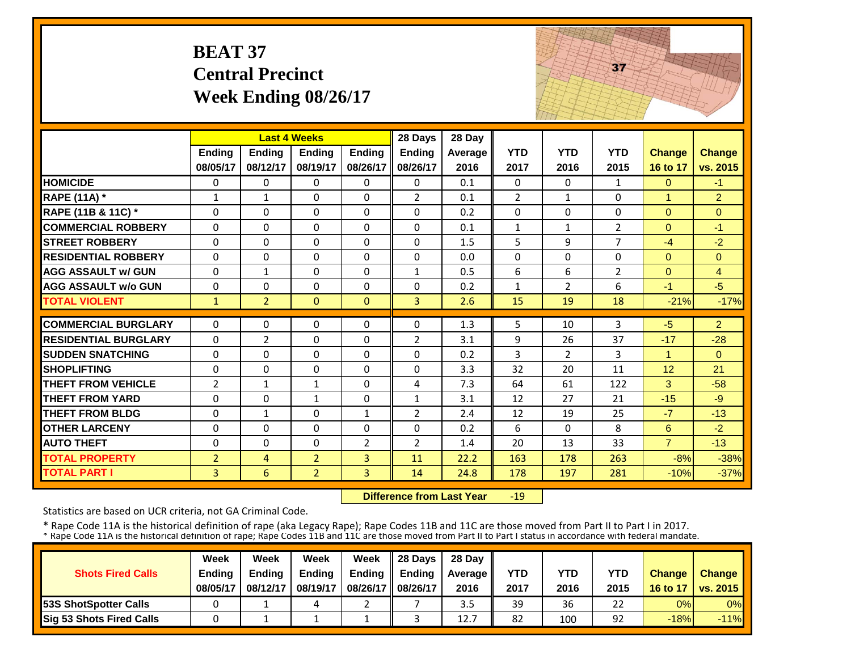|                             | <b>BEAT 37</b>     | <b>Central Precinct</b><br>Week Ending 08/26/17 |                           |                           |                           |                 |                    |                    | 37                 |                           |                           |
|-----------------------------|--------------------|-------------------------------------------------|---------------------------|---------------------------|---------------------------|-----------------|--------------------|--------------------|--------------------|---------------------------|---------------------------|
|                             |                    |                                                 | <b>Last 4 Weeks</b>       |                           | 28 Days                   | 28 Day          |                    |                    |                    |                           |                           |
|                             | Ending<br>08/05/17 | Ending<br>08/12/17                              | <b>Ending</b><br>08/19/17 | <b>Ending</b><br>08/26/17 | <b>Ending</b><br>08/26/17 | Average<br>2016 | <b>YTD</b><br>2017 | <b>YTD</b><br>2016 | <b>YTD</b><br>2015 | <b>Change</b><br>16 to 17 | <b>Change</b><br>vs. 2015 |
| <b>HOMICIDE</b>             | 0                  | 0                                               | $\Omega$                  | $\Omega$                  | 0                         | 0.1             | 0                  | 0                  | $\mathbf{1}$       | $\Omega$                  | -1                        |
| <b>RAPE (11A)</b> *         | $\mathbf{1}$       | $\mathbf{1}$                                    | $\Omega$                  | $\Omega$                  | $\overline{2}$            | 0.1             | $\overline{2}$     | $\mathbf{1}$       | $\Omega$           | $\mathbf{1}$              | $\overline{2}$            |
| RAPE (11B & 11C) *          | $\Omega$           | $\Omega$                                        | $\mathbf 0$               | $\Omega$                  | $\Omega$                  | 0.2             | $\Omega$           | $\Omega$           | $\Omega$           | $\Omega$                  | $\overline{0}$            |
| <b>COMMERCIAL ROBBERY</b>   | $\Omega$           | $\Omega$                                        | $\Omega$                  | $\Omega$                  | $\Omega$                  | 0.1             | $\mathbf{1}$       | $\mathbf{1}$       | $\overline{2}$     | $\Omega$                  | $-1$                      |
| <b>ISTREET ROBBERY</b>      | $\Omega$           | $\Omega$                                        | $\Omega$                  | 0                         | $\Omega$                  | 1.5             | 5                  | 9                  | $\overline{7}$     | $-4$                      | $-2$                      |
| <b>RESIDENTIAL ROBBERY</b>  | $\Omega$           | 0                                               | $\Omega$                  | $\Omega$                  | $\Omega$                  | 0.0             | $\Omega$           | $\Omega$           | $\Omega$           | $\Omega$                  | $\Omega$                  |
| <b>AGG ASSAULT w/ GUN</b>   | $\Omega$           | $\mathbf{1}$                                    | $\Omega$                  | 0                         | $\mathbf{1}$              | 0.5             | 6                  | 6                  | $\overline{2}$     | $\mathbf{0}$              | $\overline{4}$            |
| <b>AGG ASSAULT w/o GUN</b>  | $\Omega$           | 0                                               | $\Omega$                  | $\Omega$                  | $\Omega$                  | 0.2             | $\mathbf{1}$       | $\overline{2}$     | 6                  | $-1$                      | $-5$                      |
| <b>TOTAL VIOLENT</b>        | $\mathbf{1}$       | $\overline{2}$                                  | $\Omega$                  | $\mathbf{0}$              | $\overline{3}$            | 2.6             | 15                 | 19                 | 18                 | $-21%$                    | $-17%$                    |
| <b>COMMERCIAL BURGLARY</b>  | $\Omega$           | $\Omega$                                        | $\Omega$                  | $\Omega$                  | $\Omega$                  | 1.3             | 5                  | 10                 | 3                  | $-5$                      | $\overline{2}$            |
| <b>RESIDENTIAL BURGLARY</b> | $\Omega$           | $\overline{2}$                                  | $\Omega$                  | $\Omega$                  | $\overline{2}$            | 3.1             | 9                  | 26                 | 37                 | $-17$                     | $-28$                     |
| <b>ISUDDEN SNATCHING</b>    | 0                  | 0                                               | $\Omega$                  | 0                         | $\Omega$                  | 0.2             | 3                  | $\overline{2}$     | 3                  | $\mathbf{1}$              | $\Omega$                  |
| <b>SHOPLIFTING</b>          | $\Omega$           | $\Omega$                                        | $\Omega$                  | $\Omega$                  | $\Omega$                  | 3.3             | 32                 | 20                 | 11                 | 12                        | 21                        |
| <b>THEFT FROM VEHICLE</b>   | $\overline{2}$     | $\mathbf{1}$                                    | $\mathbf{1}$              | $\Omega$                  | 4                         | 7.3             | 64                 | 61                 | 122                | 3                         | $-58$                     |
| <b>THEFT FROM YARD</b>      | $\Omega$           | $\Omega$                                        | $\mathbf{1}$              | $\Omega$                  | $\mathbf{1}$              | 3.1             | 12                 | 27                 | 21                 | $-15$                     | $-9$                      |
| <b>THEFT FROM BLDG</b>      | $\Omega$           | $\mathbf{1}$                                    | $\Omega$                  | $\mathbf{1}$              | $\overline{2}$            | 2.4             | 12                 | 19                 | 25                 | $-7$                      | $-13$                     |
| <b>OTHER LARCENY</b>        | 0                  | $\Omega$                                        | $\Omega$                  | $\Omega$                  | $\Omega$                  | 0.2             | 6                  | $\Omega$           | 8                  | 6                         | $-2$                      |
| <b>AUTO THEFT</b>           | $\Omega$           | $\Omega$                                        | $\Omega$                  | $\overline{2}$            | $\overline{2}$            | 1.4             | 20                 | 13                 | 33                 | $\overline{7}$            | $-13$                     |
| <b>TOTAL PROPERTY</b>       | $\overline{2}$     | $\overline{4}$                                  | $\overline{2}$            | 3                         | 11                        | 22.2            | 163                | 178                | 263                | $-8%$                     | $-38%$                    |
| <b>TOTAL PART I</b>         | 3                  | 6                                               | $\overline{2}$            | $\overline{3}$            | 14                        | 24.8            | 178                | 197                | 281                | $-10%$                    | $-37%$                    |

 **Difference from Last Year** $-19$  THE REAL PROPERTY.

Statistics are based on UCR criteria, not GA Criminal Code.

|                              | Week          | Week          | Week          | Week          | 28 Days       | 28 Day    |      |      |      |               |                       |
|------------------------------|---------------|---------------|---------------|---------------|---------------|-----------|------|------|------|---------------|-----------------------|
| <b>Shots Fired Calls</b>     | <b>Ending</b> | <b>Ending</b> | <b>Ending</b> | <b>Ending</b> | <b>Ending</b> | Average I | YTD  | YTD  | YTD  | <b>Change</b> | <b>Change</b>         |
|                              | 08/05/17      | 08/12/17      | 08/19/17      | 08/26/17      | 08/26/17      | 2016      | 2017 | 2016 | 2015 | 16 to 17      | <b>O</b> I vs. 2015 I |
| <b>53S ShotSpotter Calls</b> |               |               | 4             |               |               | 3.5       | 39   | 36   | 22   | 0%            | $0\%$                 |
| Sig 53 Shots Fired Calls     |               |               |               |               |               | 12.7      | 82   | 100  | 92   | $-18%$        | $-11%$                |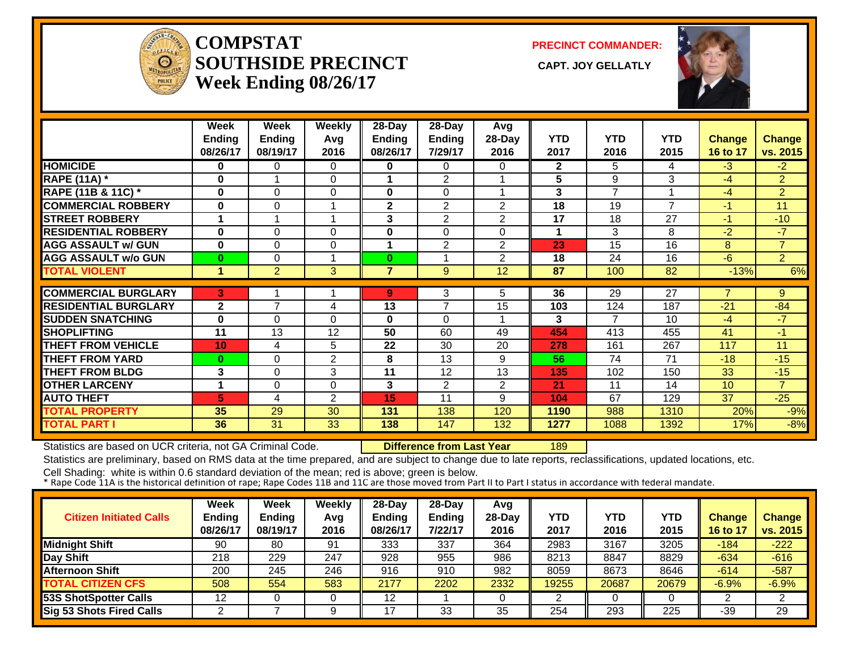

**COMPSTATSOUTHSIDE PRECINCT** CAPT. JOY GELLATLY **Week Ending 08/26/17**

**PRECINCT COMMANDER:**



|                               | Week            | Week           | <b>Weekly</b>  | 28-Day         | 28-Day         | Avg            |              |            |                |               |                |
|-------------------------------|-----------------|----------------|----------------|----------------|----------------|----------------|--------------|------------|----------------|---------------|----------------|
|                               | <b>Ending</b>   | <b>Ending</b>  | Avg            | <b>Ending</b>  | <b>Ending</b>  | 28-Day         | <b>YTD</b>   | <b>YTD</b> | <b>YTD</b>     | <b>Change</b> | <b>Change</b>  |
|                               | 08/26/17        | 08/19/17       | 2016           | 08/26/17       | 7/29/17        | 2016           | 2017         | 2016       | 2015           | 16 to 17      | vs. 2015       |
| <b>HOMICIDE</b>               | 0               | 0              | $\Omega$       | 0              | 0              | 0              | $\mathbf{2}$ | 5.         | 4              | $-3$          | $-2$           |
| <b>RAPE (11A)</b> *           | $\bf{0}$        | 1              | $\Omega$       |                | 2              |                | 5            | 9          | 3              | $-4$          | $\overline{2}$ |
| <b>RAPE (11B &amp; 11C) *</b> | $\bf{0}$        | $\Omega$       | $\Omega$       | 0              | 0              |                | 3            | 7          |                | $-4$          | $\overline{2}$ |
| <b>COMMERCIAL ROBBERY</b>     | $\bf{0}$        | $\Omega$       | 1              | $\mathbf{2}$   | 2              | 2              | 18           | 19         | $\overline{7}$ | $-1$          | 11             |
| <b>STREET ROBBERY</b>         | 1               | 1              | 1              | 3              | $\overline{2}$ | $\overline{2}$ | 17           | 18         | 27             | $-1$          | $-10$          |
| <b>RESIDENTIAL ROBBERY</b>    | $\bf{0}$        | $\Omega$       | $\Omega$       | 0              | $\Omega$       | $\Omega$       | $\mathbf 1$  | 3          | 8              | $-2$          | $-7$           |
| <b>AGG ASSAULT w/ GUN</b>     | $\bf{0}$        | $\Omega$       | 0              | 1              | $\overline{2}$ | $\overline{2}$ | 23           | 15         | 16             | 8             | $\overline{7}$ |
| <b>AGG ASSAULT w/o GUN</b>    | $\bf{0}$        | $\Omega$       | 1              | $\bf{0}$       | 1              | $\overline{2}$ | 18           | 24         | 16             | $-6$          | $\overline{2}$ |
| <b>TOTAL VIOLENT</b>          | 1               | $\overline{2}$ | 3              | $\overline{7}$ | 9              | 12             | 87           | 100        | 82             | $-13%$        | 6%             |
|                               |                 |                |                |                |                |                |              |            |                |               |                |
| <b>COMMERCIAL BURGLARY</b>    | в.              |                |                | 9              | 3              | 5.             | 36           | 29         | 27             | 7             | 9              |
| <b>RESIDENTIAL BURGLARY</b>   | $\mathbf{2}$    | 7              | 4              | 13             | $\overline{7}$ | 15             | 103          | 124        | 187            | $-21$         | $-84$          |
| <b>SUDDEN SNATCHING</b>       | $\bf{0}$        | 0              | $\Omega$       | 0              | $\Omega$       |                | 3            | 7          | 10             | $-4$          | $-7$           |
| <b>SHOPLIFTING</b>            | 11              | 13             | 12             | 50             | 60             | 49             | 454          | 413        | 455            | 41            | $-1$           |
| <b>THEFT FROM VEHICLE</b>     | 10 <sub>1</sub> | 4              | 5              | 22             | 30             | 20             | 278          | 161        | 267            | 117           | 11             |
| <b>THEFT FROM YARD</b>        | $\bf{0}$        | $\Omega$       | $\overline{2}$ | 8              | 13             | 9              | 56           | 74         | 71             | $-18$         | $-15$          |
| <b>THEFT FROM BLDG</b>        | 3               | $\Omega$       | 3              | 11             | 12             | 13             | 135          | 102        | 150            | 33            | $-15$          |
| <b>OTHER LARCENY</b>          | 1               | $\Omega$       | $\Omega$       | 3              | 2              | $\overline{2}$ | 21           | 11         | 14             | 10            | $\overline{7}$ |
| <b>AUTO THEFT</b>             | 5               | 4              | 2              | 15             | 11             | 9              | 104          | 67         | 129            | 37            | $-25$          |
| <b>TOTAL PROPERTY</b>         | 35              | 29             | 30             | 131            | 138            | 120            | 1190         | 988        | 1310           | 20%           | $-9%$          |
| <b>TOTAL PART I</b>           | 36              | 31             | 33             | 138            | 147            | 132            | 1277         | 1088       | 1392           | 17%           | $-8%$          |

Statistics are based on UCR criteria, not GA Criminal Code. **Difference from Last Year** 189

Statistics are preliminary, based on RMS data at the time prepared, and are subject to change due to late reports, reclassifications, updated locations, etc.

| <b>Citizen Initiated Calls</b>  | Week<br><b>Ending</b><br>08/26/17 | Week<br><b>Ending</b><br>08/19/17 | Weekly<br>Avg<br>2016 | $28$ -Day<br><b>Ending</b><br>08/26/17 | $28$ -Dav<br><b>Ending</b><br>7/22/17 | Avg<br>$28-Day$<br>2016 | <b>YTD</b><br>2017 | YTD<br>2016 | YTD<br>2015 | <b>Change</b><br>16 to 17 | <b>Change</b><br>vs. 2015 |
|---------------------------------|-----------------------------------|-----------------------------------|-----------------------|----------------------------------------|---------------------------------------|-------------------------|--------------------|-------------|-------------|---------------------------|---------------------------|
| <b>Midnight Shift</b>           | 90                                | 80                                | 91                    | 333                                    | 337                                   | 364                     | 2983               | 3167        | 3205        | $-184$                    | $-222$                    |
| Day Shift                       | 218                               | 229                               | 247                   | 928                                    | 955                                   | 986                     | 8213               | 8847        | 8829        | $-634$                    | $-616$                    |
| <b>Afternoon Shift</b>          | 200                               | 245                               | 246                   | 916                                    | 910                                   | 982                     | 8059               | 8673        | 8646        | $-614$                    | $-587$                    |
| <b>TOTAL CITIZEN CFS</b>        | 508                               | 554                               | 583                   | 2177                                   | 2202                                  | 2332                    | 19255              | 20687       | 20679       | $-6.9%$                   | $-6.9%$                   |
| <b>53S ShotSpotter Calls</b>    | 12                                |                                   |                       | 12                                     |                                       |                         |                    |             |             |                           | ◠                         |
| <b>Sig 53 Shots Fired Calls</b> | ⌒                                 |                                   |                       |                                        | 33                                    | 35                      | 254                | 293         | 225         | $-39$                     | 29                        |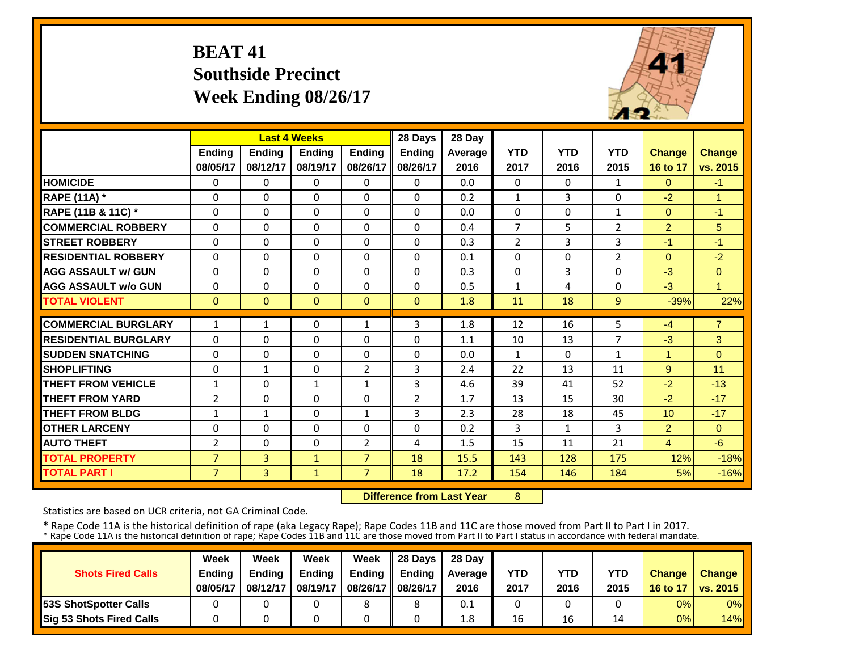# **BEAT 41 Southside Precinct Week Ending 08/26/17**



|                             |                |               | <b>Last 4 Weeks</b> |                | 28 Days        | 28 Day  |                |            |                |                |                |
|-----------------------------|----------------|---------------|---------------------|----------------|----------------|---------|----------------|------------|----------------|----------------|----------------|
|                             | <b>Ending</b>  | <b>Ending</b> | <b>Ending</b>       | <b>Endina</b>  | <b>Ending</b>  | Average | <b>YTD</b>     | <b>YTD</b> | <b>YTD</b>     | <b>Change</b>  | <b>Change</b>  |
|                             | 08/05/17       | 08/12/17      | 08/19/17            | 08/26/17       | 08/26/17       | 2016    | 2017           | 2016       | 2015           | 16 to 17       | vs. 2015       |
| <b>HOMICIDE</b>             | 0              | $\Omega$      | $\Omega$            | 0              | $\Omega$       | 0.0     | $\Omega$       | $\Omega$   | 1              | $\Omega$       | $-1$           |
| <b>RAPE (11A)</b> *         | $\Omega$       | $\Omega$      | $\Omega$            | $\Omega$       | $\Omega$       | 0.2     | $\mathbf{1}$   | 3          | 0              | $-2$           | $\overline{1}$ |
| RAPE (11B & 11C) *          | $\Omega$       | $\Omega$      | $\mathbf{0}$        | $\Omega$       | $\Omega$       | 0.0     | $\mathbf 0$    | $\Omega$   | $\mathbf{1}$   | $\overline{0}$ | $-1$           |
| <b>COMMERCIAL ROBBERY</b>   | $\Omega$       | $\Omega$      | $\Omega$            | $\Omega$       | $\Omega$       | 0.4     | $\overline{7}$ | 5          | 2              | $\overline{2}$ | 5              |
| <b>ISTREET ROBBERY</b>      | 0              | $\Omega$      | $\Omega$            | $\Omega$       | $\Omega$       | 0.3     | $\overline{2}$ | 3          | 3              | $-1$           | $-1$           |
| <b>RESIDENTIAL ROBBERY</b>  | $\Omega$       | $\Omega$      | $\Omega$            | $\Omega$       | $\Omega$       | 0.1     | $\Omega$       | $\Omega$   | $\overline{2}$ | $\Omega$       | $-2$           |
| <b>AGG ASSAULT w/ GUN</b>   | $\Omega$       | $\Omega$      | $\Omega$            | $\Omega$       | $\Omega$       | 0.3     | $\Omega$       | 3          | 0              | $-3$           | $\Omega$       |
| <b>AGG ASSAULT w/o GUN</b>  | $\Omega$       | $\Omega$      | $\Omega$            | $\Omega$       | 0              | 0.5     | $\mathbf{1}$   | 4          | 0              | $-3$           | $\overline{1}$ |
| <b>TOTAL VIOLENT</b>        | $\mathbf{0}$   | $\Omega$      | $\Omega$            | $\Omega$       | $\Omega$       | 1.8     | 11             | 18         | 9              | $-39%$         | 22%            |
| <b>COMMERCIAL BURGLARY</b>  | $\mathbf{1}$   | $\mathbf{1}$  | $\Omega$            | 1              | 3              | 1.8     | 12             | 16         | 5              | $-4$           | $\overline{7}$ |
| <b>RESIDENTIAL BURGLARY</b> | $\Omega$       | $\Omega$      | $\Omega$            | $\Omega$       | $\Omega$       | 1.1     | 10             | 13         | 7              | $-3$           | 3              |
| <b>ISUDDEN SNATCHING</b>    | $\mathbf 0$    | $\Omega$      | $\Omega$            | $\Omega$       | $\Omega$       | 0.0     | $\mathbf{1}$   | $\Omega$   | $\mathbf{1}$   | 4              | $\Omega$       |
| <b>SHOPLIFTING</b>          | $\mathbf 0$    | $\mathbf{1}$  | $\Omega$            | $\overline{2}$ | 3              | 2.4     | 22             | 13         | 11             | 9              | 11             |
| <b>THEFT FROM VEHICLE</b>   | $\mathbf{1}$   | $\Omega$      | 1                   | 1              | 3              | 4.6     | 39             | 41         | 52             | $-2$           | $-13$          |
| <b>THEFT FROM YARD</b>      | $\overline{2}$ | $\Omega$      | $\Omega$            | $\Omega$       | $\overline{2}$ | 1.7     | 13             | 15         | 30             | $-2$           | $-17$          |
| <b>THEFT FROM BLDG</b>      | $\mathbf{1}$   | $\mathbf{1}$  | $\Omega$            | 1              | 3              | 2.3     | 28             | 18         | 45             | 10             | $-17$          |
| <b>OTHER LARCENY</b>        | 0              | $\Omega$      | $\Omega$            | 0              | $\Omega$       | 0.2     | $\overline{3}$ | 1          | 3              | $\overline{2}$ | $\Omega$       |
| <b>AUTO THEFT</b>           | 2              | $\Omega$      | $\Omega$            | 2              | 4              | 1.5     | 15             | 11         | 21             | $\overline{4}$ | $-6$           |
| <b>TOTAL PROPERTY</b>       | $\overline{7}$ | 3             | $\mathbf{1}$        | $\overline{7}$ | 18             | 15.5    | 143            | 128        | 175            | 12%            | $-18%$         |
| <b>TOTAL PART I</b>         | $\overline{7}$ | 3             | $\mathbf{1}$        | $\overline{7}$ | 18             | 17.2    | 154            | 146        | 184            | 5%             | $-16%$         |

 **Difference from Last Year**

8

Statistics are based on UCR criteria, not GA Criminal Code.

|                               | Week     | Week          | Week          | Week          | $\parallel$ 28 Davs | 28 Day    |      |      |      |               |                     |
|-------------------------------|----------|---------------|---------------|---------------|---------------------|-----------|------|------|------|---------------|---------------------|
| <b>Shots Fired Calls</b>      | Ending   | <b>Ending</b> | <b>Ending</b> | <b>Ending</b> | <b>Ending</b>       | Average I | YTD  | YTD  | YTD  | <b>Change</b> | <b>Change</b>       |
|                               | 08/05/17 | 08/12/17      | 08/19/17      | 08/26/17      | 08/26/17            | 2016      | 2017 | 2016 | 2015 |               | 16 to 17   vs. 2015 |
| <b>153S ShotSpotter Calls</b> |          |               |               |               |                     | 0.1       |      |      |      | 0%            | $0\%$               |
| Sig 53 Shots Fired Calls      |          |               |               |               |                     | 1.8       | 16   | 16   | 14   | 0%            | 14%                 |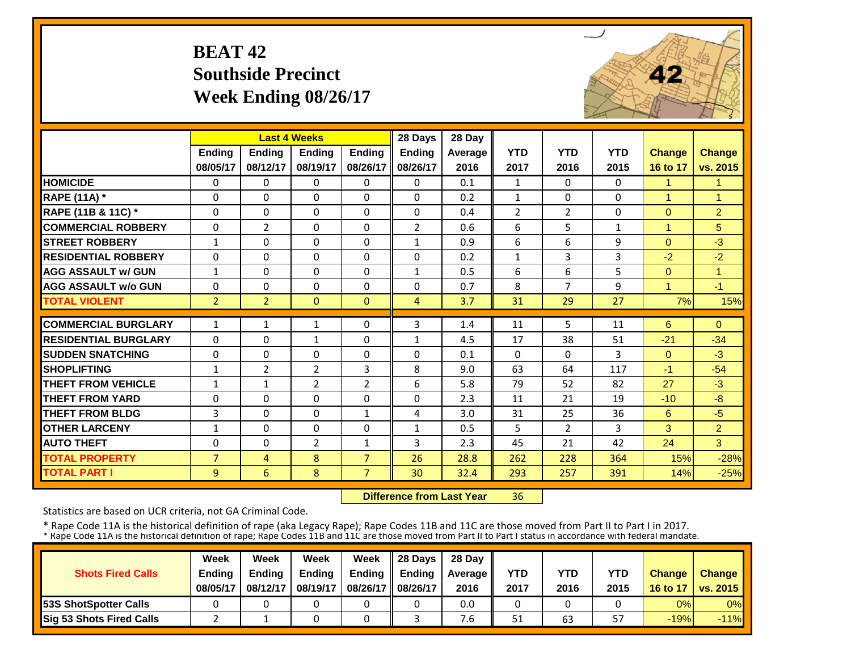# **BEAT 42 Southside Precinct Week Ending 08/26/17**



|                             |                | <b>Last 4 Weeks</b> |                |                | 28 Days        | 28 Day         |                |                |              |               |                      |
|-----------------------------|----------------|---------------------|----------------|----------------|----------------|----------------|----------------|----------------|--------------|---------------|----------------------|
|                             | <b>Ending</b>  | <b>Ending</b>       | <b>Ending</b>  | <b>Endina</b>  | <b>Ending</b>  | <b>Average</b> | <b>YTD</b>     | <b>YTD</b>     | <b>YTD</b>   | <b>Change</b> | <b>Change</b>        |
|                             | 08/05/17       | 08/12/17            | 08/19/17       | 08/26/17       | 08/26/17       | 2016           | 2017           | 2016           | 2015         | 16 to 17      | vs. 2015             |
| <b>HOMICIDE</b>             | $\Omega$       | 0                   | $\Omega$       | $\Omega$       | 0              | 0.1            | 1              | $\Omega$       | $\Omega$     | 1             | $\blacktriangleleft$ |
| <b>RAPE (11A) *</b>         | $\Omega$       | $\Omega$            | $\Omega$       | $\Omega$       | $\Omega$       | 0.2            | $\mathbf{1}$   | $\Omega$       | $\Omega$     | 1             | $\overline{1}$       |
| RAPE (11B & 11C) *          | $\Omega$       | $\Omega$            | $\Omega$       | $\Omega$       | 0              | 0.4            | $\overline{2}$ | $\overline{2}$ | $\Omega$     | $\Omega$      | $\overline{2}$       |
| <b>COMMERCIAL ROBBERY</b>   | $\Omega$       | $\overline{2}$      | $\Omega$       | $\Omega$       | $\overline{2}$ | 0.6            | 6              | 5              | $\mathbf{1}$ | $\mathbf{1}$  | 5                    |
| <b>STREET ROBBERY</b>       | $\mathbf{1}$   | $\Omega$            | $\Omega$       | $\Omega$       | $\mathbf{1}$   | 0.9            | 6              | 6              | 9            | $\Omega$      | $-3$                 |
| <b>RESIDENTIAL ROBBERY</b>  | $\Omega$       | 0                   | $\Omega$       | $\Omega$       | 0              | 0.2            | $\mathbf{1}$   | 3              | 3            | $-2$          | $-2$                 |
| <b>AGG ASSAULT w/ GUN</b>   | $\mathbf{1}$   | 0                   | $\Omega$       | 0              | $\mathbf{1}$   | 0.5            | 6              | 6              | 5            | $\Omega$      | $\mathbf{1}$         |
| <b>AGG ASSAULT w/o GUN</b>  | $\Omega$       | $\Omega$            | $\Omega$       | $\Omega$       | $\Omega$       | 0.7            | 8              | $\overline{7}$ | 9            | 1             | $-1$                 |
| <b>TOTAL VIOLENT</b>        | 2 <sup>1</sup> | $\overline{2}$      | $\Omega$       | $\Omega$       | 4              | 3.7            | 31             | 29             | 27           | 7%            | 15%                  |
| <b>COMMERCIAL BURGLARY</b>  | $\mathbf{1}$   | $\mathbf{1}$        | $\mathbf{1}$   | 0              | 3              | 1.4            | 11             | 5              | 11           | 6             | $\Omega$             |
| <b>RESIDENTIAL BURGLARY</b> | $\Omega$       | $\Omega$            | $\mathbf{1}$   | 0              | 1              | 4.5            | 17             | 38             | 51           | $-21$         | $-34$                |
| <b>SUDDEN SNATCHING</b>     | $\Omega$       | $\Omega$            | $\Omega$       | $\Omega$       | 0              | 0.1            | $\Omega$       | $\Omega$       | 3            | $\Omega$      | $-3$                 |
| <b>SHOPLIFTING</b>          | $\mathbf{1}$   | 2                   | $\overline{2}$ | 3              | 8              | 9.0            | 63             | 64             | 117          | $-1$          | $-54$                |
| <b>THEFT FROM VEHICLE</b>   | $\mathbf{1}$   | $\mathbf{1}$        | $\overline{2}$ | $\overline{2}$ | 6              | 5.8            | 79             | 52             | 82           | 27            | $-3$                 |
| <b>THEFT FROM YARD</b>      | $\Omega$       | $\Omega$            | $\Omega$       | $\Omega$       | 0              | 2.3            | 11             | 21             | 19           | $-10$         | $-8$                 |
| <b>THEFT FROM BLDG</b>      | 3              | 0                   | $\Omega$       | $\mathbf{1}$   | 4              | 3.0            | 31             | 25             | 36           | 6             | $-5$                 |
| <b>OTHER LARCENY</b>        | 1              | 0                   | $\Omega$       | 0              | $\mathbf{1}$   | 0.5            | 5              | $\overline{2}$ | 3            | 3             | 2                    |
| <b>AUTO THEFT</b>           | $\Omega$       | $\Omega$            | $\overline{2}$ | $\mathbf{1}$   | 3              | 2.3            | 45             | 21             | 42           | 24            | 3                    |
| <b>TOTAL PROPERTY</b>       | $\overline{7}$ | 4                   | 8              | $\overline{7}$ | 26             | 28.8           | 262            | 228            | 364          | 15%           | $-28%$               |
| <b>TOTAL PART I</b>         | 9              | 6                   | 8              | $\overline{7}$ | 30             | 32.4           | 293            | 257            | 391          | 14%           | $-25%$               |

 **Difference from Last Year**36

Statistics are based on UCR criteria, not GA Criminal Code.

|                              | Week          | Week          | Week          | Week          | 28 Days       | 28 Day    |      |      |      |               |                     |
|------------------------------|---------------|---------------|---------------|---------------|---------------|-----------|------|------|------|---------------|---------------------|
| <b>Shots Fired Calls</b>     | <b>Ending</b> | <b>Ending</b> | <b>Ending</b> | <b>Ending</b> | <b>Ending</b> | Average I | YTD  | YTD  | YTD  | <b>Change</b> | <b>Change</b>       |
|                              | 08/05/17      | 08/12/17      | 08/19/17      | 08/26/17      | 08/26/17      | 2016      | 2017 | 2016 | 2015 |               | 16 to 17   vs. 2015 |
| <b>53S ShotSpotter Calls</b> |               |               |               |               |               | 0.0       |      |      |      | 0%            | $0\%$               |
| Sig 53 Shots Fired Calls     |               |               |               |               |               | ۰.b       | 51   | 63   | 57   | $-19%$        | $-11%$              |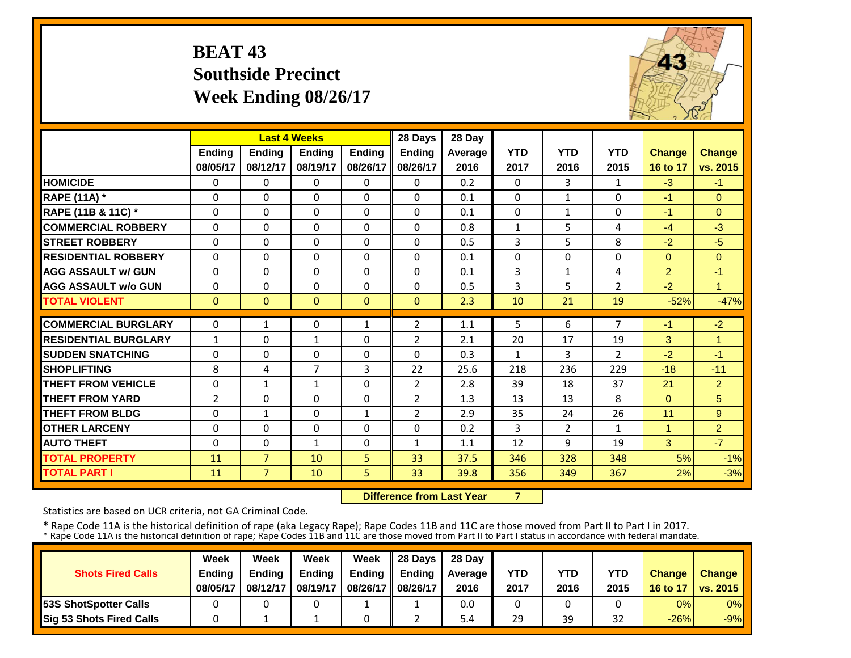# **BEAT 43 Southside Precinct Week Ending 08/26/17**



|                             |                |                | <b>Last 4 Weeks</b> |               | 28 Days        | 28 Day  |              |                |                |                |                      |
|-----------------------------|----------------|----------------|---------------------|---------------|----------------|---------|--------------|----------------|----------------|----------------|----------------------|
|                             | Ending         | <b>Ending</b>  | <b>Ending</b>       | <b>Ending</b> | <b>Ending</b>  | Average | <b>YTD</b>   | <b>YTD</b>     | <b>YTD</b>     | Change         | <b>Change</b>        |
|                             | 08/05/17       | 08/12/17       | 08/19/17            | 08/26/17      | 08/26/17       | 2016    | 2017         | 2016           | 2015           | 16 to 17       | vs. 2015             |
| <b>HOMICIDE</b>             | 0              | 0              | $\Omega$            | $\Omega$      | $\Omega$       | 0.2     | $\Omega$     | 3              | $\mathbf{1}$   | $-3$           | $-1$                 |
| <b>RAPE (11A)</b> *         | $\Omega$       | $\Omega$       | $\Omega$            | $\Omega$      | $\Omega$       | 0.1     | $\Omega$     | $\mathbf{1}$   | $\Omega$       | $-1$           | $\Omega$             |
| RAPE (11B & 11C) *          | $\Omega$       | $\Omega$       | $\Omega$            | $\Omega$      | $\Omega$       | 0.1     | $\mathbf{0}$ | $\mathbf{1}$   | $\Omega$       | $-1$           | $\Omega$             |
| <b>COMMERCIAL ROBBERY</b>   | $\Omega$       | 0              | $\Omega$            | $\Omega$      | $\Omega$       | 0.8     | $\mathbf{1}$ | 5              | 4              | $-4$           | $-3$                 |
| <b>ISTREET ROBBERY</b>      | $\Omega$       | $\Omega$       | $\Omega$            | $\Omega$      | $\Omega$       | 0.5     | 3            | 5              | 8              | $-2$           | $-5$                 |
| <b>RESIDENTIAL ROBBERY</b>  | $\Omega$       | $\Omega$       | $\Omega$            | 0             | $\Omega$       | 0.1     | $\Omega$     | $\Omega$       | $\Omega$       | $\Omega$       | $\Omega$             |
| <b>AGG ASSAULT w/ GUN</b>   | $\Omega$       | $\Omega$       | $\Omega$            | $\Omega$      | $\Omega$       | 0.1     | 3            | $\mathbf{1}$   | 4              | $\overline{2}$ | $-1$                 |
| <b>AGG ASSAULT w/o GUN</b>  | $\Omega$       | $\Omega$       | $\Omega$            | $\Omega$      | $\Omega$       | 0.5     | 3            | 5              | $\overline{2}$ | $-2$           | $\blacktriangleleft$ |
| <b>TOTAL VIOLENT</b>        | $\mathbf{0}$   | $\overline{0}$ | $\Omega$            | $\Omega$      | $\Omega$       | 2.3     | 10           | 21             | 19             | $-52%$         | $-47%$               |
| <b>COMMERCIAL BURGLARY</b>  | $\Omega$       | $\mathbf{1}$   | $\Omega$            | 1             | $\overline{2}$ | 1.1     | 5            | 6              | $\overline{7}$ | $-1$           | $-2$                 |
| <b>RESIDENTIAL BURGLARY</b> | $\mathbf{1}$   | $\Omega$       | $\mathbf{1}$        | 0             | $\overline{2}$ | 2.1     | 20           | 17             | 19             | 3              | $\overline{1}$       |
| <b>SUDDEN SNATCHING</b>     | $\Omega$       | $\Omega$       | $\Omega$            | $\Omega$      | $\Omega$       | 0.3     | $\mathbf{1}$ | 3              | $\overline{2}$ | $-2$           | $-1$                 |
| <b>SHOPLIFTING</b>          | 8              | 4              | $\overline{7}$      | 3             | 22             | 25.6    | 218          | 236            | 229            | $-18$          | $-11$                |
| <b>THEFT FROM VEHICLE</b>   | $\Omega$       | 1              | 1                   | $\Omega$      | $\overline{2}$ | 2.8     | 39           | 18             | 37             | 21             | $\overline{2}$       |
| <b>THEFT FROM YARD</b>      | $\overline{2}$ | $\Omega$       | $\Omega$            | $\Omega$      | $\overline{2}$ | 1.3     | 13           | 13             | 8              | $\Omega$       | $5\overline{)}$      |
| <b>THEFT FROM BLDG</b>      | $\Omega$       | $\mathbf{1}$   | $\Omega$            | 1             | $\overline{2}$ | 2.9     | 35           | 24             | 26             | 11             | 9                    |
| <b>OTHER LARCENY</b>        | $\Omega$       | $\Omega$       | $\Omega$            | $\Omega$      | $\Omega$       | 0.2     | 3            | $\overline{2}$ | $\mathbf{1}$   | $\overline{1}$ | 2                    |
| <b>AUTO THEFT</b>           | $\Omega$       | $\Omega$       | $\mathbf{1}$        | $\Omega$      | $\mathbf{1}$   | 1.1     | 12           | 9              | 19             | 3              | $-7$                 |
| <b>TOTAL PROPERTY</b>       | 11             | $\overline{7}$ | 10                  | 5.            | 33             | 37.5    | 346          | 328            | 348            | 5%             | $-1%$                |
| <b>TOTAL PART I</b>         | 11             | $\overline{7}$ | 10                  | 5             | 33             | 39.8    | 356          | 349            | 367            | 2%             | $-3%$                |

 **Difference from Last Year**7

Statistics are based on UCR criteria, not GA Criminal Code.

|                               | Week     | Week          | Week          | Week          | $\parallel$ 28 Davs | 28 Day    |      |      |      |               |                     |
|-------------------------------|----------|---------------|---------------|---------------|---------------------|-----------|------|------|------|---------------|---------------------|
| <b>Shots Fired Calls</b>      | Ending   | <b>Ending</b> | <b>Ending</b> | <b>Ending</b> | <b>Ending</b>       | Average I | YTD  | YTD  | YTD  | <b>Change</b> | <b>Change</b>       |
|                               | 08/05/17 | 08/12/17      | 08/19/17      | 08/26/17      | 08/26/17            | 2016      | 2017 | 2016 | 2015 |               | 16 to 17   vs. 2015 |
| <b>153S ShotSpotter Calls</b> |          |               |               |               |                     | 0.0       |      |      |      | 0%            | $0\%$               |
| Sig 53 Shots Fired Calls      |          |               |               |               |                     | 5.4       | 29   | 39   | 32   | $-26%$        | $-9%$               |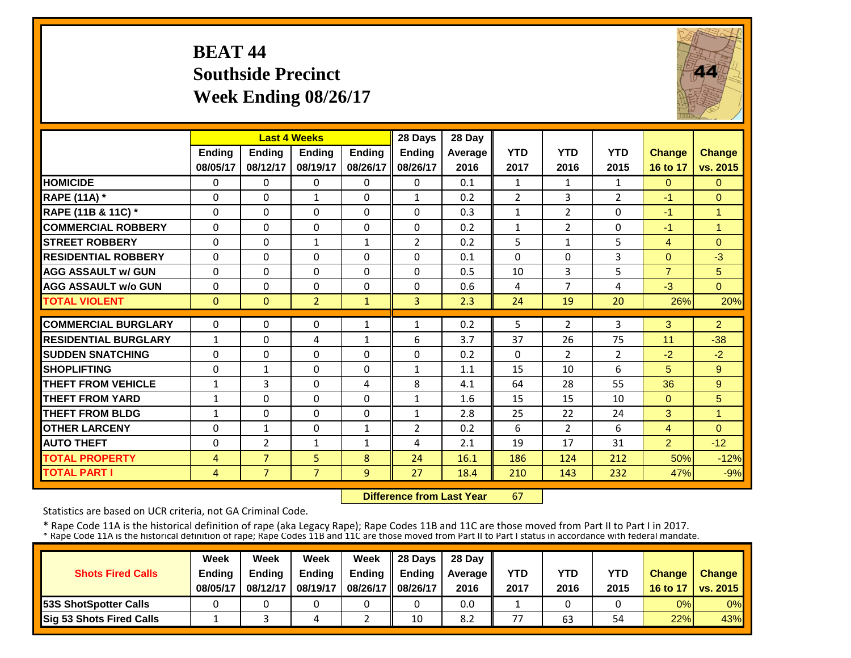# **BEAT 44 Southside Precinct Week Ending 08/26/17**



|                             |                | <b>Last 4 Weeks</b> |                |                | 28 Days        | 28 Day  |                |                |                |                |                      |
|-----------------------------|----------------|---------------------|----------------|----------------|----------------|---------|----------------|----------------|----------------|----------------|----------------------|
|                             | <b>Ending</b>  | <b>Endina</b>       | <b>Endina</b>  | <b>Endina</b>  | <b>Ending</b>  | Average | <b>YTD</b>     | <b>YTD</b>     | <b>YTD</b>     | <b>Change</b>  | <b>Change</b>        |
|                             | 08/05/17       | 08/12/17            | 08/19/17       | 08/26/17       | 08/26/17       | 2016    | 2017           | 2016           | 2015           | 16 to 17       | vs. 2015             |
| <b>HOMICIDE</b>             | $\mathbf 0$    | $\Omega$            | 0              | $\Omega$       | 0              | 0.1     | $\mathbf{1}$   | $\mathbf{1}$   | $\mathbf{1}$   | $\overline{0}$ | $\Omega$             |
| <b>RAPE (11A)</b> *         | $\Omega$       | $\Omega$            | 1              | $\Omega$       | $\mathbf{1}$   | 0.2     | $\overline{2}$ | 3              | $\overline{2}$ | -1             | $\Omega$             |
| RAPE (11B & 11C) *          | $\mathbf 0$    | 0                   | $\Omega$       | $\Omega$       | $\Omega$       | 0.3     | $\mathbf{1}$   | $\overline{2}$ | 0              | $-1$           | $\overline{1}$       |
| <b>COMMERCIAL ROBBERY</b>   | $\Omega$       | $\Omega$            | $\Omega$       | $\Omega$       | $\Omega$       | 0.2     | $\mathbf{1}$   | $\overline{2}$ | 0              | $-1$           | $\blacktriangleleft$ |
| <b>STREET ROBBERY</b>       | $\mathbf 0$    | $\Omega$            | 1              | $\mathbf{1}$   | $\overline{2}$ | 0.2     | 5              | $\mathbf{1}$   | 5              | $\overline{4}$ | $\Omega$             |
| <b>RESIDENTIAL ROBBERY</b>  | $\Omega$       | $\Omega$            | $\Omega$       | 0              | 0              | 0.1     | $\Omega$       | $\Omega$       | 3              | $\Omega$       | $-3$                 |
| <b>AGG ASSAULT w/ GUN</b>   | 0              | $\Omega$            | $\Omega$       | $\Omega$       | $\Omega$       | 0.5     | 10             | 3              | 5              | $\overline{7}$ | 5                    |
| <b>AGG ASSAULT w/o GUN</b>  | 0              | 0                   | $\Omega$       | $\Omega$       | 0              | 0.6     | 4              | 7              | 4              | $-3$           | $\overline{0}$       |
| <b>TOTAL VIOLENT</b>        | $\Omega$       | $\Omega$            | $\overline{2}$ | $\mathbf{1}$   | 3              | 2.3     | 24             | 19             | 20             | 26%            | 20%                  |
| <b>COMMERCIAL BURGLARY</b>  | $\Omega$       | $\Omega$            | 0              | 1              | 1              | 0.2     | 5              | $\overline{2}$ | 3              | 3              | $\overline{2}$       |
| <b>RESIDENTIAL BURGLARY</b> | $\mathbf{1}$   | $\Omega$            | 4              | 1              | 6              | 3.7     | 37             | 26             | 75             | 11             | $-38$                |
| <b>ISUDDEN SNATCHING</b>    | $\Omega$       | $\Omega$            | $\Omega$       | $\Omega$       | $\Omega$       | 0.2     | $\Omega$       | $\overline{2}$ | $\overline{2}$ | $-2$           | $-2$                 |
| <b>SHOPLIFTING</b>          | 0              | $\mathbf{1}$        | $\Omega$       | 0              | 1              | 1.1     | 15             | 10             | 6              | 5              | 9                    |
| <b>THEFT FROM VEHICLE</b>   | $\mathbf{1}$   | 3                   | $\Omega$       | 4              | 8              | 4.1     | 64             | 28             | 55             | 36             | 9                    |
| <b>THEFT FROM YARD</b>      | 1              | $\Omega$            | $\Omega$       | $\Omega$       | $\mathbf{1}$   | 1.6     | 15             | 15             | 10             | $\Omega$       | 5                    |
| <b>THEFT FROM BLDG</b>      | $\mathbf{1}$   | $\Omega$            | $\Omega$       | $\Omega$       | $\mathbf{1}$   | 2.8     | 25             | 22             | 24             | 3              | $\blacktriangleleft$ |
| <b>OTHER LARCENY</b>        | 0              | $\mathbf{1}$        | $\Omega$       | $\mathbf{1}$   | $\overline{2}$ | 0.2     | 6              | $\overline{2}$ | 6              | $\overline{4}$ | $\Omega$             |
| <b>AUTO THEFT</b>           | $\mathbf 0$    | 2                   | 1              | $\mathbf{1}$   | 4              | 2.1     | 19             | 17             | 31             | $\overline{2}$ | $-12$                |
| <b>TOTAL PROPERTY</b>       | $\overline{4}$ | $\overline{7}$      | 5              | 8              | 24             | 16.1    | 186            | 124            | 212            | 50%            | $-12%$               |
| <b>TOTAL PART I</b>         | $\overline{4}$ | $\overline{7}$      | $\overline{7}$ | $\overline{9}$ | 27             | 18.4    | 210            | 143            | 232            | 47%            | $-9%$                |

 **Difference from Last Year**67

Statistics are based on UCR criteria, not GA Criminal Code.

|                                 | Week          | Week          | Week     | Week          | 28 Davs       | 28 Day    |      |      |            |               |                     |
|---------------------------------|---------------|---------------|----------|---------------|---------------|-----------|------|------|------------|---------------|---------------------|
| <b>Shots Fired Calls</b>        | <b>Endina</b> | <b>Endina</b> | Ending   | <b>Ending</b> | <b>Endina</b> | Average I | YTD  | YTD  | <b>YTD</b> | <b>Change</b> | <b>Change</b>       |
|                                 | 08/05/17      | 08/12/17      | 08/19/17 | 08/26/17      | 08/26/17      | 2016      | 2017 | 2016 | 2015       |               | 16 to 17   vs. 2015 |
| <b>153S ShotSpotter Calls</b>   |               |               |          |               |               | 0.0       |      |      |            | 0%            | $0\%$               |
| <b>Sig 53 Shots Fired Calls</b> |               |               |          |               | 10            | 8.2       | 77   | 63   | 54         | 22%           | 43%                 |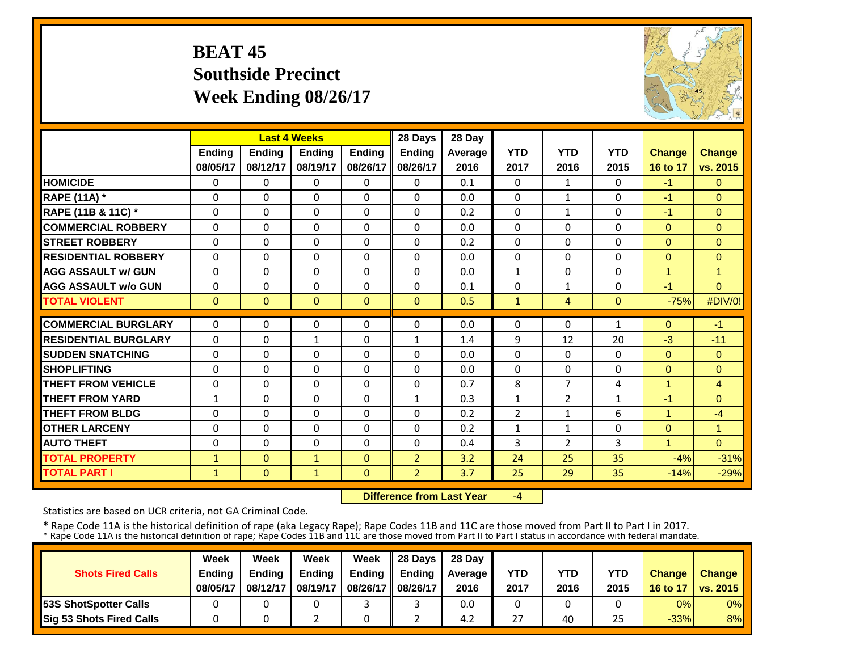# **BEAT 45 Southside Precinct Week Ending 08/26/17**



|                             |               |              | <b>Last 4 Weeks</b> |               | 28 Days        | 28 Day  |                |                |                |                |                |
|-----------------------------|---------------|--------------|---------------------|---------------|----------------|---------|----------------|----------------|----------------|----------------|----------------|
|                             | <b>Ending</b> | Ending       | <b>Endina</b>       | <b>Endina</b> | <b>Ending</b>  | Average | <b>YTD</b>     | <b>YTD</b>     | <b>YTD</b>     | <b>Change</b>  | <b>Change</b>  |
|                             | 08/05/17      | 08/12/17     | 08/19/17            | 08/26/17      | 08/26/17       | 2016    | 2017           | 2016           | 2015           | 16 to 17       | vs. 2015       |
| <b>HOMICIDE</b>             | $\Omega$      | $\Omega$     | $\Omega$            | $\Omega$      | $\Omega$       | 0.1     | $\Omega$       | $\mathbf{1}$   | 0              | $-1$           | $\Omega$       |
| <b>RAPE (11A) *</b>         | $\Omega$      | $\Omega$     | $\Omega$            | $\Omega$      | $\Omega$       | 0.0     | $\Omega$       | $\mathbf{1}$   | $\Omega$       | $-1$           | $\Omega$       |
| RAPE (11B & 11C) *          | $\Omega$      | $\Omega$     | $\Omega$            | $\Omega$      | $\Omega$       | 0.2     | $\Omega$       | $\mathbf{1}$   | $\Omega$       | $-1$           | $\Omega$       |
| <b>COMMERCIAL ROBBERY</b>   | $\mathbf{0}$  | $\Omega$     | $\Omega$            | $\Omega$      | 0              | 0.0     | $\Omega$       | $\Omega$       | 0              | $\Omega$       | $\mathbf{0}$   |
| <b>STREET ROBBERY</b>       | $\mathbf 0$   | $\Omega$     | 0                   | $\Omega$      | 0              | 0.2     | $\mathbf 0$    | $\Omega$       | 0              | $\mathbf{0}$   | $\mathbf{0}$   |
| <b>RESIDENTIAL ROBBERY</b>  | $\Omega$      | $\Omega$     | $\Omega$            | $\Omega$      | 0              | 0.0     | $\Omega$       | $\Omega$       | 0              | $\Omega$       | $\Omega$       |
| <b>AGG ASSAULT w/ GUN</b>   | $\Omega$      | $\Omega$     | $\Omega$            | $\Omega$      | $\Omega$       | 0.0     | $\mathbf{1}$   | $\Omega$       | $\Omega$       | $\overline{1}$ | $\overline{1}$ |
| <b>AGG ASSAULT w/o GUN</b>  | $\Omega$      | $\Omega$     | $\Omega$            | $\Omega$      | $\Omega$       | 0.1     | $\Omega$       | $\mathbf{1}$   | 0              | $-1$           | $\Omega$       |
| <b>TOTAL VIOLENT</b>        | $\mathbf{0}$  | $\mathbf{0}$ | $\mathbf{0}$        | $\Omega$      | $\mathbf{0}$   | 0.5     | $\mathbf{1}$   | $\overline{4}$ | $\overline{0}$ | $-75%$         | #DIV/0!        |
| <b>COMMERCIAL BURGLARY</b>  | $\Omega$      |              |                     |               |                |         |                |                |                |                |                |
|                             |               | $\Omega$     | 0                   | $\Omega$      | 0              | 0.0     | $\Omega$       | $\Omega$       | 1              | $\Omega$       | $-1$           |
| <b>RESIDENTIAL BURGLARY</b> | $\Omega$      | $\Omega$     | $\mathbf{1}$        | $\Omega$      | $\mathbf{1}$   | 1.4     | 9              | 12             | 20             | $-3$           | $-11$          |
| <b>SUDDEN SNATCHING</b>     | $\Omega$      | $\Omega$     | $\Omega$            | $\Omega$      | $\Omega$       | 0.0     | $\Omega$       | $\Omega$       | 0              | $\Omega$       | $\Omega$       |
| <b>SHOPLIFTING</b>          | $\Omega$      | $\Omega$     | $\Omega$            | $\Omega$      | $\Omega$       | 0.0     | $\Omega$       | $\Omega$       | 0              | $\mathbf{0}$   | $\Omega$       |
| <b>THEFT FROM VEHICLE</b>   | 0             | $\Omega$     | 0                   | $\Omega$      | 0              | 0.7     | 8              | 7              | 4              | 1              | $\overline{4}$ |
| <b>THEFT FROM YARD</b>      | $\mathbf{1}$  | $\Omega$     | $\Omega$            | 0             | $\mathbf{1}$   | 0.3     | $\mathbf{1}$   | $\overline{2}$ | 1              | $-1$           | $\Omega$       |
| <b>THEFT FROM BLDG</b>      | 0             | $\Omega$     | $\Omega$            | $\Omega$      | 0              | 0.2     | $\overline{2}$ | $\mathbf{1}$   | 6              | 4              | $-4$           |
| <b>OTHER LARCENY</b>        | $\Omega$      | $\Omega$     | $\Omega$            | 0             | $\Omega$       | 0.2     | $\mathbf{1}$   | 1              | 0              | $\Omega$       | $\overline{1}$ |
| <b>AUTO THEFT</b>           | $\Omega$      | $\Omega$     | $\Omega$            | $\Omega$      | $\Omega$       | 0.4     | 3              | $\overline{2}$ | 3              | 1              | $\Omega$       |
| <b>TOTAL PROPERTY</b>       | $\mathbf{1}$  | $\Omega$     | $\mathbf{1}$        | $\Omega$      | $\overline{2}$ | 3.2     | 24             | 25             | 35             | $-4%$          | $-31%$         |
| <b>TOTAL PART I</b>         | $\mathbf{1}$  | $\mathbf{0}$ | $\mathbf{1}$        | $\Omega$      | $\overline{2}$ | 3.7     | 25             | 29             | 35             | $-14%$         | $-29%$         |

 **Difference from Last Year**‐4

Statistics are based on UCR criteria, not GA Criminal Code.

|                               | Week     | Week          | Week          | Week          | $\parallel$ 28 Davs | 28 Day    |      |      |      |               |                     |
|-------------------------------|----------|---------------|---------------|---------------|---------------------|-----------|------|------|------|---------------|---------------------|
| <b>Shots Fired Calls</b>      | Ending   | <b>Ending</b> | <b>Ending</b> | <b>Ending</b> | <b>Ending</b>       | Average I | YTD  | YTD  | YTD  | <b>Change</b> | <b>Change</b>       |
|                               | 08/05/17 | 08/12/17      | 08/19/17      | 08/26/17      | 08/26/17            | 2016      | 2017 | 2016 | 2015 |               | 16 to 17   vs. 2015 |
| <b>153S ShotSpotter Calls</b> |          |               |               |               |                     | 0.0       |      |      |      | 0%            | $0\%$               |
| Sig 53 Shots Fired Calls      |          |               |               |               |                     | 4.2       | 27   | 40   | 25   | $-33%$        | 8%                  |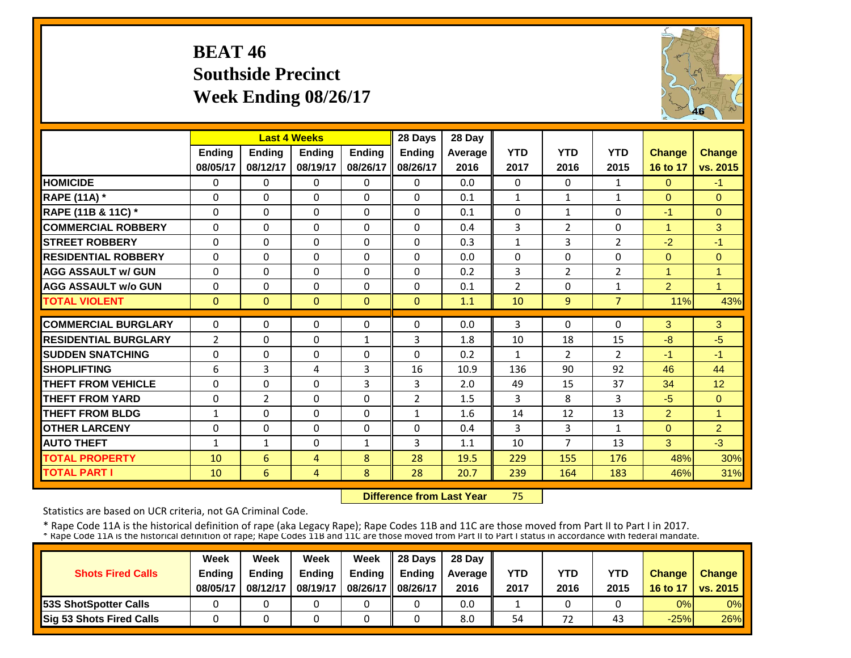# **BEAT 46 Southside Precinct Week Ending 08/26/17**



|                             |                | <b>Last 4 Weeks</b> |                |               | 28 Days        | 28 Day  |                |                |                |                |                      |
|-----------------------------|----------------|---------------------|----------------|---------------|----------------|---------|----------------|----------------|----------------|----------------|----------------------|
|                             | <b>Ending</b>  | <b>Ending</b>       | <b>Endina</b>  | <b>Ending</b> | <b>Ending</b>  | Average | <b>YTD</b>     | <b>YTD</b>     | <b>YTD</b>     | <b>Change</b>  | <b>Change</b>        |
|                             | 08/05/17       | 08/12/17            | 08/19/17       | 08/26/17      | 08/26/17       | 2016    | 2017           | 2016           | 2015           | 16 to 17       | vs. 2015             |
| <b>HOMICIDE</b>             | 0              | $\Omega$            | $\Omega$       | $\Omega$      | $\Omega$       | 0.0     | $\Omega$       | $\Omega$       | $\mathbf{1}$   | $\Omega$       | $-1$                 |
| <b>RAPE (11A)</b> *         | $\Omega$       | $\Omega$            | $\Omega$       | 0             | $\Omega$       | 0.1     | $\mathbf{1}$   | $\mathbf{1}$   | $\mathbf{1}$   | $\Omega$       | $\Omega$             |
| RAPE (11B & 11C) *          | $\Omega$       | $\Omega$            | $\Omega$       | $\Omega$      | $\Omega$       | 0.1     | $\Omega$       | $\mathbf{1}$   | $\Omega$       | $-1$           | $\Omega$             |
| <b>COMMERCIAL ROBBERY</b>   | $\Omega$       | $\Omega$            | $\Omega$       | $\Omega$      | $\Omega$       | 0.4     | 3              | $\overline{2}$ | $\Omega$       | $\overline{1}$ | 3                    |
| <b>ISTREET ROBBERY</b>      | $\Omega$       | $\Omega$            | $\Omega$       | $\Omega$      | $\Omega$       | 0.3     | $\mathbf{1}$   | 3              | 2              | $-2$           | $-1$                 |
| <b>RESIDENTIAL ROBBERY</b>  | 0              | $\Omega$            | $\Omega$       | 0             | $\Omega$       | 0.0     | $\Omega$       | 0              | $\Omega$       | $\mathbf{0}$   | $\mathbf{0}$         |
| <b>AGG ASSAULT w/ GUN</b>   | $\Omega$       | $\Omega$            | $\Omega$       | $\Omega$      | 0              | 0.2     | 3              | $\overline{2}$ | $\overline{2}$ | 1              | $\overline{1}$       |
| <b>AGG ASSAULT w/o GUN</b>  | $\Omega$       | $\Omega$            | $\Omega$       | $\Omega$      | $\Omega$       | 0.1     | $\overline{2}$ | $\Omega$       | $\mathbf{1}$   | $\overline{2}$ | $\blacksquare$       |
| <b>TOTAL VIOLENT</b>        | $\Omega$       | $\Omega$            | $\mathbf{0}$   | $\Omega$      | $\Omega$       | 1.1     | 10             | 9              | $\overline{7}$ | 11%            | 43%                  |
| <b>COMMERCIAL BURGLARY</b>  | 0              | 0                   | $\Omega$       | 0             | 0              | 0.0     | 3              | 0              | 0              | 3              | 3                    |
| <b>RESIDENTIAL BURGLARY</b> | $\overline{2}$ | $\Omega$            | $\Omega$       | 1             | 3              | 1.8     | 10             | 18             | 15             | $-8$           | $-5$                 |
| <b>ISUDDEN SNATCHING</b>    | $\Omega$       | 0                   | $\Omega$       | $\Omega$      | $\Omega$       | 0.2     | $\mathbf{1}$   | $\overline{2}$ | $\overline{2}$ | $-1$           | $-1$                 |
| <b>SHOPLIFTING</b>          | 6              | 3                   | 4              | 3             | 16             | 10.9    | 136            | 90             | 92             | 46             | 44                   |
| <b>THEFT FROM VEHICLE</b>   | $\Omega$       | $\Omega$            | $\Omega$       | 3             | 3              | 2.0     | 49             | 15             | 37             | 34             | 12                   |
| <b>THEFT FROM YARD</b>      | $\Omega$       | $\overline{2}$      | $\Omega$       | $\Omega$      | $\overline{2}$ | 1.5     | 3              | 8              | 3              | $-5$           | $\Omega$             |
| <b>THEFT FROM BLDG</b>      | $\mathbf{1}$   | $\Omega$            | $\Omega$       | $\Omega$      | $\mathbf{1}$   | 1.6     | 14             | 12             | 13             | $\overline{2}$ | $\blacktriangleleft$ |
| <b>OTHER LARCENY</b>        | $\Omega$       | $\Omega$            | $\Omega$       | 0             | $\Omega$       | 0.4     | 3              | 3              | $\mathbf{1}$   | $\Omega$       | 2                    |
| <b>AUTO THEFT</b>           | $\mathbf{1}$   | $\mathbf{1}$        | $\Omega$       | $\mathbf{1}$  | 3              | 1.1     | 10             | 7              | 13             | 3              | $-3$                 |
| <b>TOTAL PROPERTY</b>       | 10             | 6                   | $\overline{4}$ | 8             | 28             | 19.5    | 229            | 155            | 176            | 48%            | 30%                  |
| <b>TOTAL PART I</b>         | 10             | 6                   | $\overline{4}$ | 8             | 28             | 20.7    | 239            | 164            | 183            | 46%            | 31%                  |

 **Difference from Last Year**75

Statistics are based on UCR criteria, not GA Criminal Code.

|                               | Week     | Week          | Week          | Week          | $\parallel$ 28 Davs | 28 Day    |      |      |      |               |                     |
|-------------------------------|----------|---------------|---------------|---------------|---------------------|-----------|------|------|------|---------------|---------------------|
| <b>Shots Fired Calls</b>      | Ending   | <b>Ending</b> | <b>Ending</b> | <b>Ending</b> | <b>Ending</b>       | Average I | YTD  | YTD  | YTD  | <b>Change</b> | <b>Change</b>       |
|                               | 08/05/17 | 08/12/17      | 08/19/17      | 08/26/17      | 08/26/17            | 2016      | 2017 | 2016 | 2015 |               | 16 to 17   vs. 2015 |
| <b>153S ShotSpotter Calls</b> |          |               |               |               |                     | 0.0       |      |      |      | 0%            | $0\%$               |
| Sig 53 Shots Fired Calls      |          |               |               |               |                     | 8.0       | 54   | 72   | 43   | $-25%$        | 26%                 |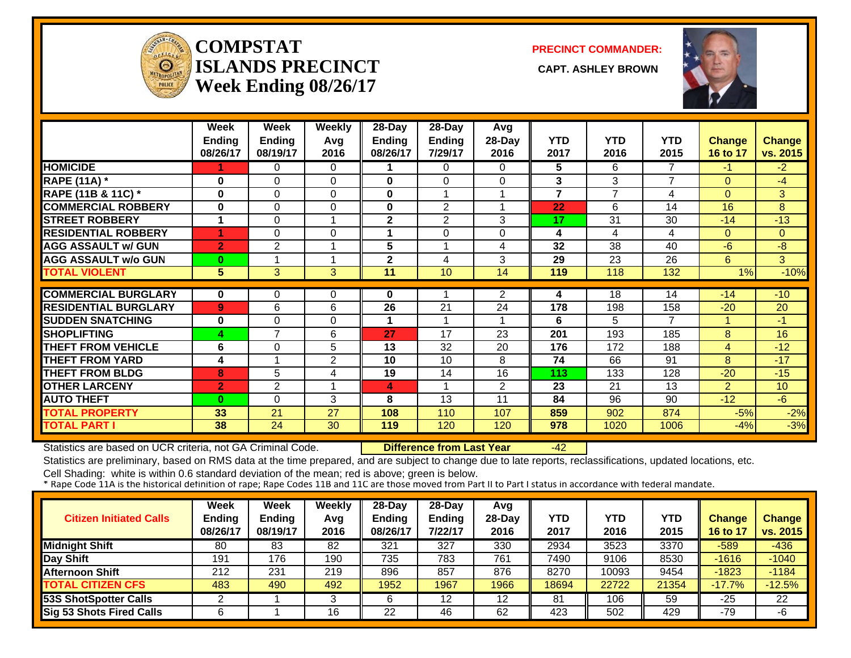

#### **COMPSTATISLANDS PRECINCT** CAPT. ASHLEY BROWN **Week Ending 08/26/17**

**PRECINCT COMMANDER:**



|                             | Week                    | Week           | Weekly      | 28-Day          | 28-Day          | Avg            |                         |                 |                |                |                 |
|-----------------------------|-------------------------|----------------|-------------|-----------------|-----------------|----------------|-------------------------|-----------------|----------------|----------------|-----------------|
|                             | <b>Ending</b>           | <b>Ending</b>  | Avg         | <b>Ending</b>   | Ending          | 28-Day         | <b>YTD</b>              | <b>YTD</b>      | <b>YTD</b>     | <b>Change</b>  | <b>Change</b>   |
|                             | 08/26/17                | 08/19/17       | 2016        | 08/26/17        | 7/29/17         | 2016           | 2017                    | 2016            | 2015           | 16 to 17       | vs. 2015        |
| <b>HOMICIDE</b>             |                         | 0              | 0           |                 | 0               | 0              | 5                       | 6               | 7              | $-1$           | $-2$            |
| <b>RAPE (11A) *</b>         | 0                       | 0              | $\Omega$    | 0               | $\Omega$        | 0              | $\mathbf{3}$            | 3               | $\overline{7}$ | $\Omega$       | $-4$            |
| RAPE (11B & 11C) *          | $\bf{0}$                | 0              | $\Omega$    | 0               | 1               |                | $\overline{7}$          | $\overline{7}$  | 4              | $\Omega$       | 3               |
| <b>COMMERCIAL ROBBERY</b>   | 0                       | 0              | $\Omega$    | 0               | $\overline{2}$  |                | 22                      | 6               | 14             | 16             | 8               |
| <b>STREET ROBBERY</b>       | $\overline{\mathbf{A}}$ | 0              | 1           | $\mathbf 2$     | 2               | 3              | 17                      | 31              | 30             | $-14$          | $-13$           |
| <b>RESIDENTIAL ROBBERY</b>  | и                       | 0              | $\Omega$    | 1               | $\Omega$        | $\Omega$       | $\overline{\mathbf{4}}$ | 4               | 4              | $\Omega$       | $\mathbf{0}$    |
| <b>AGG ASSAULT w/ GUN</b>   | $\overline{2}$          | 2              | 1           | 5               | 1               | 4              | 32                      | 38              | 40             | $-6$           | $-8$            |
| <b>AGG ASSAULT w/o GUN</b>  | $\bf{0}$                |                | $\mathbf 1$ | $\mathbf 2$     | 4               | 3              | 29                      | $\overline{23}$ | 26             | 6              | 3               |
| <b>TOTAL VIOLENT</b>        | $\overline{5}$          | 3              | 3           | $\overline{11}$ | 10              | 14             | 119                     | 118             | 132            | 1%             | $-10%$          |
|                             |                         |                |             |                 |                 |                |                         |                 |                |                |                 |
| <b>COMMERCIAL BURGLARY</b>  | $\bf{0}$                | 0              | 0           | 0               |                 | $\overline{2}$ | 4                       | 18              | 14             | $-14$          | $-10$           |
| <b>RESIDENTIAL BURGLARY</b> | 9 <sup>°</sup>          | 6              | 6           | $\overline{26}$ | $\overline{21}$ | 24             | 178                     | 198             | 158            | $-20$          | 20              |
| <b>SUDDEN SNATCHING</b>     | 0                       | 0              | $\Omega$    |                 |                 |                | 6                       | 5.              | 7              |                | $-1$            |
| <b>SHOPLIFTING</b>          | 4                       | 7              | 6           | 27              | 17              | 23             | 201                     | 193             | 185            | 8              | 16              |
| <b>THEFT FROM VEHICLE</b>   | 6                       | 0              | 5           | 13              | 32              | 20             | 176                     | 172             | 188            | $\overline{4}$ | $-12$           |
| <b>THEFT FROM YARD</b>      | 4                       |                | 2           | 10              | 10              | 8              | 74                      | 66              | 91             | 8              | $-17$           |
| <b>THEFT FROM BLDG</b>      | 8                       | 5              | 4           | 19              | 14              | 16             | 113                     | 133             | 128            | $-20$          | $-15$           |
| <b>OTHER LARCENY</b>        | $\overline{2}$          | $\overline{2}$ | 1           | 4               | 4               | $\overline{2}$ | 23                      | 21              | 13             | $\mathbf{2}$   | 10 <sup>°</sup> |
| <b>AUTO THEFT</b>           | $\bf{0}$                | 0              | 3           | 8               | 13              | 11             | 84                      | 96              | 90             | $-12$          | $-6$            |
| <b>TOTAL PROPERTY</b>       | 33                      | 21             | 27          | 108             | 110             | 107            | 859                     | 902             | 874            | $-5%$          | $-2%$           |
| <b>TOTAL PART I</b>         | 38                      | 24             | 30          | 119             | 120             | 120            | 978                     | 1020            | 1006           | $-4%$          | $-3%$           |

Statistics are based on UCR criteria, not GA Criminal Code. **Difference from Last Year** -42

Statistics are preliminary, based on RMS data at the time prepared, and are subject to change due to late reports, reclassifications, updated locations, etc.

| <b>Citizen Initiated Calls</b>  | Week<br><b>Ending</b><br>08/26/17 | Week<br><b>Ending</b><br>08/19/17 | Weekly<br>Avg<br>2016 | $28$ -Day<br>Ending<br>08/26/17 | $28-Dav$<br><b>Ending</b><br>7/22/17 | Avg<br>$28-Dav$<br>2016 | YTD<br>2017 | YTD<br>2016 | YTD<br>2015 | <b>Change</b><br>16 to 17 | Change<br>vs. 2015 |
|---------------------------------|-----------------------------------|-----------------------------------|-----------------------|---------------------------------|--------------------------------------|-------------------------|-------------|-------------|-------------|---------------------------|--------------------|
| <b>Midnight Shift</b>           | 80                                | 83                                | 82                    | 321                             | 327                                  | 330                     | 2934        | 3523        | 3370        | $-589$                    | $-436$             |
| Day Shift                       | 191                               | 176                               | 190                   | 735                             | 783                                  | 761                     | 7490        | 9106        | 8530        | $-1616$                   | $-1040$            |
| <b>Afternoon Shift</b>          | 212                               | 231                               | 219                   | 896                             | 857                                  | 876                     | 8270        | 10093       | 9454        | $-1823$                   | $-1184$            |
| <b>TOTAL CITIZEN CFS</b>        | 483                               | 490                               | 492                   | 1952                            | 1967                                 | 1966                    | 18694       | 22722       | 21354       | $-17.7\%$                 | $-12.5%$           |
| 53S ShotSpotter Calls           |                                   |                                   |                       | 6                               | 12                                   | 12                      | 81          | 106         | 59          | $-25$                     | 22                 |
| <b>Sig 53 Shots Fired Calls</b> |                                   |                                   | 16                    | 22                              | 46                                   | 62                      | 423         | 502         | 429         | $-79$                     | -6                 |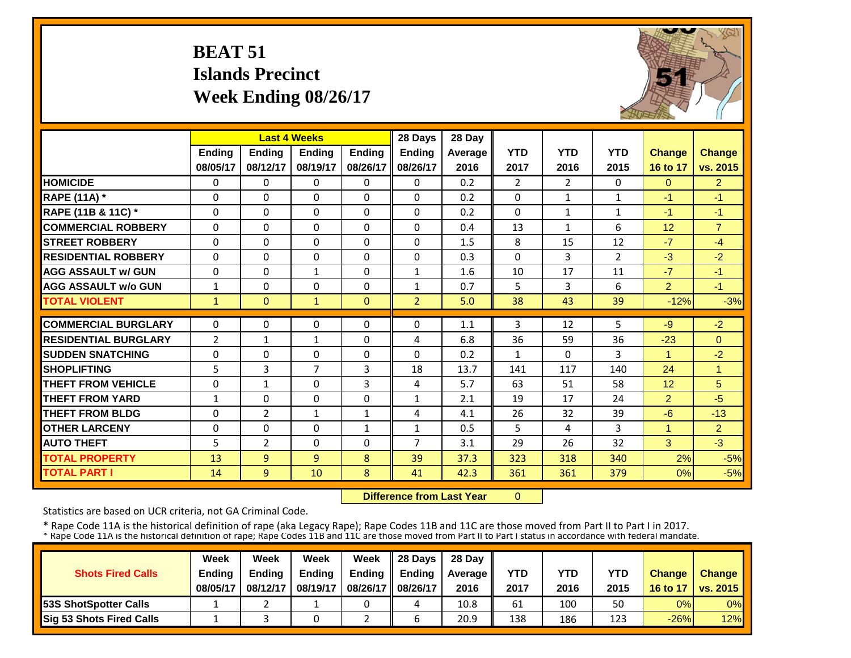# **BEAT 51 Islands PrecinctWeek Ending 08/26/17**



|                             |                | <b>Last 4 Weeks</b> |               |               | 28 Days        | 28 Day  |                |                |                |                      |                      |
|-----------------------------|----------------|---------------------|---------------|---------------|----------------|---------|----------------|----------------|----------------|----------------------|----------------------|
|                             | <b>Ending</b>  | Ending              | <b>Endina</b> | <b>Endina</b> | Ending         | Average | <b>YTD</b>     | <b>YTD</b>     | <b>YTD</b>     | <b>Change</b>        | <b>Change</b>        |
|                             | 08/05/17       | 08/12/17            | 08/19/17      | 08/26/17      | 08/26/17       | 2016    | 2017           | 2016           | 2015           | 16 to 17             | vs. 2015             |
| <b>HOMICIDE</b>             | $\Omega$       | $\Omega$            | $\Omega$      | $\Omega$      | $\Omega$       | 0.2     | $\overline{2}$ | $\overline{2}$ | $\Omega$       | $\Omega$             | $\overline{2}$       |
| <b>RAPE (11A)</b> *         | $\Omega$       | $\Omega$            | $\Omega$      | $\Omega$      | $\Omega$       | 0.2     | $\Omega$       | $\mathbf{1}$   | $\mathbf{1}$   | $-1$                 | $-1$                 |
| RAPE (11B & 11C) *          | $\Omega$       | $\Omega$            | $\Omega$      | $\Omega$      | $\Omega$       | 0.2     | $\Omega$       | $\mathbf{1}$   | $\mathbf{1}$   | $-1$                 | $-1$                 |
| <b>COMMERCIAL ROBBERY</b>   | $\Omega$       | $\Omega$            | $\Omega$      | $\Omega$      | $\Omega$       | 0.4     | 13             | $\mathbf{1}$   | 6              | 12                   | $\overline{7}$       |
| <b>STREET ROBBERY</b>       | $\mathbf 0$    | $\Omega$            | $\Omega$      | $\Omega$      | $\Omega$       | 1.5     | 8              | 15             | 12             | $-7$                 | $-4$                 |
| <b>RESIDENTIAL ROBBERY</b>  | $\Omega$       | 0                   | $\Omega$      | $\Omega$      | $\Omega$       | 0.3     | $\Omega$       | 3              | $\overline{2}$ | $-3$                 | $-2$                 |
| <b>AGG ASSAULT w/ GUN</b>   | $\Omega$       | 0                   | 1             | $\Omega$      | $\mathbf{1}$   | 1.6     | 10             | 17             | 11             | $-7$                 | $-1$                 |
| <b>AGG ASSAULT w/o GUN</b>  | $\mathbf{1}$   | 0                   | $\Omega$      | $\Omega$      | $\mathbf{1}$   | 0.7     | 5              | 3              | 6              | $\overline{2}$       | $-1$                 |
| <b>TOTAL VIOLENT</b>        | $\mathbf{1}$   | $\overline{0}$      | $\mathbf{1}$  | $\Omega$      | $\overline{2}$ | 5.0     | 38             | 43             | 39             | $-12%$               | $-3%$                |
|                             |                |                     |               |               |                |         |                |                |                |                      |                      |
| <b>COMMERCIAL BURGLARY</b>  | $\Omega$       | 0                   | $\Omega$      | $\Omega$      | 0              | 1.1     | 3              | 12             | 5              | $-9$                 | $-2$                 |
| <b>RESIDENTIAL BURGLARY</b> | $\overline{2}$ | $\mathbf{1}$        | 1             | $\Omega$      | 4              | 6.8     | 36             | 59             | 36             | $-23$                | $\Omega$             |
| <b>SUDDEN SNATCHING</b>     | $\Omega$       | 0                   | $\Omega$      | $\Omega$      | $\Omega$       | 0.2     | 1              | $\Omega$       | 3              | $\blacktriangleleft$ | $-2$                 |
| <b>SHOPLIFTING</b>          | 5              | 3                   | 7             | 3             | 18             | 13.7    | 141            | 117            | 140            | 24                   | $\blacktriangleleft$ |
| <b>THEFT FROM VEHICLE</b>   | $\Omega$       | $\mathbf{1}$        | $\Omega$      | 3             | 4              | 5.7     | 63             | 51             | 58             | 12                   | $5\overline{)}$      |
| <b>THEFT FROM YARD</b>      | $\mathbf{1}$   | 0                   | $\Omega$      | $\Omega$      | $\mathbf{1}$   | 2.1     | 19             | 17             | 24             | $\overline{2}$       | $-5$                 |
| <b>THEFT FROM BLDG</b>      | $\Omega$       | 2                   | 1             | $\mathbf{1}$  | 4              | 4.1     | 26             | 32             | 39             | $-6$                 | $-13$                |
| <b>OTHER LARCENY</b>        | $\Omega$       | 0                   | $\Omega$      | 1             | $\mathbf{1}$   | 0.5     | 5              | 4              | 3              | $\overline{1}$       | $\overline{2}$       |
| <b>AUTO THEFT</b>           | 5              | $\overline{2}$      | $\Omega$      | 0             | $\overline{7}$ | 3.1     | 29             | 26             | 32             | 3                    | $-3$                 |
| <b>TOTAL PROPERTY</b>       | 13             | 9                   | 9             | 8             | 39             | 37.3    | 323            | 318            | 340            | 2%                   | $-5%$                |
| <b>TOTAL PART I</b>         | 14             | 9                   | 10            | 8             | 41             | 42.3    | 361            | 361            | 379            | 0%                   | $-5%$                |

 **Difference from Last Year** $\overline{0}$ 

Statistics are based on UCR criteria, not GA Criminal Code.

|                               | Week     | Week          | Week          | Week          | $\parallel$ 28 Davs | 28 Day    |      |      |      |               |                     |
|-------------------------------|----------|---------------|---------------|---------------|---------------------|-----------|------|------|------|---------------|---------------------|
| <b>Shots Fired Calls</b>      | Ending   | <b>Ending</b> | <b>Ending</b> | <b>Ending</b> | <b>Ending</b>       | Average I | YTD  | YTD  | YTD  | <b>Change</b> | <b>Change</b>       |
|                               | 08/05/17 | 08/12/17      | 08/19/17      | 08/26/17      | 08/26/17            | 2016      | 2017 | 2016 | 2015 |               | 16 to 17   vs. 2015 |
| <b>153S ShotSpotter Calls</b> |          |               |               |               | 4                   | 10.8      | 61   | 100  | 50   | 0%            | $0\%$               |
| Sig 53 Shots Fired Calls      |          |               |               |               |                     | 20.9      | 138  | 186  | 123  | $-26%$        | 12%                 |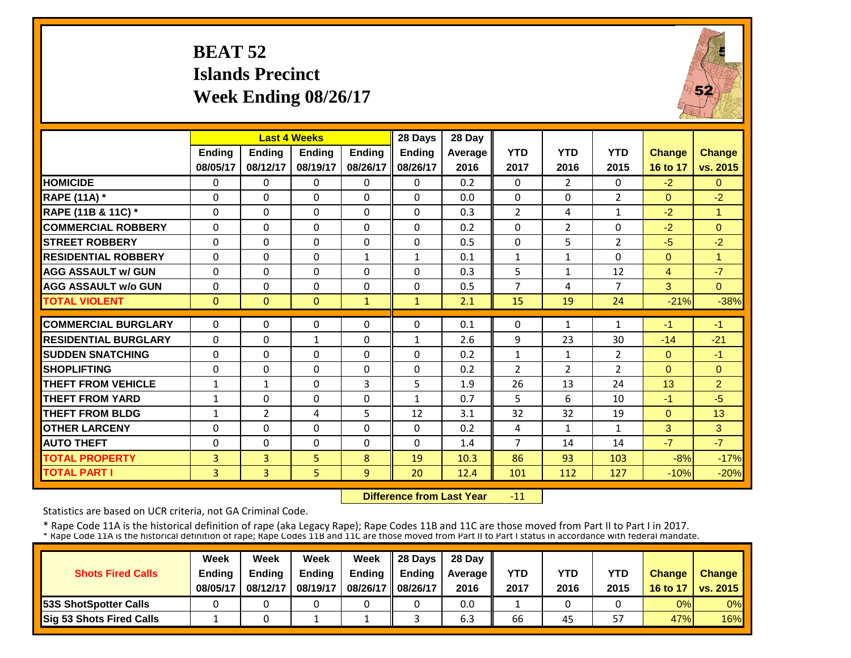# **BEAT 52 Islands PrecinctWeek Ending 08/26/17**



|                             |                | <b>Last 4 Weeks</b> |               |               | 28 Days       | 28 Day  |                |                |                |                |                |
|-----------------------------|----------------|---------------------|---------------|---------------|---------------|---------|----------------|----------------|----------------|----------------|----------------|
|                             | <b>Ending</b>  | Ending              | <b>Ending</b> | <b>Endina</b> | <b>Ending</b> | Average | <b>YTD</b>     | <b>YTD</b>     | <b>YTD</b>     | <b>Change</b>  | <b>Change</b>  |
|                             | 08/05/17       | 08/12/17            | 08/19/17      | 08/26/17      | 08/26/17      | 2016    | 2017           | 2016           | 2015           | 16 to 17       | vs. 2015       |
| <b>HOMICIDE</b>             | $\Omega$       | $\Omega$            | $\Omega$      | $\Omega$      | 0             | 0.2     | $\Omega$       | $\overline{2}$ | 0              | $-2$           | $\Omega$       |
| <b>RAPE (11A)</b> *         | $\Omega$       | $\Omega$            | $\Omega$      | $\Omega$      | $\Omega$      | 0.0     | $\Omega$       | $\Omega$       | $\overline{2}$ | $\Omega$       | $-2$           |
| RAPE (11B & 11C) *          | $\Omega$       | $\Omega$            | $\Omega$      | $\Omega$      | 0             | 0.3     | $\overline{2}$ | 4              | $\mathbf{1}$   | $-2$           | $\mathbf{1}$   |
| <b>COMMERCIAL ROBBERY</b>   | $\Omega$       | $\Omega$            | $\Omega$      | $\Omega$      | 0             | 0.2     | $\Omega$       | $\overline{2}$ | 0              | $-2$           | $\Omega$       |
| <b>ISTREET ROBBERY</b>      | 0              | $\Omega$            | $\Omega$      | 0             | $\Omega$      | 0.5     | $\Omega$       | 5              | 2              | $-5$           | $-2$           |
| <b>RESIDENTIAL ROBBERY</b>  | $\Omega$       | $\Omega$            | $\Omega$      | $\mathbf{1}$  | $\mathbf{1}$  | 0.1     | $\mathbf{1}$   | $\mathbf{1}$   | 0              | $\Omega$       | 1              |
| <b>AGG ASSAULT w/ GUN</b>   | $\Omega$       | $\Omega$            | $\Omega$      | $\Omega$      | $\Omega$      | 0.3     | 5              | $\mathbf{1}$   | 12             | $\overline{4}$ | $-7$           |
| <b>AGG ASSAULT w/o GUN</b>  | $\Omega$       | $\Omega$            | $\Omega$      | $\Omega$      | 0             | 0.5     | $\overline{7}$ | 4              | 7              | 3              | $\Omega$       |
| <b>TOTAL VIOLENT</b>        | $\mathbf{0}$   | $\Omega$            | $\Omega$      | $\mathbf{1}$  | $\mathbf{1}$  | 2.1     | 15             | 19             | 24             | $-21%$         | $-38%$         |
| <b>COMMERCIAL BURGLARY</b>  | $\Omega$       | $\Omega$            | 0             | 0             | 0             | 0.1     | 0              | 1              | $\mathbf{1}$   | $-1$           | $-1$           |
| <b>RESIDENTIAL BURGLARY</b> | $\Omega$       | $\Omega$            | $\mathbf{1}$  | 0             | $\mathbf{1}$  | 2.6     | 9              | 23             | 30             | $-14$          | $-21$          |
| <b>SUDDEN SNATCHING</b>     | $\Omega$       | $\Omega$            | $\Omega$      | $\Omega$      | $\Omega$      | 0.2     | $\mathbf{1}$   | $\mathbf{1}$   | $\overline{2}$ | $\mathbf{0}$   | $-1$           |
| <b>SHOPLIFTING</b>          | $\Omega$       | $\Omega$            | $\Omega$      | $\Omega$      | $\Omega$      | 0.2     | $\overline{2}$ | $\overline{2}$ | $\overline{2}$ | $\Omega$       | $\Omega$       |
| <b>THEFT FROM VEHICLE</b>   | 1              | $\mathbf{1}$        | $\Omega$      | 3             | 5             | 1.9     | 26             | 13             | 24             | 13             | $\overline{2}$ |
| <b>THEFT FROM YARD</b>      | $\mathbf{1}$   | $\Omega$            | $\Omega$      | $\Omega$      | $\mathbf{1}$  | 0.7     | 5              | 6              | 10             | $-1$           | $-5$           |
| <b>THEFT FROM BLDG</b>      | $\mathbf{1}$   | $\overline{2}$      | 4             | 5             | 12            | 3.1     | 32             | 32             | 19             | $\Omega$       | 13             |
| <b>OTHER LARCENY</b>        | $\Omega$       | $\Omega$            | $\Omega$      | $\Omega$      | $\Omega$      | 0.2     | 4              | 1              | 1              | 3              | 3              |
| <b>AUTO THEFT</b>           | $\Omega$       | $\Omega$            | $\Omega$      | $\Omega$      | $\Omega$      | 1.4     | $\overline{7}$ | 14             | 14             | $-7$           | $-7$           |
| <b>TOTAL PROPERTY</b>       | $\overline{3}$ | $\overline{3}$      | 5             | 8             | 19            | 10.3    | 86             | 93             | 103            | $-8%$          | $-17%$         |
| <b>TOTAL PART I</b>         | $\overline{3}$ | $\overline{3}$      | 5             | 9             | 20            | 12.4    | 101            | 112            | 127            | $-10%$         | $-20%$         |

 **Difference from Last Year**‐11

Statistics are based on UCR criteria, not GA Criminal Code.

|                               | Week     | Week     | Week          | Week          | Il 28 Davs    | 28 Day         |      |      |                   |               |                 |
|-------------------------------|----------|----------|---------------|---------------|---------------|----------------|------|------|-------------------|---------------|-----------------|
| <b>Shots Fired Calls</b>      | Ending   | Ending   | <b>Ending</b> | <b>Ending</b> | <b>Ending</b> | <b>Average</b> | YTD  | YTD  | YTD               | <b>Change</b> | <b>Change</b>   |
|                               | 08/05/17 | 08/12/17 | 08/19/17      | 08/26/17      | 08/26/17      | 2016           | 2017 | 2016 | 2015              | 16 to 17      | <b>vs. 2015</b> |
| <b>153S ShotSpotter Calls</b> |          |          |               |               |               | 0.0            |      |      |                   | 0%            | $0\%$           |
| Sig 53 Shots Fired Calls      |          |          |               |               |               | 6.3            | 66   | 45   | <b>r</b> 7<br>ו כ | 47%           | <b>16%</b>      |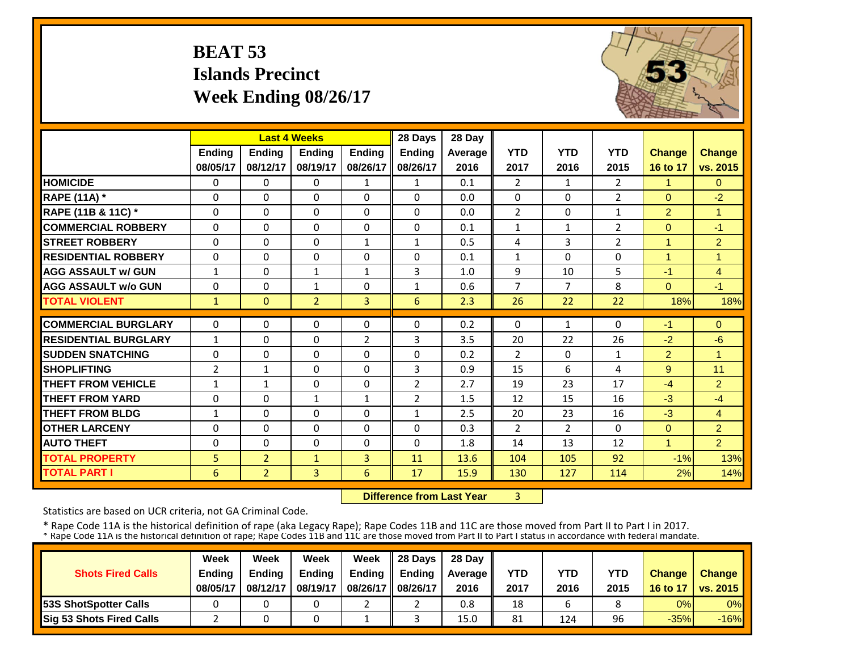# **BEAT 53 Islands Precinct Week Ending 08/26/17**



|                             |                | <b>Last 4 Weeks</b> |                |                | 28 Days        | 28 Day  |                |                |                |                |                |
|-----------------------------|----------------|---------------------|----------------|----------------|----------------|---------|----------------|----------------|----------------|----------------|----------------|
|                             | <b>Ending</b>  | <b>Endina</b>       | <b>Endina</b>  | <b>Endina</b>  | <b>Ending</b>  | Average | <b>YTD</b>     | <b>YTD</b>     | <b>YTD</b>     | <b>Change</b>  | Change         |
|                             | 08/05/17       | 08/12/17            | 08/19/17       | 08/26/17       | 08/26/17       | 2016    | 2017           | 2016           | 2015           | 16 to 17       | vs. 2015       |
| <b>HOMICIDE</b>             | $\Omega$       | 0                   | $\Omega$       | 1              | $\mathbf{1}$   | 0.1     | $\overline{2}$ | $\mathbf{1}$   | $\overline{2}$ | 1              | $\overline{0}$ |
| <b>RAPE (11A)</b> *         | $\Omega$       | $\Omega$            | $\Omega$       | $\Omega$       | $\Omega$       | 0.0     | $\Omega$       | $\Omega$       | $\overline{2}$ | $\Omega$       | $-2$           |
| RAPE (11B & 11C) *          | $\mathbf 0$    | $\Omega$            | $\Omega$       | $\Omega$       | $\Omega$       | 0.0     | $\overline{2}$ | $\Omega$       | 1              | $\overline{2}$ | $\overline{1}$ |
| <b>COMMERCIAL ROBBERY</b>   | $\Omega$       | $\Omega$            | $\Omega$       | $\Omega$       | $\Omega$       | 0.1     | $\mathbf{1}$   | $\mathbf{1}$   | 2              | $\Omega$       | $-1$           |
| <b>STREET ROBBERY</b>       | $\Omega$       | $\Omega$            | $\Omega$       | $\mathbf{1}$   | $\mathbf{1}$   | 0.5     | 4              | 3              | 2              | $\overline{1}$ | $\overline{2}$ |
| <b>RESIDENTIAL ROBBERY</b>  | $\Omega$       | $\Omega$            | $\Omega$       | $\Omega$       | $\Omega$       | 0.1     | $\mathbf{1}$   | $\Omega$       | 0              | 1              | 1              |
| <b>AGG ASSAULT w/ GUN</b>   | $\mathbf{1}$   | 0                   | $\mathbf{1}$   | $\mathbf{1}$   | 3              | 1.0     | 9              | 10             | 5              | $-1$           | $\overline{4}$ |
| <b>AGG ASSAULT w/o GUN</b>  | $\Omega$       | 0                   | 1              | $\Omega$       | $\mathbf{1}$   | 0.6     | $\overline{7}$ | 7              | 8              | $\Omega$       | $-1$           |
| <b>TOTAL VIOLENT</b>        | $\mathbf{1}$   | $\Omega$            | $\overline{2}$ | 3              | 6              | 2.3     | 26             | 22             | 22             | 18%            | 18%            |
| <b>COMMERCIAL BURGLARY</b>  | $\Omega$       | 0                   | $\Omega$       | $\Omega$       | $\Omega$       | 0.2     | $\Omega$       | $\mathbf{1}$   | 0              | $-1$           | $\Omega$       |
| <b>RESIDENTIAL BURGLARY</b> | $\mathbf{1}$   | 0                   | 0              | 2              | 3              | 3.5     | 20             | 22             | 26             | $-2$           | $-6$           |
| <b>SUDDEN SNATCHING</b>     | $\Omega$       | 0                   | $\Omega$       | $\Omega$       | $\Omega$       | 0.2     | $\overline{2}$ | $\Omega$       | $\mathbf{1}$   | $\overline{2}$ | $\overline{1}$ |
| <b>SHOPLIFTING</b>          | $\overline{2}$ | $\mathbf{1}$        | $\Omega$       | $\Omega$       | 3              | 0.9     | 15             | 6              | 4              | 9              | 11             |
| <b>THEFT FROM VEHICLE</b>   | $\mathbf{1}$   | $\mathbf{1}$        | $\Omega$       | $\Omega$       | $\overline{2}$ | 2.7     | 19             | 23             | 17             | $-4$           | $\overline{2}$ |
| <b>THEFT FROM YARD</b>      | $\Omega$       | 0                   | $\mathbf{1}$   | 1              | $\overline{2}$ | 1.5     | 12             | 15             | 16             | $-3$           | $-4$           |
| <b>THEFT FROM BLDG</b>      | 1              | 0                   | $\Omega$       | $\Omega$       | $\mathbf{1}$   | 2.5     | 20             | 23             | 16             | $-3$           | 4              |
| <b>OTHER LARCENY</b>        | $\Omega$       | 0                   | $\Omega$       | $\Omega$       | 0              | 0.3     | $\overline{2}$ | $\overline{2}$ | 0              | $\Omega$       | $\overline{2}$ |
| <b>AUTO THEFT</b>           | $\Omega$       | 0                   | $\Omega$       | $\Omega$       | 0              | 1.8     | 14             | 13             | 12             | 1              | $\overline{2}$ |
| <b>TOTAL PROPERTY</b>       | 5              | $\overline{2}$      | $\mathbf{1}$   | $\overline{3}$ | 11             | 13.6    | 104            | 105            | 92             | $-1%$          | 13%            |
| <b>TOTAL PART I</b>         | 6              | $\overline{2}$      | $\overline{3}$ | 6              | 17             | 15.9    | 130            | 127            | 114            | 2%             | 14%            |

 **Difference from Last Year**3

Statistics are based on UCR criteria, not GA Criminal Code.

|                                 | Week          | Week          | Week     | Week          | 28 Davs       | 28 Day    |      |      |      |               |                     |
|---------------------------------|---------------|---------------|----------|---------------|---------------|-----------|------|------|------|---------------|---------------------|
| <b>Shots Fired Calls</b>        | <b>Endina</b> | <b>Endina</b> | Ending   | <b>Ending</b> | <b>Endina</b> | Average I | YTD  | YTD  | YTD  | <b>Change</b> | <b>Change</b>       |
|                                 | 08/05/17      | 08/12/17      | 08/19/17 | 08/26/17      | 08/26/17      | 2016      | 2017 | 2016 | 2015 |               | 16 to 17   vs. 2015 |
| <b>153S ShotSpotter Calls</b>   |               |               |          |               |               | 0.8       | 18   | b    |      | 0%            | $0\%$               |
| <b>Sig 53 Shots Fired Calls</b> |               |               |          |               |               | 15.0      | 81   | 124  | 96   | $-35%$        | $-16%$              |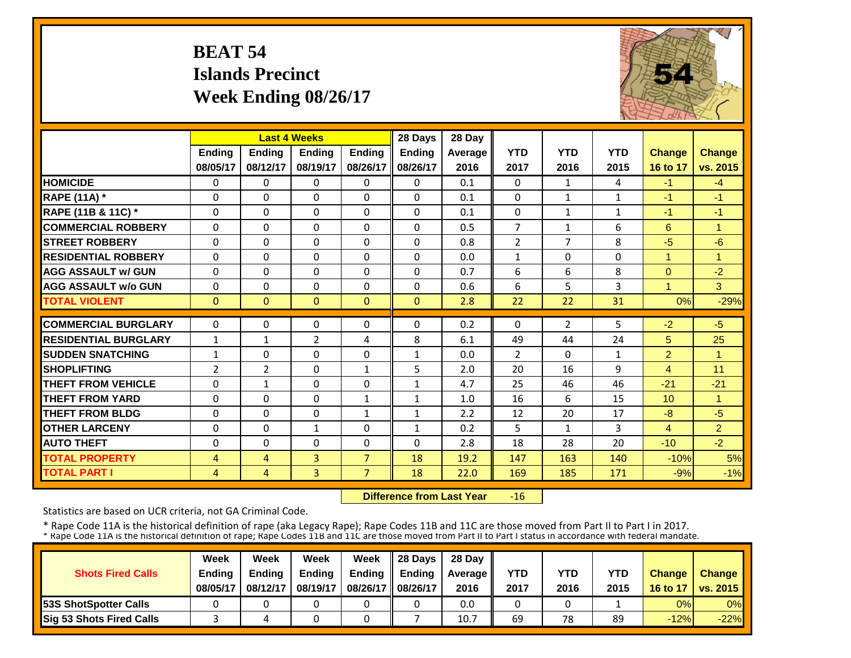# **BEAT 54 Islands PrecinctWeek Ending 08/26/17**



|                             |                |                | <b>Last 4 Weeks</b> |                | 28 Days       | 28 Day  |                |                |              |                |                      |
|-----------------------------|----------------|----------------|---------------------|----------------|---------------|---------|----------------|----------------|--------------|----------------|----------------------|
|                             | <b>Ending</b>  | <b>Ending</b>  | <b>Endina</b>       | <b>Ending</b>  | <b>Endina</b> | Average | <b>YTD</b>     | <b>YTD</b>     | <b>YTD</b>   | <b>Change</b>  | <b>Change</b>        |
|                             | 08/05/17       | 08/12/17       | 08/19/17            | 08/26/17       | 08/26/17      | 2016    | 2017           | 2016           | 2015         | 16 to 17       | vs. 2015             |
| <b>HOMICIDE</b>             | $\mathbf{0}$   | $\Omega$       | 0                   | $\Omega$       | 0             | 0.1     | $\Omega$       | $\mathbf{1}$   | 4            | $-1$           | $-4$                 |
| <b>RAPE (11A)</b> *         | $\Omega$       | $\Omega$       | $\Omega$            | $\Omega$       | $\Omega$      | 0.1     | $\Omega$       | $\mathbf{1}$   | $\mathbf{1}$ | -1             | $-1$                 |
| RAPE (11B & 11C) *          | $\Omega$       | $\Omega$       | $\Omega$            | $\Omega$       | $\Omega$      | 0.1     | $\Omega$       | $\mathbf{1}$   | $\mathbf{1}$ | $-1$           | $-1$                 |
| <b>COMMERCIAL ROBBERY</b>   | $\Omega$       | $\Omega$       | $\Omega$            | $\Omega$       | $\Omega$      | 0.5     | $\overline{7}$ | $\mathbf{1}$   | 6            | 6              | $\overline{1}$       |
| <b>ISTREET ROBBERY</b>      | $\Omega$       | $\Omega$       | $\Omega$            | $\Omega$       | $\Omega$      | 0.8     | $\overline{2}$ | 7              | 8            | $-5$           | $-6$                 |
| <b>RESIDENTIAL ROBBERY</b>  | $\Omega$       | $\Omega$       | $\Omega$            | 0              | $\Omega$      | 0.0     | $\mathbf{1}$   | $\Omega$       | 0            | $\overline{1}$ | -1                   |
| <b>AGG ASSAULT w/ GUN</b>   | $\Omega$       | $\Omega$       | $\Omega$            | $\Omega$       | $\Omega$      | 0.7     | 6              | 6              | 8            | $\Omega$       | $-2$                 |
| <b>AGG ASSAULT w/o GUN</b>  | $\Omega$       | $\Omega$       | $\Omega$            | $\Omega$       | $\Omega$      | 0.6     | 6              | 5              | 3            | $\overline{4}$ | 3 <sup>1</sup>       |
| <b>TOTAL VIOLENT</b>        | $\mathbf{0}$   | $\Omega$       | $\Omega$            | $\Omega$       | $\Omega$      | 2.8     | 22             | 22             | 31           | 0%             | $-29%$               |
| <b>COMMERCIAL BURGLARY</b>  | $\Omega$       | $\Omega$       | $\Omega$            | 0              | $\Omega$      | 0.2     | $\Omega$       | $\overline{2}$ | 5            | $-2$           | $-5$                 |
| <b>RESIDENTIAL BURGLARY</b> | 1              | 1              | 2                   | 4              | 8             | 6.1     | 49             | 44             | 24           | 5              | 25                   |
| <b>SUDDEN SNATCHING</b>     | $\mathbf{1}$   | $\Omega$       | $\Omega$            | $\Omega$       | $\mathbf{1}$  | 0.0     | $\overline{2}$ | $\Omega$       | $\mathbf{1}$ | $\overline{2}$ | -1                   |
| <b>SHOPLIFTING</b>          | $\overline{2}$ | $\overline{2}$ | $\Omega$            | $\mathbf{1}$   | 5             | 2.0     | 20             | 16             | 9            | $\overline{4}$ | 11                   |
| <b>THEFT FROM VEHICLE</b>   | $\Omega$       | $\mathbf{1}$   | $\Omega$            | $\Omega$       | $\mathbf{1}$  | 4.7     | 25             | 46             | 46           | $-21$          | $-21$                |
| <b>THEFT FROM YARD</b>      | $\Omega$       | $\Omega$       | $\Omega$            | 1              | $\mathbf{1}$  | 1.0     | 16             | 6              | 15           | 10             | $\blacktriangleleft$ |
| <b>THEFT FROM BLDG</b>      | $\Omega$       | $\Omega$       | $\Omega$            | $\mathbf{1}$   | $\mathbf{1}$  | 2.2     | 12             | 20             | 17           | -8             | $-5$                 |
| <b>OTHER LARCENY</b>        | $\Omega$       | $\Omega$       | $\mathbf{1}$        | $\Omega$       | $\mathbf{1}$  | 0.2     | 5              | 1              | 3            | $\overline{4}$ | $\overline{2}$       |
| <b>AUTO THEFT</b>           | $\Omega$       | $\Omega$       | $\Omega$            | $\Omega$       | 0             | 2.8     | 18             | 28             | 20           | $-10$          | $-2$                 |
| <b>TOTAL PROPERTY</b>       | 4              | 4              | $\overline{3}$      | $\overline{7}$ | 18            | 19.2    | 147            | 163            | 140          | $-10%$         | 5%                   |
| <b>TOTAL PART I</b>         | $\overline{4}$ | $\overline{4}$ | 3                   | $\overline{7}$ | 18            | 22.0    | 169            | 185            | 171          | $-9%$          | $-1%$                |

 **Difference from Last Year** $-16$ 

Statistics are based on UCR criteria, not GA Criminal Code.

|                               | Week     | Week          | Week          | Week          | $\parallel$ 28 Davs | 28 Day    |      |      |      |               |                     |
|-------------------------------|----------|---------------|---------------|---------------|---------------------|-----------|------|------|------|---------------|---------------------|
| <b>Shots Fired Calls</b>      | Ending   | <b>Ending</b> | <b>Ending</b> | <b>Ending</b> | <b>Ending</b>       | Average I | YTD  | YTD  | YTD  | <b>Change</b> | <b>Change</b>       |
|                               | 08/05/17 | 08/12/17      | 08/19/17      | 08/26/17      | 08/26/17            | 2016      | 2017 | 2016 | 2015 |               | 16 to 17   vs. 2015 |
| <b>153S ShotSpotter Calls</b> |          |               |               |               |                     | 0.0       |      |      |      | 0%            | $0\%$               |
| Sig 53 Shots Fired Calls      |          |               |               |               |                     | 10.7      | 69   | 78   | 89   | $-12%$        | $-22%$              |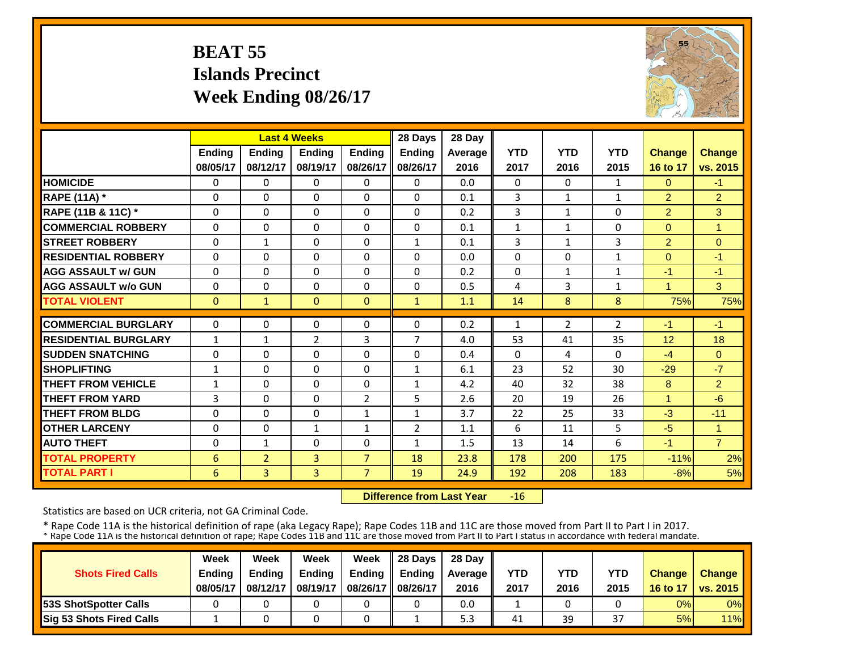# **BEAT 55 Islands PrecinctWeek Ending 08/26/17**



|                             |               |                | <b>Last 4 Weeks</b>      |                | 28 Days        | 28 Day     |                |                |                |                |                                |
|-----------------------------|---------------|----------------|--------------------------|----------------|----------------|------------|----------------|----------------|----------------|----------------|--------------------------------|
|                             | <b>Ending</b> | <b>Endina</b>  | <b>Endina</b>            | <b>Endina</b>  | <b>Ending</b>  | Average    | <b>YTD</b>     | <b>YTD</b>     | <b>YTD</b>     | <b>Change</b>  | <b>Change</b>                  |
|                             | 08/05/17      | 08/12/17       | 08/19/17                 | 08/26/17       | 08/26/17       | 2016       | 2017           | 2016           | 2015           | 16 to 17       | vs. 2015                       |
| <b>HOMICIDE</b>             | 0             | $\Omega$       | $\Omega$                 | 0              | 0              | 0.0        | $\Omega$       | $\Omega$       | 1              | $\Omega$       | $-1$                           |
| <b>RAPE (11A)</b> *         | $\Omega$      | $\Omega$       | $\Omega$                 | $\Omega$       | 0              | 0.1        | 3              | $\mathbf{1}$   | $\mathbf{1}$   | $\overline{2}$ | $\overline{2}$                 |
| RAPE (11B & 11C) *          | $\Omega$      | $\Omega$       | $\Omega$                 | $\Omega$       | $\Omega$       | 0.2        | $\overline{3}$ | $\mathbf{1}$   | 0              | $\overline{2}$ | 3                              |
| <b>COMMERCIAL ROBBERY</b>   | $\Omega$      | $\Omega$       | $\Omega$                 | $\Omega$       | $\Omega$       | 0.1        | $\mathbf{1}$   | $\mathbf{1}$   | 0              | $\Omega$       | $\overline{1}$                 |
| <b>ISTREET ROBBERY</b>      | $\Omega$      | $\mathbf{1}$   | $\Omega$                 | $\Omega$       | 1              | 0.1        | 3              | 1              | 3              | $\overline{2}$ | $\Omega$                       |
| <b>RESIDENTIAL ROBBERY</b>  | $\Omega$      | $\Omega$       | $\Omega$                 | $\Omega$       | $\Omega$       | 0.0        | $\Omega$       | $\Omega$       | 1              | $\Omega$       | $-1$                           |
| <b>AGG ASSAULT w/ GUN</b>   | $\Omega$      | $\Omega$       | $\Omega$                 | $\Omega$       | $\Omega$       | 0.2        | $\Omega$       | $\mathbf{1}$   | 1              | $-1$           | $-1$                           |
| <b>AGG ASSAULT w/o GUN</b>  | $\mathbf 0$   | $\Omega$       | $\Omega$                 | $\Omega$       | $\Omega$       | 0.5        | 4              | 3              | 1              | 4              | 3                              |
| <b>TOTAL VIOLENT</b>        | $\mathbf{0}$  | $\mathbf{1}$   | $\mathbf{0}$             | $\mathbf{0}$   | $\mathbf{1}$   | 1.1        | 14             | 8              | 8              | 75%            | 75%                            |
| <b>ICOMMERCIAL BURGLARY</b> | $\Omega$      | $\Omega$       | $\Omega$                 | $\Omega$       | $\Omega$       | 0.2        | $\mathbf{1}$   | $\overline{2}$ | $\overline{2}$ | $-1$           | $-1$                           |
| <b>RESIDENTIAL BURGLARY</b> | $\mathbf{1}$  | $\mathbf{1}$   | $\overline{2}$           | 3              | $\overline{7}$ | 4.0        | 53             | 41             | 35             | 12             | 18                             |
| <b>SUDDEN SNATCHING</b>     |               | $\Omega$       | $\Omega$                 | 0              | $\Omega$       |            | $\Omega$       |                | 0              |                |                                |
| <b>SHOPLIFTING</b>          | 0<br>1        | $\Omega$       | $\Omega$                 | $\Omega$       | 1              | 0.4<br>6.1 | 23             | 4<br>52        | 30             | $-4$<br>$-29$  | $\overline{0}$<br>$-7$         |
| <b>THEFT FROM VEHICLE</b>   | $\mathbf{1}$  | $\Omega$       | $\Omega$                 | $\Omega$       | $\mathbf{1}$   | 4.2        | 40             | 32             | 38             | 8              | $\overline{2}$                 |
| <b>THEFT FROM YARD</b>      | 3             | $\Omega$       | $\Omega$                 | $\overline{2}$ | 5              | 2.6        | 20             | 19             | 26             | 1              | $-6$                           |
| <b>THEFT FROM BLDG</b>      | $\Omega$      | $\Omega$       | $\Omega$                 | 1              |                | 3.7        | 22             | 25             | 33             | $-3$           | $-11$                          |
| <b>OTHER LARCENY</b>        |               | $\Omega$       |                          |                | 1              |            |                |                | 5              | $-5$           |                                |
|                             | $\Omega$      |                | $\mathbf{1}$<br>$\Omega$ | $\mathbf{1}$   | $\overline{2}$ | 1.1<br>1.5 | 6<br>13        | 11             | 6              | $-1$           | $\mathbf{1}$<br>$\overline{7}$ |
| <b>AUTO THEFT</b>           | $\Omega$      | $\mathbf{1}$   |                          | $\Omega$       | $\mathbf{1}$   |            |                | 14             |                |                |                                |
| <b>TOTAL PROPERTY</b>       | 6             | $\overline{2}$ | 3                        | $\overline{7}$ | 18             | 23.8       | 178            | 200            | 175            | $-11%$         | 2%                             |
| <b>TOTAL PART I</b>         | 6             | 3              | $\overline{3}$           | $\overline{7}$ | 19             | 24.9       | 192            | 208            | 183            | $-8%$          | 5%                             |

 **Difference from Last Year** $-16$ 

Statistics are based on UCR criteria, not GA Criminal Code.

|                               | Week     | Week          | Week          | Week          | $\parallel$ 28 Davs | 28 Day    |      |      |      |               |                     |
|-------------------------------|----------|---------------|---------------|---------------|---------------------|-----------|------|------|------|---------------|---------------------|
| <b>Shots Fired Calls</b>      | Ending   | <b>Ending</b> | <b>Ending</b> | <b>Ending</b> | <b>Ending</b>       | Average I | YTD  | YTD  | YTD  | <b>Change</b> | <b>Change</b>       |
|                               | 08/05/17 | 08/12/17      | 08/19/17      | 08/26/17      | 08/26/17            | 2016      | 2017 | 2016 | 2015 |               | 16 to 17   vs. 2015 |
| <b>153S ShotSpotter Calls</b> |          |               |               |               |                     | 0.0       |      |      |      | 0%            | $0\%$               |
| Sig 53 Shots Fired Calls      |          |               |               |               |                     | ں ر       | 41   | 39   | 37   | 5%            | 11%                 |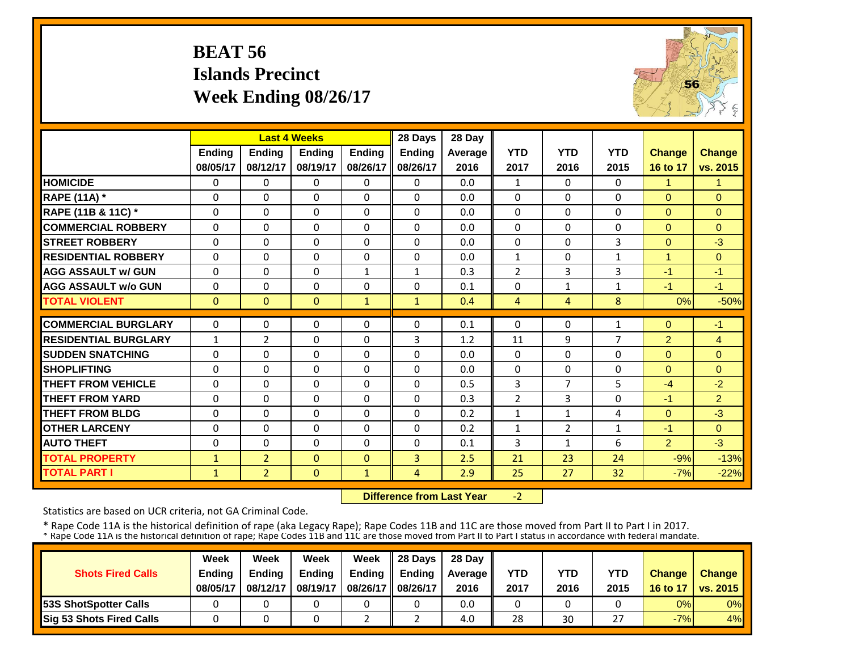# **BEAT 56 Islands Precinct Week Ending 08/26/17**



|                             |              |                | <b>Last 4 Weeks</b> |               | 28 Days       | 28 Day  |                |                |              |                |                |
|-----------------------------|--------------|----------------|---------------------|---------------|---------------|---------|----------------|----------------|--------------|----------------|----------------|
|                             | Ending       | <b>Ending</b>  | <b>Ending</b>       | <b>Endina</b> | <b>Ending</b> | Average | <b>YTD</b>     | <b>YTD</b>     | <b>YTD</b>   | <b>Change</b>  | <b>Change</b>  |
|                             | 08/05/17     | 08/12/17       | 08/19/17            | 08/26/17      | 08/26/17      | 2016    | 2017           | 2016           | 2015         | 16 to 17       | vs. 2015       |
| <b>HOMICIDE</b>             | $\Omega$     | 0              | $\Omega$            | $\Omega$      | $\Omega$      | 0.0     | 1              | $\Omega$       | 0            | 1              | 1              |
| <b>RAPE (11A) *</b>         | $\Omega$     | $\Omega$       | $\Omega$            | $\Omega$      | $\Omega$      | 0.0     | $\Omega$       | $\Omega$       | 0            | $\Omega$       | $\Omega$       |
| RAPE (11B & 11C) *          | $\Omega$     | 0              | $\Omega$            | $\Omega$      | $\Omega$      | 0.0     | $\Omega$       | $\Omega$       | 0            | $\Omega$       | $\Omega$       |
| <b>COMMERCIAL ROBBERY</b>   | $\Omega$     | $\Omega$       | $\Omega$            | $\Omega$      | $\Omega$      | 0.0     | $\Omega$       | $\Omega$       | $\Omega$     | $\Omega$       | $\Omega$       |
| <b>STREET ROBBERY</b>       | $\mathbf 0$  | 0              | $\Omega$            | $\Omega$      | 0             | 0.0     | $\Omega$       | $\Omega$       | 3            | $\mathbf{0}$   | $-3$           |
| <b>RESIDENTIAL ROBBERY</b>  | $\Omega$     | $\Omega$       | $\Omega$            | $\Omega$      | $\Omega$      | 0.0     | $\mathbf{1}$   | $\Omega$       | $\mathbf{1}$ | 1              | $\Omega$       |
| <b>AGG ASSAULT w/ GUN</b>   | $\Omega$     | $\Omega$       | $\mathbf 0$         | $\mathbf{1}$  | $\mathbf{1}$  | 0.3     | $\overline{2}$ | 3              | 3            | $-1$           | $-1$           |
| <b>AGG ASSAULT w/o GUN</b>  | $\Omega$     | $\Omega$       | 0                   | $\Omega$      | $\Omega$      | 0.1     | $\Omega$       | $\mathbf{1}$   | 1            | $-1$           | $-1$           |
| <b>TOTAL VIOLENT</b>        | $\Omega$     | $\Omega$       | $\mathbf{0}$        | $\mathbf{1}$  | $\mathbf{1}$  | 0.4     | 4              | 4              | 8            | 0%             | $-50%$         |
| <b>COMMERCIAL BURGLARY</b>  | $\Omega$     | 0              | $\Omega$            | $\Omega$      | $\Omega$      | 0.1     | $\Omega$       | $\Omega$       | 1            | $\Omega$       | $-1$           |
| <b>RESIDENTIAL BURGLARY</b> | $\mathbf{1}$ | $\overline{2}$ | 0                   | $\Omega$      | 3             | 1.2     | 11             | 9              | 7            | $\overline{2}$ | $\overline{4}$ |
| <b>SUDDEN SNATCHING</b>     | $\Omega$     | 0              | $\Omega$            | $\Omega$      | $\Omega$      | 0.0     | $\Omega$       | $\Omega$       | 0            | $\Omega$       | $\Omega$       |
| <b>SHOPLIFTING</b>          | $\Omega$     | $\Omega$       | $\Omega$            | $\Omega$      | $\Omega$      | 0.0     | $\Omega$       | $\Omega$       | 0            | $\Omega$       | $\Omega$       |
| <b>THEFT FROM VEHICLE</b>   | $\Omega$     | $\Omega$       | $\Omega$            | $\Omega$      | $\Omega$      | 0.5     | 3              | $\overline{7}$ | 5            | $-4$           | $-2$           |
| <b>THEFT FROM YARD</b>      | $\Omega$     | 0              | $\Omega$            | $\Omega$      | $\Omega$      | 0.3     | $\overline{2}$ | 3              | 0            | $-1$           | $\overline{2}$ |
| <b>THEFT FROM BLDG</b>      | $\Omega$     | $\Omega$       | $\Omega$            | $\Omega$      | $\Omega$      | 0.2     | $\mathbf{1}$   | 1              | 4            | $\Omega$       | $-3$           |
| <b>OTHER LARCENY</b>        | $\Omega$     | 0              | $\Omega$            | $\Omega$      | 0             | 0.2     | $\mathbf{1}$   | $\overline{2}$ | $\mathbf{1}$ | $-1$           | $\Omega$       |
| <b>AUTO THEFT</b>           | $\Omega$     | 0              | $\Omega$            | $\Omega$      | 0             | 0.1     | 3              | 1              | 6            | $\overline{2}$ | $-3$           |
| <b>TOTAL PROPERTY</b>       | $\mathbf{1}$ | $\overline{2}$ | $\mathbf{0}$        | $\Omega$      | 3             | 2.5     | 21             | 23             | 24           | $-9%$          | $-13%$         |
| <b>TOTAL PART I</b>         | $\mathbf{1}$ | $\overline{2}$ | $\mathbf{0}$        | $\mathbf{1}$  | 4             | 2.9     | 25             | 27             | 32           | $-7%$          | $-22%$         |
|                             |              |                |                     |               |               |         |                |                |              |                |                |

 **Difference from Last Year** $-2$ 

Statistics are based on UCR criteria, not GA Criminal Code.

|                               | Week     | Week          | Week          | Week          | $\parallel$ 28 Davs | 28 Day    |      |      |               |               |                     |
|-------------------------------|----------|---------------|---------------|---------------|---------------------|-----------|------|------|---------------|---------------|---------------------|
| <b>Shots Fired Calls</b>      | Ending   | <b>Ending</b> | <b>Ending</b> | <b>Ending</b> | <b>Ending</b>       | Average I | YTD  | YTD  | YTD           | <b>Change</b> | <b>Change</b>       |
|                               | 08/05/17 | 08/12/17      | 08/19/17      | 08/26/17      | 08/26/17            | 2016      | 2017 | 2016 | 2015          |               | 16 to 17   vs. 2015 |
| <b>153S ShotSpotter Calls</b> |          |               |               |               |                     | 0.0       |      |      |               | 0%            | $0\%$               |
| Sig 53 Shots Fired Calls      |          |               |               |               |                     | 4.0       | 28   | 30   | $\sim$ $\sim$ | $-7%$         | 4%                  |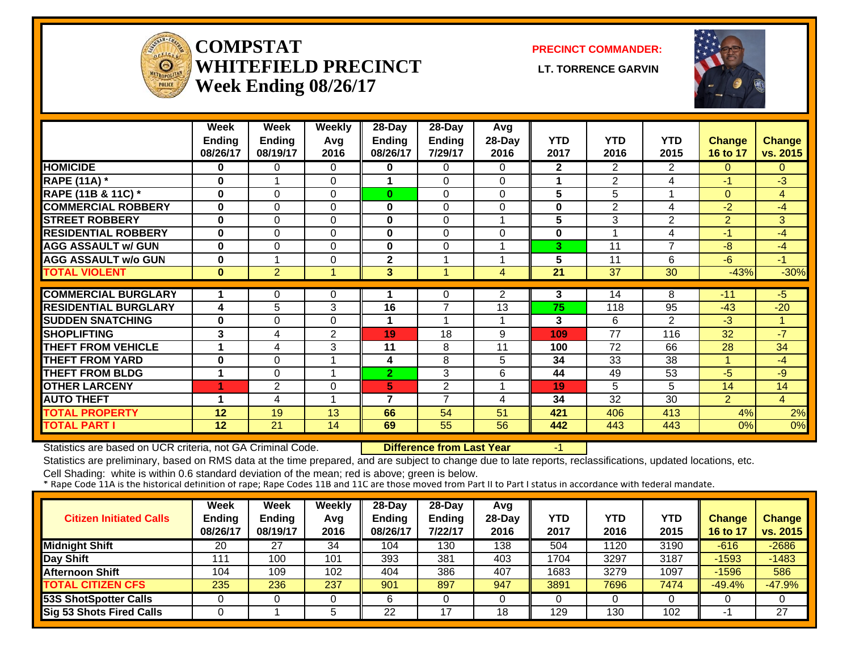

#### **COMPSTATWHITEFIELD PRECINCT** LT. TORRENCE GARVIN **Week Ending 08/26/17**

**PRECINCT COMMANDER:**



|                             | Week<br><b>Ending</b><br>08/26/17 | Week<br><b>Ending</b><br>08/19/17 | <b>Weekly</b><br>Avg<br>2016 | $28$ -Day<br><b>Ending</b><br>08/26/17 | $28-Day$<br>Ending<br>7/29/17 | Avg<br>28-Day<br>2016 | <b>YTD</b><br>2017 | <b>YTD</b><br>2016 | <b>YTD</b><br>2015 | Change<br>16 to 17 | <b>Change</b><br>vs. 2015 |
|-----------------------------|-----------------------------------|-----------------------------------|------------------------------|----------------------------------------|-------------------------------|-----------------------|--------------------|--------------------|--------------------|--------------------|---------------------------|
| <b>HOMICIDE</b>             | $\bf{0}$                          | 0                                 | $\Omega$                     | 0                                      | 0                             | 0                     | $\mathbf{2}$       | 2.                 | 2                  | $\Omega$           | $\mathbf{0}$              |
| <b>RAPE (11A)</b> *         | $\bf{0}$                          |                                   | $\Omega$                     | 1                                      | 0                             | 0                     |                    | $\overline{2}$     | 4                  | $-1$               | $-3$                      |
| RAPE (11B & 11C) *          | $\bf{0}$                          | $\Omega$                          | $\Omega$                     | 0                                      | 0                             | 0                     | 5                  | 5                  |                    | $\Omega$           | 4                         |
| <b>COMMERCIAL ROBBERY</b>   | $\bf{0}$                          | 0                                 | $\Omega$                     | $\bf{0}$                               | 0                             | 0                     | $\bf{0}$           | 2                  | 4                  | $-2$               | $-4$                      |
| <b>STREET ROBBERY</b>       | $\bf{0}$                          | 0                                 | $\Omega$                     | $\bf{0}$                               | 0                             | 4                     | 5                  | 3                  | 2                  | $\overline{2}$     | 3                         |
| <b>RESIDENTIAL ROBBERY</b>  | $\bf{0}$                          | 0                                 | 0                            | $\bf{0}$                               | $\Omega$                      | 0                     | 0                  |                    | 4                  | $-1$               | -4                        |
| <b>AGG ASSAULT w/ GUN</b>   | $\bf{0}$                          | $\Omega$                          | $\Omega$                     | $\bf{0}$                               | 0                             |                       | 3                  | 11                 | $\overline{7}$     | -8                 | -4                        |
| <b>AGG ASSAULT w/o GUN</b>  | $\bf{0}$                          |                                   | $\Omega$                     | 2                                      |                               |                       | 5                  | 11                 | 6                  | -6                 | -1                        |
| <b>TOTAL VIOLENT</b>        | $\bf{0}$                          | 2                                 |                              | 3                                      | 4                             | 4                     | 21                 | 37                 | 30                 | $-43%$             | $-30%$                    |
| <b>COMMERCIAL BURGLARY</b>  | 1                                 |                                   |                              | 1                                      |                               |                       |                    |                    |                    |                    |                           |
|                             |                                   | 0                                 | 0                            |                                        | $\Omega$                      | $\overline{2}$        | 3                  | 14                 | 8                  | $-11$              | -5                        |
| <b>RESIDENTIAL BURGLARY</b> | 4                                 | 5                                 | 3                            | 16                                     | $\overline{7}$                | 13                    | 75                 | 118                | 95                 | $-43$              | $-20$                     |
| <b>SUDDEN SNATCHING</b>     | $\bf{0}$                          | 0                                 | $\Omega$                     | 1                                      | 1                             | 1                     | 3                  | 6                  | 2                  | $-3$               | 1                         |
| <b>SHOPLIFTING</b>          | 3                                 | 4                                 | 2                            | 19                                     | 18                            | 9                     | 109                | 77                 | 116                | 32                 | $-7$                      |
| <b>THEFT FROM VEHICLE</b>   | 1                                 | 4                                 | 3                            | 11                                     | 8                             | 11                    | 100                | 72                 | 66                 | 28                 | 34                        |
| <b>THEFT FROM YARD</b>      | $\bf{0}$                          | $\Omega$                          |                              | 4                                      | 8                             | 5                     | 34                 | 33                 | 38                 |                    | -4                        |
| <b>THEFT FROM BLDG</b>      | -1                                | $\Omega$                          |                              | $\overline{2}$                         | 3                             | 6                     | 44                 | 49                 | 53                 | $-5$               | $-9$                      |
| <b>OTHER LARCENY</b>        |                                   | 2                                 | $\Omega$                     | 5                                      | $\overline{2}$                |                       | 19                 | 5                  | 5                  | 14                 | 14                        |
| <b>AUTO THEFT</b>           | 4                                 | 4                                 |                              | 7                                      | 7                             | 4                     | 34                 | 32                 | 30                 | $\overline{2}$     | $\overline{4}$            |
| <b>TOTAL PROPERTY</b>       | 12                                | 19                                | 13                           | 66                                     | 54                            | 51                    | 421                | 406                | 413                | 4%                 | 2%                        |
| <b>TOTAL PART I</b>         | 12                                | 21                                | 14                           | 69                                     | 55                            | 56                    | 442                | 443                | 443                | 0%                 | 0%                        |

Statistics are based on UCR criteria, not GA Criminal Code. **Difference from Last Year** -1

Statistics are preliminary, based on RMS data at the time prepared, and are subject to change due to late reports, reclassifications, updated locations, etc.

| <b>Citizen Initiated Calls</b>  | <b>Week</b><br><b>Ending</b><br>08/26/17 | <b>Week</b><br><b>Ending</b><br>08/19/17 | Weekly<br>Avg<br>2016 | 28-Day<br><b>Ending</b><br>08/26/17 | 28-Day<br>Ending<br>7/22/17 | Avg<br>$28-Day$<br>2016 | <b>YTD</b><br>2017 | YTD<br>2016 | YTD<br>2015 | <b>Change</b><br>16 to 17 | <b>Change</b><br>vs. 2015 |
|---------------------------------|------------------------------------------|------------------------------------------|-----------------------|-------------------------------------|-----------------------------|-------------------------|--------------------|-------------|-------------|---------------------------|---------------------------|
| <b>Midnight Shift</b>           | 20                                       | 27                                       | 34                    | 104                                 | 130                         | 138                     | 504                | 1120        | 3190        | $-616$                    | $-2686$                   |
| Day Shift                       | 111                                      | 100                                      | 101                   | 393                                 | 381                         | 403                     | 1704               | 3297        | 3187        | $-1593$                   | $-1483$                   |
| <b>Afternoon Shift</b>          | 104                                      | 109                                      | 102                   | 404                                 | 386                         | 407                     | 1683               | 3279        | 1097        | $-1596$                   | 586                       |
| <b>TOTAL CITIZEN CFS</b>        | 235                                      | 236                                      | 237                   | 901                                 | 897                         | 947                     | 3891               | 7696        | 7474        | $-49.4%$                  | $-47.9%$                  |
| <b>53S ShotSpotter Calls</b>    |                                          |                                          |                       | 6                                   |                             |                         |                    |             |             |                           |                           |
| <b>Sig 53 Shots Fired Calls</b> |                                          |                                          |                       | 22                                  |                             | 18                      | 129                | 130         | 102         |                           | 27                        |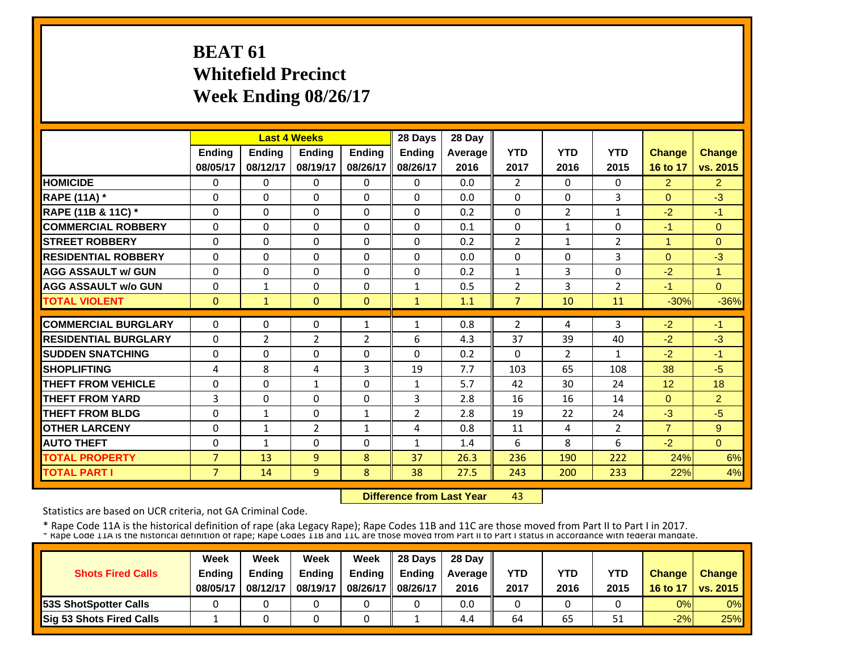# **BEAT 61 Whitefield Precinct Week Ending 08/26/17**

|                             |                |                | <b>Last 4 Weeks</b> |                | 28 Days        | 28 Day  |                |                |                |                |                |
|-----------------------------|----------------|----------------|---------------------|----------------|----------------|---------|----------------|----------------|----------------|----------------|----------------|
|                             | <b>Ending</b>  | <b>Ending</b>  | <b>Ending</b>       | <b>Ending</b>  | Ending         | Average | <b>YTD</b>     | <b>YTD</b>     | <b>YTD</b>     | <b>Change</b>  | <b>Change</b>  |
|                             | 08/05/17       | 08/12/17       | 08/19/17            | 08/26/17       | 08/26/17       | 2016    | 2017           | 2016           | 2015           | 16 to 17       | vs. 2015       |
| <b>HOMICIDE</b>             | 0              | $\Omega$       | $\mathbf{0}$        | $\Omega$       | $\Omega$       | 0.0     | $\overline{2}$ | $\mathbf{0}$   | $\mathbf{0}$   | $\overline{2}$ | $\overline{2}$ |
| <b>RAPE (11A) *</b>         | $\Omega$       | 0              | $\mathbf{0}$        | $\Omega$       | $\Omega$       | 0.0     | $\Omega$       | $\mathbf{0}$   | 3              | $\Omega$       | $-3$           |
| RAPE (11B & 11C) *          | $\Omega$       | $\Omega$       | $\Omega$            | $\Omega$       | $\Omega$       | 0.2     | 0              | $\overline{2}$ | $\mathbf{1}$   | $-2$           | $-1$           |
| <b>COMMERCIAL ROBBERY</b>   | 0              | $\Omega$       | $\mathbf{0}$        | $\Omega$       | $\Omega$       | 0.1     | $\Omega$       | $\mathbf{1}$   | $\Omega$       | -1             | $\Omega$       |
| <b>STREET ROBBERY</b>       | 0              | $\Omega$       | $\Omega$            | $\Omega$       | $\Omega$       | 0.2     | $\overline{2}$ | $\mathbf{1}$   | 2              | $\mathbf{1}$   | $\Omega$       |
| <b>RESIDENTIAL ROBBERY</b>  | $\Omega$       | $\Omega$       | $\mathbf{0}$        | $\Omega$       | $\Omega$       | 0.0     | $\Omega$       | 0              | 3              | $\Omega$       | $-3$           |
| <b>AGG ASSAULT w/ GUN</b>   | $\Omega$       | $\Omega$       | $\Omega$            | $\Omega$       | $\Omega$       | 0.2     | $\mathbf{1}$   | 3              | $\Omega$       | $-2$           | $\mathbf{1}$   |
| <b>AGG ASSAULT w/o GUN</b>  | $\Omega$       | $\mathbf{1}$   | $\mathbf{0}$        | $\Omega$       | $\mathbf{1}$   | 0.5     | $\overline{2}$ | 3              | $\overline{2}$ | $-1$           | $\Omega$       |
| <b>TOTAL VIOLENT</b>        | $\mathbf{0}$   | 1              | $\Omega$            | $\Omega$       | $\mathbf{1}$   | 1.1     | 7              | 10             | 11             | $-30%$         | $-36%$         |
| <b>COMMERCIAL BURGLARY</b>  | $\Omega$       | $\Omega$       | $\mathbf{0}$        | $\mathbf{1}$   | $\mathbf{1}$   | 0.8     | $\overline{2}$ | 4              | 3              | $-2$           | $-1$           |
| <b>RESIDENTIAL BURGLARY</b> | $\Omega$       | $\overline{2}$ | $\overline{2}$      | $\overline{2}$ | 6              | 4.3     | 37             | 39             | 40             | $-2$           | $-3$           |
| <b>SUDDEN SNATCHING</b>     | 0              | $\Omega$       | $\mathbf{0}$        | $\Omega$       | $\Omega$       | 0.2     | $\Omega$       | $\overline{2}$ | $\mathbf{1}$   | $-2$           | $-1$           |
| <b>SHOPLIFTING</b>          | 4              | 8              | 4                   | 3              | 19             | 7.7     | 103            | 65             | 108            | 38             | $-5$           |
| <b>THEFT FROM VEHICLE</b>   | 0              | $\Omega$       | $\mathbf{1}$        | $\Omega$       | $\mathbf{1}$   | 5.7     | 42             | 30             | 24             | 12             | 18             |
| <b>THEFT FROM YARD</b>      | 3              | $\Omega$       | $\Omega$            | $\Omega$       | 3              | 2.8     | 16             | 16             | 14             | $\Omega$       | $\overline{2}$ |
| <b>THEFT FROM BLDG</b>      | 0              | 1              | $\Omega$            | 1              | $\overline{2}$ | 2.8     | 19             | 22             | 24             | $-3$           | $-5$           |
| <b>OTHER LARCENY</b>        | 0              | $\mathbf{1}$   | $\overline{2}$      | $\mathbf{1}$   | 4              | 0.8     | 11             | 4              | $\overline{2}$ | $\overline{7}$ | 9              |
| <b>AUTO THEFT</b>           | $\Omega$       | 1              | $\mathbf{0}$        | $\Omega$       | $\mathbf{1}$   | 1.4     | 6              | 8              | 6              | $-2$           | $\Omega$       |
| <b>TOTAL PROPERTY</b>       | $\overline{7}$ | 13             | 9                   | 8              | 37             | 26.3    | 236            | 190            | 222            | 24%            | 6%             |
| <b>TOTAL PART I</b>         | $\overline{7}$ | 14             | 9                   | 8              | 38             | 27.5    | 243            | 200            | 233            | 22%            | 4%             |

 **Difference from Last Year**43

Statistics are based on UCR criteria, not GA Criminal Code.

| <b>Shots Fired Calls</b>      | Week<br><b>Ending</b><br>08/05/17 | Week<br><b>Ending</b><br>08/12/17 | Week<br><b>Ending</b><br>08/19/17 | Week<br><b>Ending</b><br>08/26/17 | 28 Days<br><b>Endina</b><br>08/26/17 | 28 Day<br><b>Average II</b><br>2016 | <b>YTD</b><br>2017 | YTD<br>2016 | YTD<br>2015 | <b>Change</b><br>16 to 17 | <b>Change</b><br><b>VS. 2015</b> |
|-------------------------------|-----------------------------------|-----------------------------------|-----------------------------------|-----------------------------------|--------------------------------------|-------------------------------------|--------------------|-------------|-------------|---------------------------|----------------------------------|
| <b>153S ShotSpotter Calls</b> |                                   |                                   |                                   |                                   |                                      | 0.0                                 |                    |             |             | 0%                        | $0\%$                            |
| Sig 53 Shots Fired Calls      |                                   |                                   |                                   |                                   |                                      | 4.4                                 | 64                 | 65          | 51          | $-2%$                     | 25%                              |